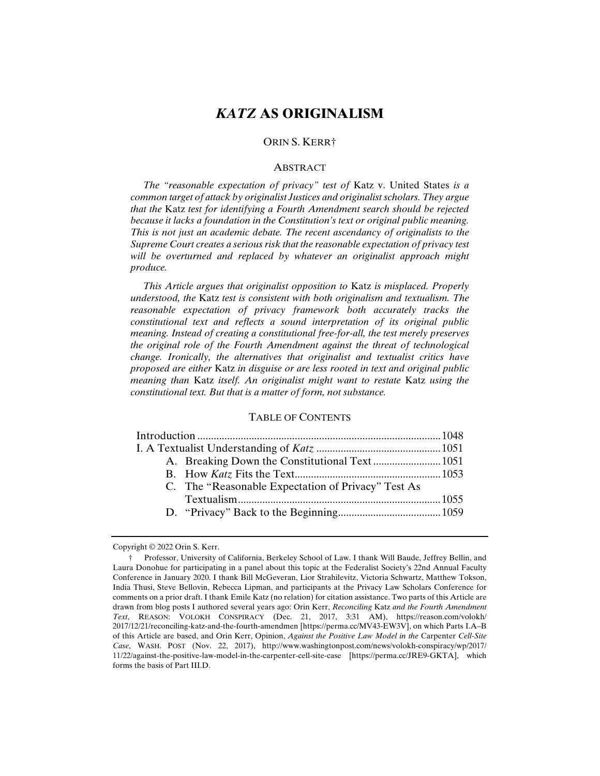# *KATZ* **AS ORIGINALISM**

## ORIN S. KERR†

#### ABSTRACT

 *The "reasonable expectation of privacy" test of* Katz v. United States *is a common target of attack by originalist Justices and originalist scholars. They argue that the* Katz *test for identifying a Fourth Amendment search should be rejected because it lacks a foundation in the Constitution's text or original public meaning. This is not just an academic debate. The recent ascendancy of originalists to the Supreme Court creates a serious risk that the reasonable expectation of privacy test will be overturned and replaced by whatever an originalist approach might produce.* 

 *This Article argues that originalist opposition to* Katz *is misplaced. Properly understood, the* Katz *test is consistent with both originalism and textualism. The reasonable expectation of privacy framework both accurately tracks the constitutional text and reflects a sound interpretation of its original public meaning. Instead of creating a constitutional free-for-all, the test merely preserves the original role of the Fourth Amendment against the threat of technological change. Ironically, the alternatives that originalist and textualist critics have proposed are either* Katz *in disguise or are less rooted in text and original public meaning than* Katz *itself. An originalist might want to restate* Katz *using the constitutional text. But that is a matter of form, not substance.*

#### TABLE OF CONTENTS

|  | C. The "Reasonable Expectation of Privacy" Test As |  |
|--|----------------------------------------------------|--|
|  |                                                    |  |
|  |                                                    |  |

Copyright © 2022 Orin S. Kerr.

 <sup>†</sup> Professor, University of California, Berkeley School of Law. I thank Will Baude, Jeffrey Bellin, and Laura Donohue for participating in a panel about this topic at the Federalist Society's 22nd Annual Faculty Conference in January 2020. I thank Bill McGeveran, Lior Strahilevitz, Victoria Schwartz, Matthew Tokson, India Thusi, Steve Bellovin, Rebecca Lipman, and participants at the Privacy Law Scholars Conference for comments on a prior draft. I thank Emile Katz (no relation) for citation assistance. Two parts of this Article are drawn from blog posts I authored several years ago: Orin Kerr, *Reconciling* Katz *and the Fourth Amendment Text*, REASON: VOLOKH CONSPIRACY (Dec. 21, 2017, 3:31 AM), https://reason.com/volokh/ 2017/12/21/reconciling-katz-and-the-fourth-amendmen [https://perma.cc/MV43-EW3V], on which Parts I.A–B of this Article are based, and Orin Kerr, Opinion, *Against the Positive Law Model in the* Carpenter *Cell-Site Case*, WASH. POST (Nov. 22, 2017), http://www.washingtonpost.com/news/volokh-conspiracy/wp/2017/ 11/22/against-the-positive-law-model-in-the-carpenter-cell-site-case [https://perma.cc/JRE9-GKTA], which forms the basis of Part III.D.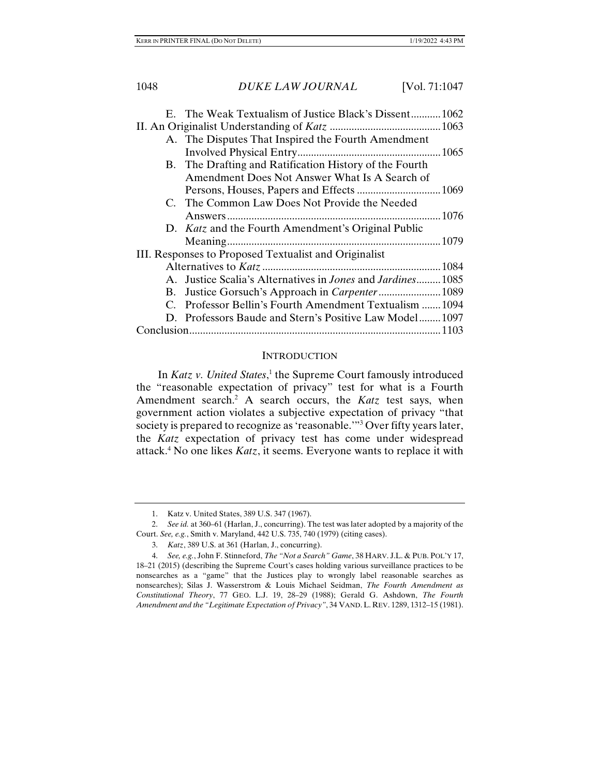|                                                       | E. The Weak Textualism of Justice Black's Dissent1062                      |  |
|-------------------------------------------------------|----------------------------------------------------------------------------|--|
|                                                       |                                                                            |  |
|                                                       | A. The Disputes That Inspired the Fourth Amendment                         |  |
|                                                       |                                                                            |  |
|                                                       | B. The Drafting and Ratification History of the Fourth                     |  |
|                                                       | Amendment Does Not Answer What Is A Search of                              |  |
|                                                       |                                                                            |  |
|                                                       | C. The Common Law Does Not Provide the Needed                              |  |
|                                                       |                                                                            |  |
|                                                       | D. Katz and the Fourth Amendment's Original Public                         |  |
|                                                       |                                                                            |  |
| III. Responses to Proposed Textualist and Originalist |                                                                            |  |
|                                                       |                                                                            |  |
|                                                       | A. Justice Scalia's Alternatives in <i>Jones</i> and <i>Jardines</i> .1085 |  |
|                                                       |                                                                            |  |
|                                                       | C. Professor Bellin's Fourth Amendment Textualism 1094                     |  |
|                                                       | D. Professors Baude and Stern's Positive Law Model1097                     |  |
|                                                       |                                                                            |  |

#### **INTRODUCTION**

In *Katz v. United States*,<sup>1</sup> the Supreme Court famously introduced the "reasonable expectation of privacy" test for what is a Fourth Amendment search.<sup>2</sup> A search occurs, the *Katz* test says, when government action violates a subjective expectation of privacy "that society is prepared to recognize as 'reasonable.'"3 Over fifty years later, the *Katz* expectation of privacy test has come under widespread attack.4 No one likes *Katz*, it seems. Everyone wants to replace it with

 <sup>1.</sup> Katz v. United States, 389 U.S. 347 (1967).

 <sup>2.</sup> *See id.* at 360–61 (Harlan, J., concurring). The test was later adopted by a majority of the Court. *See, e.g.*, Smith v. Maryland, 442 U.S. 735, 740 (1979) (citing cases).

 <sup>3.</sup> *Katz*, 389 U.S. at 361 (Harlan, J., concurring).

 <sup>4.</sup> *See, e.g.*, John F. Stinneford, *The "Not a Search" Game*, 38 HARV. J.L. & PUB. POL'Y 17, 18–21 (2015) (describing the Supreme Court's cases holding various surveillance practices to be nonsearches as a "game" that the Justices play to wrongly label reasonable searches as nonsearches); Silas J. Wasserstrom & Louis Michael Seidman, *The Fourth Amendment as Constitutional Theory*, 77 GEO. L.J. 19, 28–29 (1988); Gerald G. Ashdown, *The Fourth Amendment and the "Legitimate Expectation of Privacy"*, 34 VAND.L. REV. 1289, 1312–15 (1981).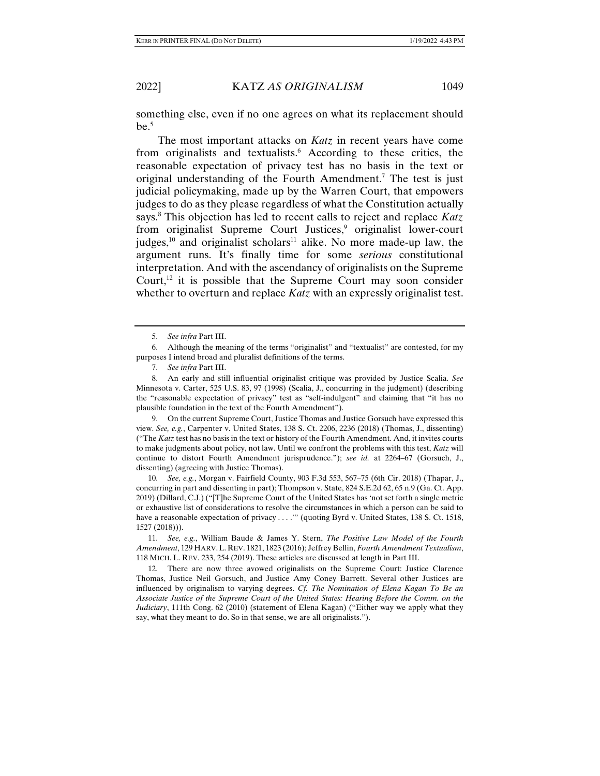something else, even if no one agrees on what its replacement should  $be.<sup>5</sup>$ 

The most important attacks on *Katz* in recent years have come from originalists and textualists.<sup>6</sup> According to these critics, the reasonable expectation of privacy test has no basis in the text or original understanding of the Fourth Amendment.<sup>7</sup> The test is just judicial policymaking, made up by the Warren Court, that empowers judges to do as they please regardless of what the Constitution actually says.8 This objection has led to recent calls to reject and replace *Katz* from originalist Supreme Court Justices,<sup>9</sup> originalist lower-court judges,<sup>10</sup> and originalist scholars<sup>11</sup> alike. No more made-up law, the argument runs. It's finally time for some *serious* constitutional interpretation. And with the ascendancy of originalists on the Supreme Court, $12$  it is possible that the Supreme Court may soon consider whether to overturn and replace *Katz* with an expressly originalist test.

 9. On the current Supreme Court, Justice Thomas and Justice Gorsuch have expressed this view. *See, e.g.*, Carpenter v. United States, 138 S. Ct. 2206, 2236 (2018) (Thomas, J., dissenting) ("The *Katz* test has no basis in the text or history of the Fourth Amendment. And, it invites courts to make judgments about policy, not law. Until we confront the problems with this test, *Katz* will continue to distort Fourth Amendment jurisprudence."); *see id.* at 2264–67 (Gorsuch, J., dissenting) (agreeing with Justice Thomas).

 10. *See, e.g.*, Morgan v. Fairfield County, 903 F.3d 553, 567–75 (6th Cir. 2018) (Thapar, J., concurring in part and dissenting in part); Thompson v. State, 824 S.E.2d 62, 65 n.9 (Ga. Ct. App. 2019) (Dillard, C.J.) ("[T]he Supreme Court of the United States has 'not set forth a single metric or exhaustive list of considerations to resolve the circumstances in which a person can be said to have a reasonable expectation of privacy . . . ."" (quoting Byrd v. United States, 138 S. Ct. 1518, 1527 (2018))).

 11. *See, e.g.*, William Baude & James Y. Stern, *The Positive Law Model of the Fourth Amendment*, 129 HARV.L. REV. 1821, 1823 (2016); Jeffrey Bellin, *Fourth Amendment Textualism*, 118 MICH. L. REV. 233, 254 (2019). These articles are discussed at length in Part III.

 12. There are now three avowed originalists on the Supreme Court: Justice Clarence Thomas, Justice Neil Gorsuch, and Justice Amy Coney Barrett. Several other Justices are influenced by originalism to varying degrees. *Cf. The Nomination of Elena Kagan To Be an Associate Justice of the Supreme Court of the United States: Hearing Before the Comm. on the Judiciary*, 111th Cong. 62 (2010) (statement of Elena Kagan) ("Either way we apply what they say, what they meant to do. So in that sense, we are all originalists.").

 <sup>5.</sup> *See infra* Part III.

 <sup>6.</sup> Although the meaning of the terms "originalist" and "textualist" are contested, for my purposes I intend broad and pluralist definitions of the terms.

 <sup>7.</sup> *See infra* Part III.

 <sup>8.</sup> An early and still influential originalist critique was provided by Justice Scalia. *See* Minnesota v. Carter, 525 U.S. 83, 97 (1998) (Scalia, J., concurring in the judgment) (describing the "reasonable expectation of privacy" test as "self-indulgent" and claiming that "it has no plausible foundation in the text of the Fourth Amendment").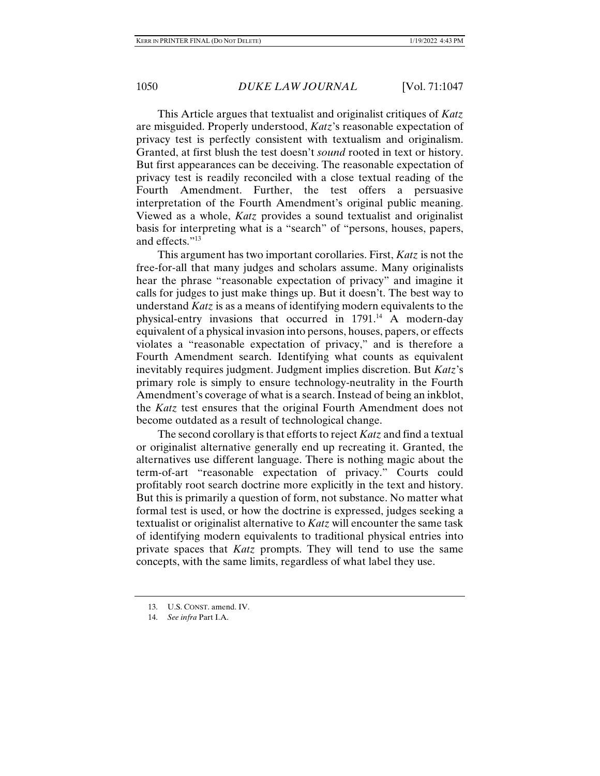This Article argues that textualist and originalist critiques of *Katz* are misguided. Properly understood, *Katz*'s reasonable expectation of privacy test is perfectly consistent with textualism and originalism. Granted, at first blush the test doesn't *sound* rooted in text or history. But first appearances can be deceiving. The reasonable expectation of privacy test is readily reconciled with a close textual reading of the Fourth Amendment. Further, the test offers a persuasive interpretation of the Fourth Amendment's original public meaning. Viewed as a whole, *Katz* provides a sound textualist and originalist basis for interpreting what is a "search" of "persons, houses, papers, and effects."13

This argument has two important corollaries. First, *Katz* is not the free-for-all that many judges and scholars assume. Many originalists hear the phrase "reasonable expectation of privacy" and imagine it calls for judges to just make things up. But it doesn't. The best way to understand *Katz* is as a means of identifying modern equivalents to the physical-entry invasions that occurred in 1791.14 A modern-day equivalent of a physical invasion into persons, houses, papers, or effects violates a "reasonable expectation of privacy," and is therefore a Fourth Amendment search. Identifying what counts as equivalent inevitably requires judgment. Judgment implies discretion. But *Katz*'s primary role is simply to ensure technology-neutrality in the Fourth Amendment's coverage of what is a search. Instead of being an inkblot, the *Katz* test ensures that the original Fourth Amendment does not become outdated as a result of technological change.

The second corollary is that efforts to reject *Katz* and find a textual or originalist alternative generally end up recreating it. Granted, the alternatives use different language. There is nothing magic about the term-of-art "reasonable expectation of privacy." Courts could profitably root search doctrine more explicitly in the text and history. But this is primarily a question of form, not substance. No matter what formal test is used, or how the doctrine is expressed, judges seeking a textualist or originalist alternative to *Katz* will encounter the same task of identifying modern equivalents to traditional physical entries into private spaces that *Katz* prompts. They will tend to use the same concepts, with the same limits, regardless of what label they use.

 <sup>13.</sup> U.S. CONST. amend. IV.

 <sup>14.</sup> *See infra* Part I.A.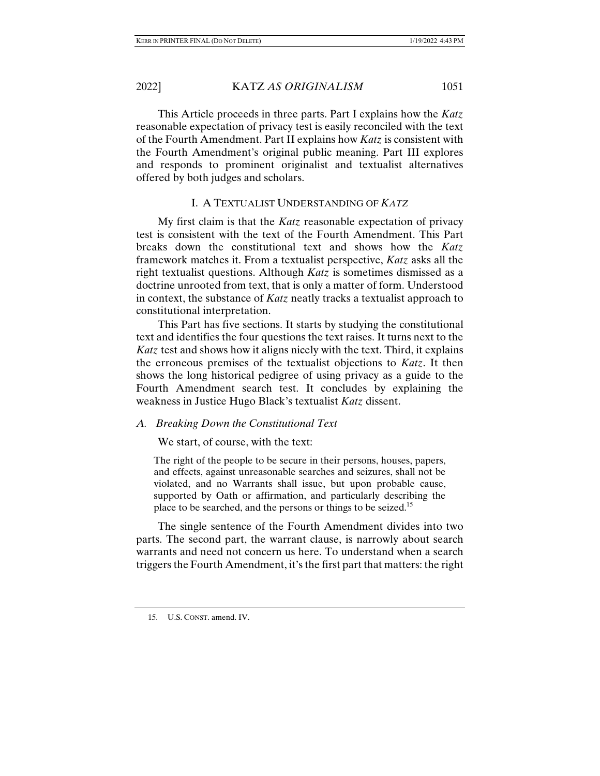This Article proceeds in three parts. Part I explains how the *Katz* reasonable expectation of privacy test is easily reconciled with the text of the Fourth Amendment. Part II explains how *Katz* is consistent with the Fourth Amendment's original public meaning. Part III explores and responds to prominent originalist and textualist alternatives offered by both judges and scholars.

#### I. A TEXTUALIST UNDERSTANDING OF *KATZ*

My first claim is that the *Katz* reasonable expectation of privacy test is consistent with the text of the Fourth Amendment. This Part breaks down the constitutional text and shows how the *Katz* framework matches it. From a textualist perspective, *Katz* asks all the right textualist questions. Although *Katz* is sometimes dismissed as a doctrine unrooted from text, that is only a matter of form. Understood in context, the substance of *Katz* neatly tracks a textualist approach to constitutional interpretation.

This Part has five sections. It starts by studying the constitutional text and identifies the four questions the text raises. It turns next to the *Katz* test and shows how it aligns nicely with the text. Third, it explains the erroneous premises of the textualist objections to *Katz*. It then shows the long historical pedigree of using privacy as a guide to the Fourth Amendment search test. It concludes by explaining the weakness in Justice Hugo Black's textualist *Katz* dissent.

#### *A. Breaking Down the Constitutional Text*

We start, of course, with the text:

The right of the people to be secure in their persons, houses, papers, and effects, against unreasonable searches and seizures, shall not be violated, and no Warrants shall issue, but upon probable cause, supported by Oath or affirmation, and particularly describing the place to be searched, and the persons or things to be seized.<sup>15</sup>

The single sentence of the Fourth Amendment divides into two parts. The second part, the warrant clause, is narrowly about search warrants and need not concern us here. To understand when a search triggers the Fourth Amendment, it's the first part that matters: the right

 <sup>15.</sup> U.S. CONST. amend. IV.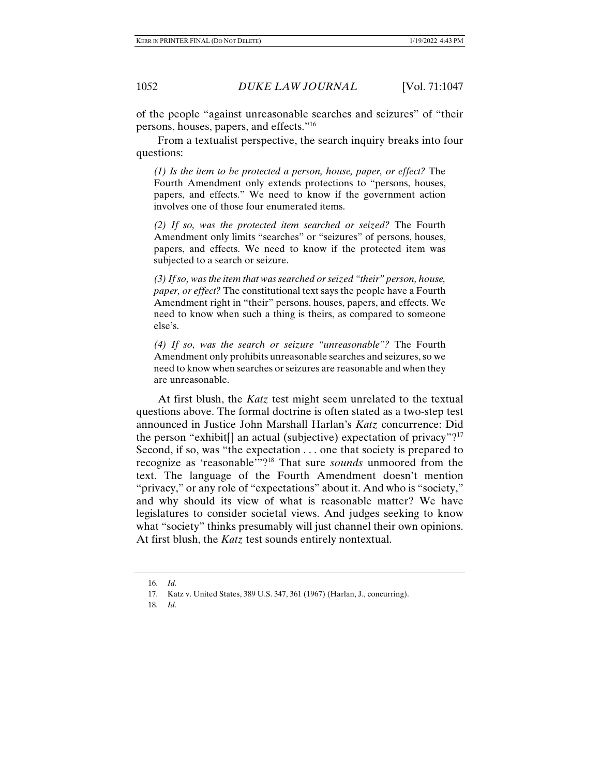of the people "against unreasonable searches and seizures" of "their persons, houses, papers, and effects."16

From a textualist perspective, the search inquiry breaks into four questions:

*(1) Is the item to be protected a person, house, paper, or effect?* The Fourth Amendment only extends protections to "persons, houses, papers, and effects." We need to know if the government action involves one of those four enumerated items.

*(2) If so, was the protected item searched or seized?* The Fourth Amendment only limits "searches" or "seizures" of persons, houses, papers, and effects. We need to know if the protected item was subjected to a search or seizure.

*(3) If so, was the item that was searched or seized "their" person, house, paper, or effect?* The constitutional text says the people have a Fourth Amendment right in "their" persons, houses, papers, and effects. We need to know when such a thing is theirs, as compared to someone else's.

*(4) If so, was the search or seizure "unreasonable"?* The Fourth Amendment only prohibits unreasonable searches and seizures, so we need to know when searches or seizures are reasonable and when they are unreasonable.

At first blush, the *Katz* test might seem unrelated to the textual questions above. The formal doctrine is often stated as a two-step test announced in Justice John Marshall Harlan's *Katz* concurrence: Did the person "exhibit] an actual (subjective) expectation of privacy"?<sup>17</sup> Second, if so, was "the expectation . . . one that society is prepared to recognize as 'reasonable'"?18 That sure *sounds* unmoored from the text. The language of the Fourth Amendment doesn't mention "privacy," or any role of "expectations" about it. And who is "society," and why should its view of what is reasonable matter? We have legislatures to consider societal views. And judges seeking to know what "society" thinks presumably will just channel their own opinions. At first blush, the *Katz* test sounds entirely nontextual.

 <sup>16.</sup> *Id.*

 <sup>17.</sup> Katz v. United States, 389 U.S. 347, 361 (1967) (Harlan, J., concurring).

 <sup>18.</sup> *Id.*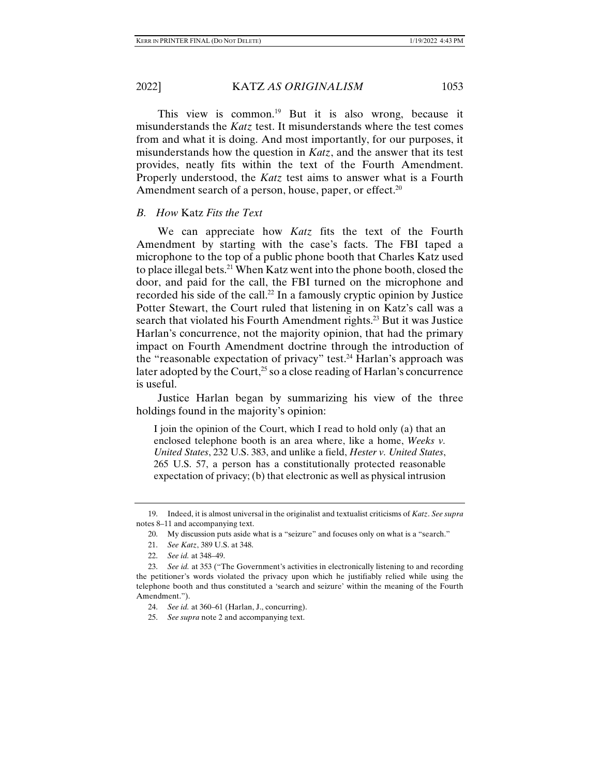This view is common.<sup>19</sup> But it is also wrong, because it misunderstands the *Katz* test. It misunderstands where the test comes from and what it is doing. And most importantly, for our purposes, it misunderstands how the question in *Katz*, and the answer that its test provides, neatly fits within the text of the Fourth Amendment. Properly understood, the *Katz* test aims to answer what is a Fourth Amendment search of a person, house, paper, or effect.<sup>20</sup>

## *B. How* Katz *Fits the Text*

We can appreciate how *Katz* fits the text of the Fourth Amendment by starting with the case's facts. The FBI taped a microphone to the top of a public phone booth that Charles Katz used to place illegal bets.21 When Katz went into the phone booth, closed the door, and paid for the call, the FBI turned on the microphone and recorded his side of the call.<sup>22</sup> In a famously cryptic opinion by Justice Potter Stewart, the Court ruled that listening in on Katz's call was a search that violated his Fourth Amendment rights.<sup>23</sup> But it was Justice Harlan's concurrence, not the majority opinion, that had the primary impact on Fourth Amendment doctrine through the introduction of the "reasonable expectation of privacy" test.<sup>24</sup> Harlan's approach was later adopted by the Court,<sup>25</sup> so a close reading of Harlan's concurrence is useful.

Justice Harlan began by summarizing his view of the three holdings found in the majority's opinion:

I join the opinion of the Court, which I read to hold only (a) that an enclosed telephone booth is an area where, like a home, *Weeks v. United States*, 232 U.S. 383, and unlike a field, *Hester v. United States*, 265 U.S. 57, a person has a constitutionally protected reasonable expectation of privacy; (b) that electronic as well as physical intrusion

 <sup>19.</sup> Indeed, it is almost universal in the originalist and textualist criticisms of *Katz*. *See supra* notes 8–11 and accompanying text.

 <sup>20.</sup> My discussion puts aside what is a "seizure" and focuses only on what is a "search."

 <sup>21.</sup> *See Katz*, 389 U.S. at 348.

 <sup>22.</sup> *See id.* at 348–49.

 <sup>23.</sup> *See id.* at 353 ("The Government's activities in electronically listening to and recording the petitioner's words violated the privacy upon which he justifiably relied while using the telephone booth and thus constituted a 'search and seizure' within the meaning of the Fourth Amendment.").

 <sup>24.</sup> *See id.* at 360–61 (Harlan, J., concurring).

 <sup>25.</sup> *See supra* note 2 and accompanying text.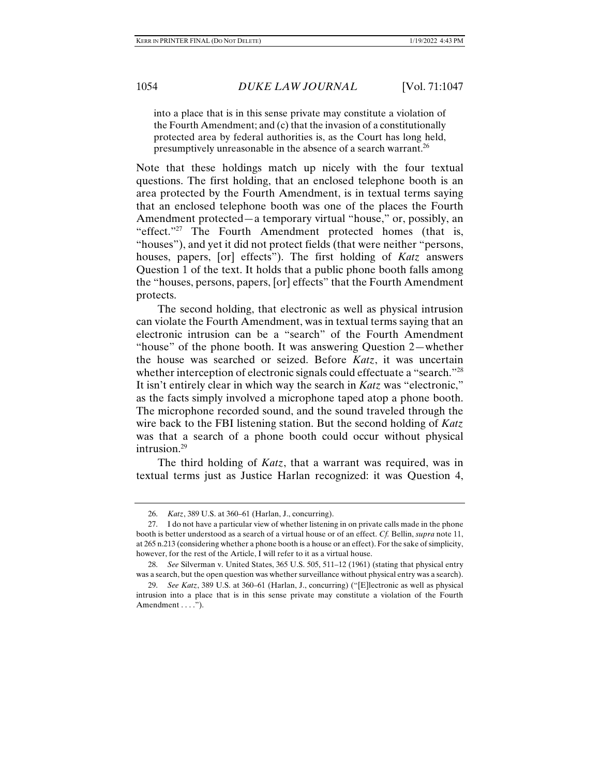into a place that is in this sense private may constitute a violation of the Fourth Amendment; and (c) that the invasion of a constitutionally protected area by federal authorities is, as the Court has long held, presumptively unreasonable in the absence of a search warrant.<sup>26</sup>

Note that these holdings match up nicely with the four textual questions. The first holding, that an enclosed telephone booth is an area protected by the Fourth Amendment, is in textual terms saying that an enclosed telephone booth was one of the places the Fourth Amendment protected—a temporary virtual "house," or, possibly, an "effect."27 The Fourth Amendment protected homes (that is, "houses"), and yet it did not protect fields (that were neither "persons, houses, papers, [or] effects"). The first holding of *Katz* answers Question 1 of the text. It holds that a public phone booth falls among the "houses, persons, papers, [or] effects" that the Fourth Amendment protects.

The second holding, that electronic as well as physical intrusion can violate the Fourth Amendment, was in textual terms saying that an electronic intrusion can be a "search" of the Fourth Amendment "house" of the phone booth. It was answering Question 2—whether the house was searched or seized. Before *Katz*, it was uncertain whether interception of electronic signals could effectuate a "search."<sup>28</sup> It isn't entirely clear in which way the search in *Katz* was "electronic," as the facts simply involved a microphone taped atop a phone booth. The microphone recorded sound, and the sound traveled through the wire back to the FBI listening station. But the second holding of *Katz* was that a search of a phone booth could occur without physical intrusion.<sup>29</sup>

The third holding of *Katz*, that a warrant was required, was in textual terms just as Justice Harlan recognized: it was Question 4,

 <sup>26.</sup> *Katz*, 389 U.S. at 360–61 (Harlan, J., concurring).

 <sup>27.</sup> I do not have a particular view of whether listening in on private calls made in the phone booth is better understood as a search of a virtual house or of an effect. *Cf.* Bellin, *supra* note 11, at 265 n.213 (considering whether a phone booth is a house or an effect). For the sake of simplicity, however, for the rest of the Article, I will refer to it as a virtual house.

 <sup>28.</sup> *See* Silverman v. United States, 365 U.S. 505, 511–12 (1961) (stating that physical entry was a search, but the open question was whether surveillance without physical entry was a search).

 <sup>29.</sup> *See Katz*, 389 U.S. at 360–61 (Harlan, J., concurring) ("[E]lectronic as well as physical intrusion into a place that is in this sense private may constitute a violation of the Fourth Amendment . . . .").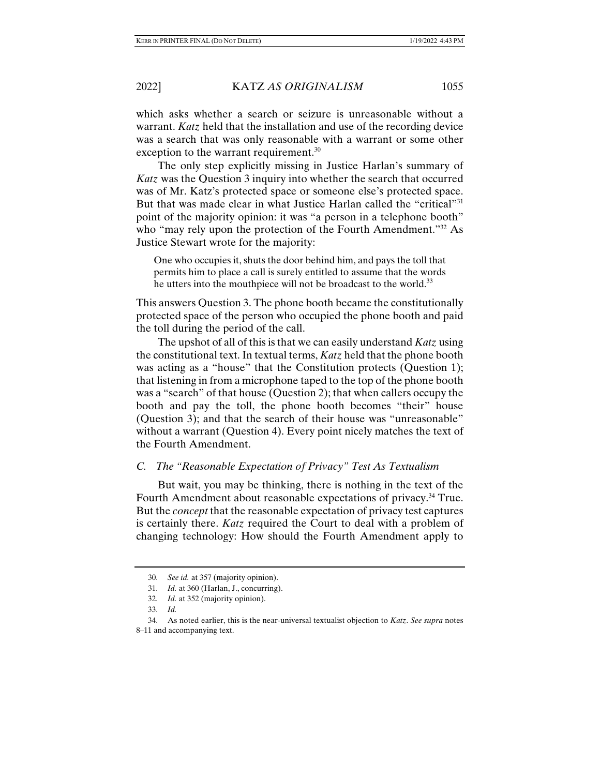which asks whether a search or seizure is unreasonable without a warrant. *Katz* held that the installation and use of the recording device was a search that was only reasonable with a warrant or some other exception to the warrant requirement.<sup>30</sup>

The only step explicitly missing in Justice Harlan's summary of *Katz* was the Question 3 inquiry into whether the search that occurred was of Mr. Katz's protected space or someone else's protected space. But that was made clear in what Justice Harlan called the "critical"<sup>31</sup> point of the majority opinion: it was "a person in a telephone booth" who "may rely upon the protection of the Fourth Amendment."<sup>32</sup> As Justice Stewart wrote for the majority:

One who occupies it, shuts the door behind him, and pays the toll that permits him to place a call is surely entitled to assume that the words he utters into the mouthpiece will not be broadcast to the world.<sup>33</sup>

This answers Question 3. The phone booth became the constitutionally protected space of the person who occupied the phone booth and paid the toll during the period of the call.

The upshot of all of this is that we can easily understand *Katz* using the constitutional text. In textual terms, *Katz* held that the phone booth was acting as a "house" that the Constitution protects (Question 1); that listening in from a microphone taped to the top of the phone booth was a "search" of that house (Question 2); that when callers occupy the booth and pay the toll, the phone booth becomes "their" house (Question 3); and that the search of their house was "unreasonable" without a warrant (Question 4). Every point nicely matches the text of the Fourth Amendment.

# *C. The "Reasonable Expectation of Privacy" Test As Textualism*

But wait, you may be thinking, there is nothing in the text of the Fourth Amendment about reasonable expectations of privacy.<sup>34</sup> True. But the *concept* that the reasonable expectation of privacy test captures is certainly there. *Katz* required the Court to deal with a problem of changing technology: How should the Fourth Amendment apply to

 <sup>30.</sup> *See id.* at 357 (majority opinion).

 <sup>31.</sup> *Id.* at 360 (Harlan, J., concurring).

 <sup>32.</sup> *Id.* at 352 (majority opinion).

 <sup>33.</sup> *Id.*

 <sup>34.</sup> As noted earlier, this is the near-universal textualist objection to *Katz*. *See supra* notes 8–11 and accompanying text.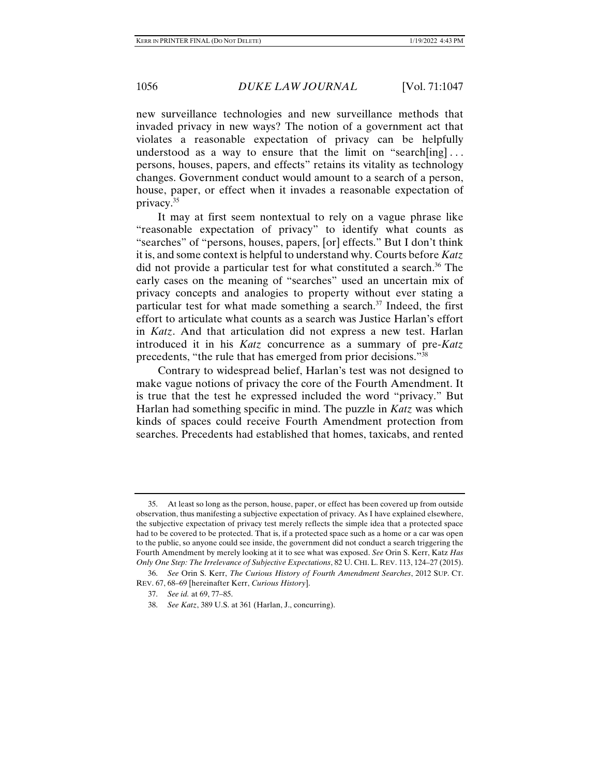new surveillance technologies and new surveillance methods that invaded privacy in new ways? The notion of a government act that violates a reasonable expectation of privacy can be helpfully understood as a way to ensure that the limit on "search[ing]... persons, houses, papers, and effects" retains its vitality as technology changes. Government conduct would amount to a search of a person, house, paper, or effect when it invades a reasonable expectation of privacy.35

It may at first seem nontextual to rely on a vague phrase like "reasonable expectation of privacy" to identify what counts as "searches" of "persons, houses, papers, [or] effects." But I don't think it is, and some context is helpful to understand why. Courts before *Katz* did not provide a particular test for what constituted a search.<sup>36</sup> The early cases on the meaning of "searches" used an uncertain mix of privacy concepts and analogies to property without ever stating a particular test for what made something a search.<sup>37</sup> Indeed, the first effort to articulate what counts as a search was Justice Harlan's effort in *Katz*. And that articulation did not express a new test. Harlan introduced it in his *Katz* concurrence as a summary of pre-*Katz* precedents, "the rule that has emerged from prior decisions."38

Contrary to widespread belief, Harlan's test was not designed to make vague notions of privacy the core of the Fourth Amendment. It is true that the test he expressed included the word "privacy." But Harlan had something specific in mind. The puzzle in *Katz* was which kinds of spaces could receive Fourth Amendment protection from searches. Precedents had established that homes, taxicabs, and rented

 <sup>35.</sup> At least so long as the person, house, paper, or effect has been covered up from outside observation, thus manifesting a subjective expectation of privacy. As I have explained elsewhere, the subjective expectation of privacy test merely reflects the simple idea that a protected space had to be covered to be protected. That is, if a protected space such as a home or a car was open to the public, so anyone could see inside, the government did not conduct a search triggering the Fourth Amendment by merely looking at it to see what was exposed. *See* Orin S. Kerr, Katz *Has Only One Step: The Irrelevance of Subjective Expectations*, 82 U. CHI. L. REV. 113, 124–27 (2015).

 <sup>36.</sup> *See* Orin S. Kerr, *The Curious History of Fourth Amendment Searches*, 2012 SUP. CT. REV. 67, 68–69 [hereinafter Kerr, *Curious History*].

 <sup>37.</sup> *See id.* at 69, 77–85.

 <sup>38.</sup> *See Katz*, 389 U.S. at 361 (Harlan, J., concurring).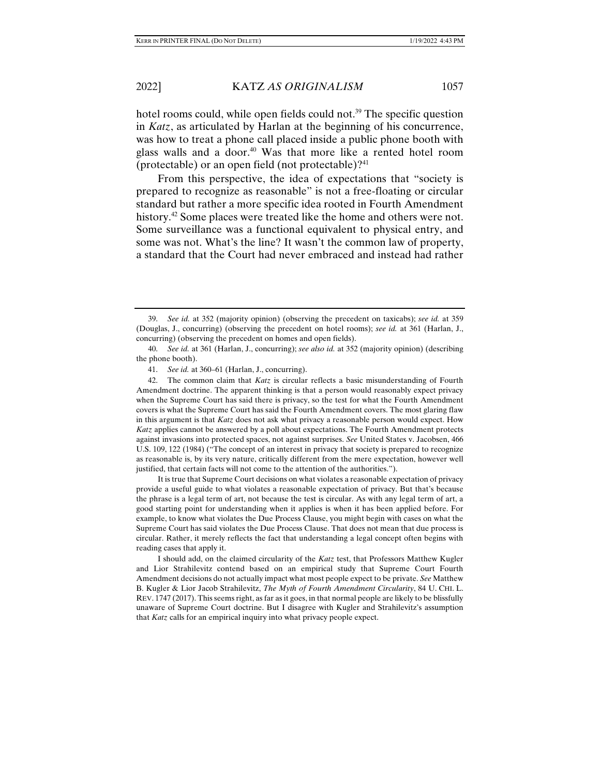hotel rooms could, while open fields could not.<sup>39</sup> The specific question in *Katz*, as articulated by Harlan at the beginning of his concurrence, was how to treat a phone call placed inside a public phone booth with glass walls and a door.<sup>40</sup> Was that more like a rented hotel room (protectable) or an open field (not protectable)? $41$ 

From this perspective, the idea of expectations that "society is prepared to recognize as reasonable" is not a free-floating or circular standard but rather a more specific idea rooted in Fourth Amendment history.<sup>42</sup> Some places were treated like the home and others were not. Some surveillance was a functional equivalent to physical entry, and some was not. What's the line? It wasn't the common law of property, a standard that the Court had never embraced and instead had rather

It is true that Supreme Court decisions on what violates a reasonable expectation of privacy provide a useful guide to what violates a reasonable expectation of privacy. But that's because the phrase is a legal term of art, not because the test is circular. As with any legal term of art, a good starting point for understanding when it applies is when it has been applied before. For example, to know what violates the Due Process Clause, you might begin with cases on what the Supreme Court has said violates the Due Process Clause. That does not mean that due process is circular. Rather, it merely reflects the fact that understanding a legal concept often begins with reading cases that apply it.

I should add, on the claimed circularity of the *Katz* test, that Professors Matthew Kugler and Lior Strahilevitz contend based on an empirical study that Supreme Court Fourth Amendment decisions do not actually impact what most people expect to be private. *See* Matthew B. Kugler & Lior Jacob Strahilevitz, *The Myth of Fourth Amendment Circularity*, 84 U. CHI. L. REV. 1747 (2017). This seems right, as far as it goes, in that normal people are likely to be blissfully unaware of Supreme Court doctrine. But I disagree with Kugler and Strahilevitz's assumption that *Katz* calls for an empirical inquiry into what privacy people expect.

 <sup>39.</sup> *See id.* at 352 (majority opinion) (observing the precedent on taxicabs); *see id.* at 359 (Douglas, J., concurring) (observing the precedent on hotel rooms); *see id.* at 361 (Harlan, J., concurring) (observing the precedent on homes and open fields).

 <sup>40.</sup> *See id.* at 361 (Harlan, J., concurring); *see also id.* at 352 (majority opinion) (describing the phone booth).

 <sup>41.</sup> *See id.* at 360–61 (Harlan, J., concurring).

 <sup>42.</sup> The common claim that *Katz* is circular reflects a basic misunderstanding of Fourth Amendment doctrine. The apparent thinking is that a person would reasonably expect privacy when the Supreme Court has said there is privacy, so the test for what the Fourth Amendment covers is what the Supreme Court has said the Fourth Amendment covers. The most glaring flaw in this argument is that *Katz* does not ask what privacy a reasonable person would expect. How *Katz* applies cannot be answered by a poll about expectations. The Fourth Amendment protects against invasions into protected spaces, not against surprises. *See* United States v. Jacobsen, 466 U.S. 109, 122 (1984) ("The concept of an interest in privacy that society is prepared to recognize as reasonable is, by its very nature, critically different from the mere expectation, however well justified, that certain facts will not come to the attention of the authorities.").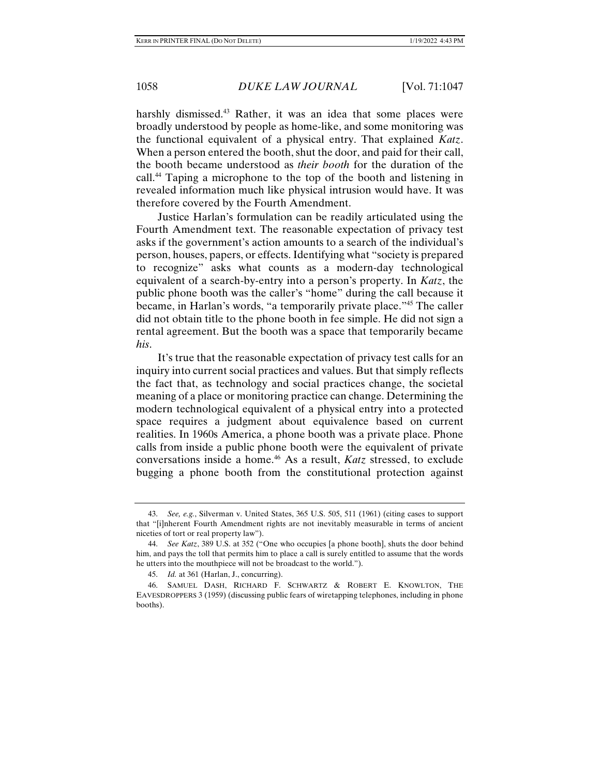harshly dismissed.<sup>43</sup> Rather, it was an idea that some places were broadly understood by people as home-like, and some monitoring was the functional equivalent of a physical entry. That explained *Katz*. When a person entered the booth, shut the door, and paid for their call, the booth became understood as *their booth* for the duration of the call.44 Taping a microphone to the top of the booth and listening in revealed information much like physical intrusion would have. It was therefore covered by the Fourth Amendment.

Justice Harlan's formulation can be readily articulated using the Fourth Amendment text. The reasonable expectation of privacy test asks if the government's action amounts to a search of the individual's person, houses, papers, or effects. Identifying what "society is prepared to recognize" asks what counts as a modern-day technological equivalent of a search-by-entry into a person's property. In *Katz*, the public phone booth was the caller's "home" during the call because it became, in Harlan's words, "a temporarily private place."45 The caller did not obtain title to the phone booth in fee simple. He did not sign a rental agreement. But the booth was a space that temporarily became *his*.

It's true that the reasonable expectation of privacy test calls for an inquiry into current social practices and values. But that simply reflects the fact that, as technology and social practices change, the societal meaning of a place or monitoring practice can change. Determining the modern technological equivalent of a physical entry into a protected space requires a judgment about equivalence based on current realities. In 1960s America, a phone booth was a private place. Phone calls from inside a public phone booth were the equivalent of private conversations inside a home.46 As a result, *Katz* stressed, to exclude bugging a phone booth from the constitutional protection against

 <sup>43.</sup> *See, e.g.*, Silverman v. United States, 365 U.S. 505, 511 (1961) (citing cases to support that "[i]nherent Fourth Amendment rights are not inevitably measurable in terms of ancient niceties of tort or real property law").

 <sup>44.</sup> *See Katz*, 389 U.S. at 352 ("One who occupies [a phone booth], shuts the door behind him, and pays the toll that permits him to place a call is surely entitled to assume that the words he utters into the mouthpiece will not be broadcast to the world.").

 <sup>45.</sup> *Id.* at 361 (Harlan, J., concurring).

 <sup>46.</sup> SAMUEL DASH, RICHARD F. SCHWARTZ & ROBERT E. KNOWLTON, THE EAVESDROPPERS 3 (1959) (discussing public fears of wiretapping telephones, including in phone booths).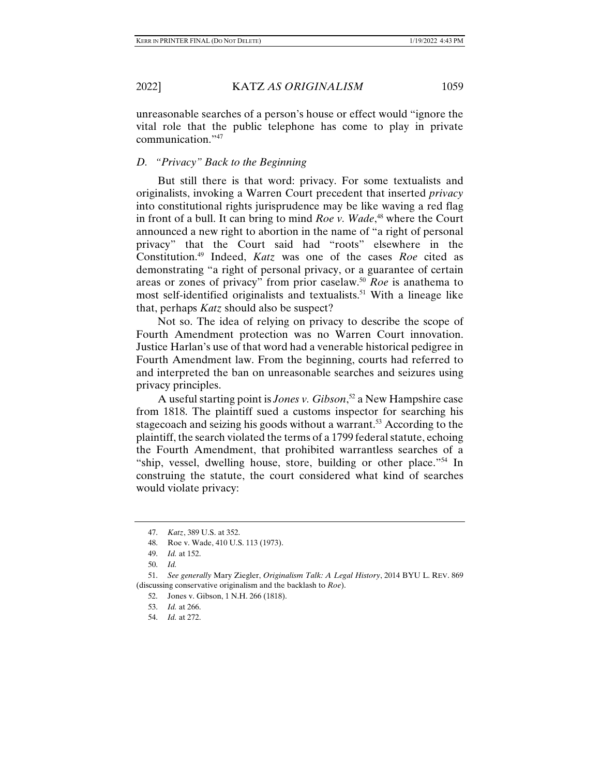unreasonable searches of a person's house or effect would "ignore the vital role that the public telephone has come to play in private communication."47

# *D. "Privacy" Back to the Beginning*

But still there is that word: privacy. For some textualists and originalists, invoking a Warren Court precedent that inserted *privacy* into constitutional rights jurisprudence may be like waving a red flag in front of a bull. It can bring to mind *Roe v. Wade*, 48 where the Court announced a new right to abortion in the name of "a right of personal privacy" that the Court said had "roots" elsewhere in the Constitution.49 Indeed, *Katz* was one of the cases *Roe* cited as demonstrating "a right of personal privacy, or a guarantee of certain areas or zones of privacy" from prior caselaw.50 *Roe* is anathema to most self-identified originalists and textualists.51 With a lineage like that, perhaps *Katz* should also be suspect?

Not so. The idea of relying on privacy to describe the scope of Fourth Amendment protection was no Warren Court innovation. Justice Harlan's use of that word had a venerable historical pedigree in Fourth Amendment law. From the beginning, courts had referred to and interpreted the ban on unreasonable searches and seizures using privacy principles.

A useful starting point is *Jones v. Gibson*, 52 a New Hampshire case from 1818. The plaintiff sued a customs inspector for searching his stagecoach and seizing his goods without a warrant.<sup>53</sup> According to the plaintiff, the search violated the terms of a 1799 federal statute, echoing the Fourth Amendment, that prohibited warrantless searches of a "ship, vessel, dwelling house, store, building or other place."54 In construing the statute, the court considered what kind of searches would violate privacy:

 <sup>47.</sup> *Katz*, 389 U.S. at 352.

 <sup>48.</sup> Roe v. Wade, 410 U.S. 113 (1973).

 <sup>49.</sup> *Id.* at 152.

 <sup>50.</sup> *Id.*

 <sup>51.</sup> *See generally* Mary Ziegler, *Originalism Talk: A Legal History*, 2014 BYU L. REV. 869 (discussing conservative originalism and the backlash to *Roe*).

 <sup>52.</sup> Jones v. Gibson, 1 N.H. 266 (1818).

 <sup>53.</sup> *Id.* at 266.

 <sup>54.</sup> *Id.* at 272.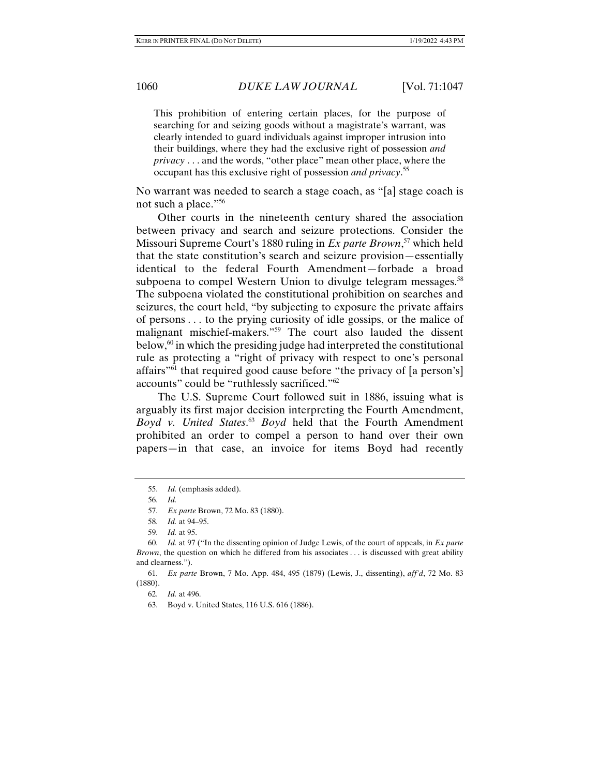This prohibition of entering certain places, for the purpose of searching for and seizing goods without a magistrate's warrant, was clearly intended to guard individuals against improper intrusion into their buildings, where they had the exclusive right of possession *and privacy* . . . and the words, "other place" mean other place, where the occupant has this exclusive right of possession *and privacy*. 55

No warrant was needed to search a stage coach, as "[a] stage coach is not such a place."56

Other courts in the nineteenth century shared the association between privacy and search and seizure protections. Consider the Missouri Supreme Court's 1880 ruling in *Ex parte Brown*, 57 which held that the state constitution's search and seizure provision—essentially identical to the federal Fourth Amendment—forbade a broad subpoena to compel Western Union to divulge telegram messages.<sup>58</sup> The subpoena violated the constitutional prohibition on searches and seizures, the court held, "by subjecting to exposure the private affairs of persons . . . to the prying curiosity of idle gossips, or the malice of malignant mischief-makers."59 The court also lauded the dissent below, $60$  in which the presiding judge had interpreted the constitutional rule as protecting a "right of privacy with respect to one's personal affairs"61 that required good cause before "the privacy of [a person's] accounts" could be "ruthlessly sacrificed."62

The U.S. Supreme Court followed suit in 1886, issuing what is arguably its first major decision interpreting the Fourth Amendment, *Boyd v. United States*. <sup>63</sup> *Boyd* held that the Fourth Amendment prohibited an order to compel a person to hand over their own papers—in that case, an invoice for items Boyd had recently

 <sup>55.</sup> *Id.* (emphasis added).

 <sup>56.</sup> *Id.*

 <sup>57.</sup> *Ex parte* Brown, 72 Mo. 83 (1880).

 <sup>58.</sup> *Id.* at 94–95.

 <sup>59.</sup> *Id.* at 95.

 <sup>60.</sup> *Id.* at 97 ("In the dissenting opinion of Judge Lewis, of the court of appeals, in *Ex parte Brown*, the question on which he differed from his associates . . . is discussed with great ability and clearness.").

 <sup>61.</sup> *Ex parte* Brown, 7 Mo. App. 484, 495 (1879) (Lewis, J., dissenting), *aff'd*, 72 Mo. 83 (1880).

 <sup>62.</sup> *Id.* at 496.

 <sup>63.</sup> Boyd v. United States, 116 U.S. 616 (1886).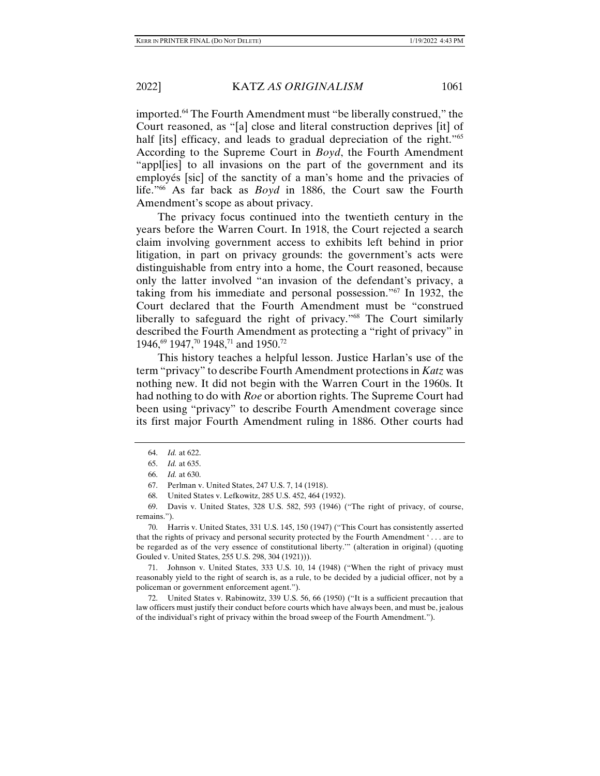imported.<sup>64</sup> The Fourth Amendment must "be liberally construed," the Court reasoned, as "[a] close and literal construction deprives [it] of half [its] efficacy, and leads to gradual depreciation of the right."<sup>65</sup> According to the Supreme Court in *Boyd*, the Fourth Amendment "appl[ies] to all invasions on the part of the government and its employés [sic] of the sanctity of a man's home and the privacies of life."66 As far back as *Boyd* in 1886, the Court saw the Fourth Amendment's scope as about privacy.

The privacy focus continued into the twentieth century in the years before the Warren Court. In 1918, the Court rejected a search claim involving government access to exhibits left behind in prior litigation, in part on privacy grounds: the government's acts were distinguishable from entry into a home, the Court reasoned, because only the latter involved "an invasion of the defendant's privacy, a taking from his immediate and personal possession."67 In 1932, the Court declared that the Fourth Amendment must be "construed liberally to safeguard the right of privacy."68 The Court similarly described the Fourth Amendment as protecting a "right of privacy" in 1946,<sup>69</sup> 1947,<sup>70</sup> 1948,<sup>71</sup> and 1950.<sup>72</sup>

This history teaches a helpful lesson. Justice Harlan's use of the term "privacy" to describe Fourth Amendment protections in *Katz* was nothing new. It did not begin with the Warren Court in the 1960s. It had nothing to do with *Roe* or abortion rights. The Supreme Court had been using "privacy" to describe Fourth Amendment coverage since its first major Fourth Amendment ruling in 1886. Other courts had

 71. Johnson v. United States, 333 U.S. 10, 14 (1948) ("When the right of privacy must reasonably yield to the right of search is, as a rule, to be decided by a judicial officer, not by a policeman or government enforcement agent.").

 72. United States v. Rabinowitz, 339 U.S. 56, 66 (1950) ("It is a sufficient precaution that law officers must justify their conduct before courts which have always been, and must be, jealous of the individual's right of privacy within the broad sweep of the Fourth Amendment.").

 <sup>64.</sup> *Id.* at 622.

 <sup>65.</sup> *Id.* at 635.

 <sup>66.</sup> *Id.* at 630.

 <sup>67.</sup> Perlman v. United States, 247 U.S. 7, 14 (1918).

 <sup>68.</sup> United States v. Lefkowitz, 285 U.S. 452, 464 (1932).

 <sup>69.</sup> Davis v. United States, 328 U.S. 582, 593 (1946) ("The right of privacy, of course, remains.").

 <sup>70.</sup> Harris v. United States, 331 U.S. 145, 150 (1947) ("This Court has consistently asserted that the rights of privacy and personal security protected by the Fourth Amendment ' . . . are to be regarded as of the very essence of constitutional liberty.'" (alteration in original) (quoting Gouled v. United States, 255 U.S. 298, 304 (1921))).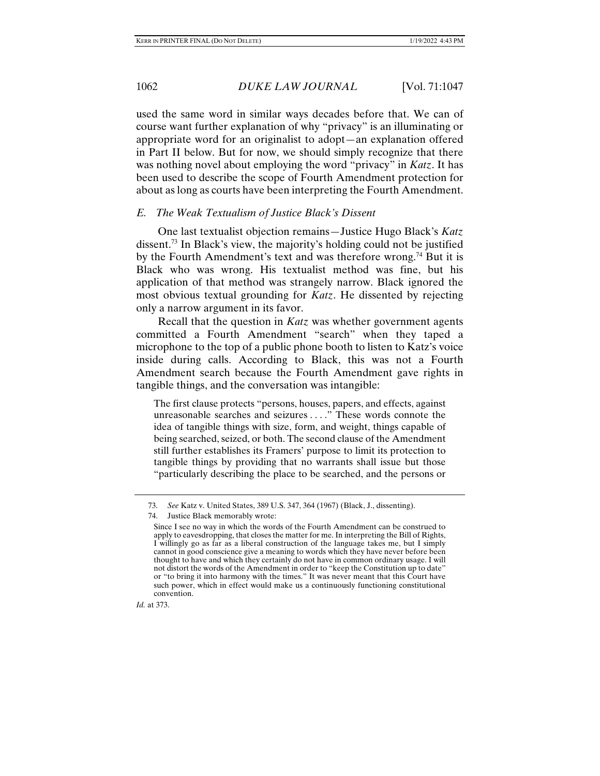used the same word in similar ways decades before that. We can of course want further explanation of why "privacy" is an illuminating or appropriate word for an originalist to adopt—an explanation offered in Part II below. But for now, we should simply recognize that there was nothing novel about employing the word "privacy" in *Katz*. It has been used to describe the scope of Fourth Amendment protection for about as long as courts have been interpreting the Fourth Amendment.

# *E. The Weak Textualism of Justice Black's Dissent*

One last textualist objection remains—Justice Hugo Black's *Katz*  dissent.73 In Black's view, the majority's holding could not be justified by the Fourth Amendment's text and was therefore wrong.<sup>74</sup> But it is Black who was wrong. His textualist method was fine, but his application of that method was strangely narrow. Black ignored the most obvious textual grounding for *Katz*. He dissented by rejecting only a narrow argument in its favor.

Recall that the question in *Katz* was whether government agents committed a Fourth Amendment "search" when they taped a microphone to the top of a public phone booth to listen to Katz's voice inside during calls. According to Black, this was not a Fourth Amendment search because the Fourth Amendment gave rights in tangible things, and the conversation was intangible:

The first clause protects "persons, houses, papers, and effects, against unreasonable searches and seizures . . . ." These words connote the idea of tangible things with size, form, and weight, things capable of being searched, seized, or both. The second clause of the Amendment still further establishes its Framers' purpose to limit its protection to tangible things by providing that no warrants shall issue but those "particularly describing the place to be searched, and the persons or

*Id.* at 373.

 <sup>73.</sup> *See* Katz v. United States, 389 U.S. 347, 364 (1967) (Black, J., dissenting).

 <sup>74.</sup> Justice Black memorably wrote:

Since I see no way in which the words of the Fourth Amendment can be construed to apply to eavesdropping, that closes the matter for me. In interpreting the Bill of Rights, I willingly go as far as a liberal construction of the language takes me, but I simply cannot in good conscience give a meaning to words which they have never before been thought to have and which they certainly do not have in common ordinary usage. I will not distort the words of the Amendment in order to "keep the Constitution up to date" or "to bring it into harmony with the times." It was never meant that this Court have such power, which in effect would make us a continuously functioning constitutional convention.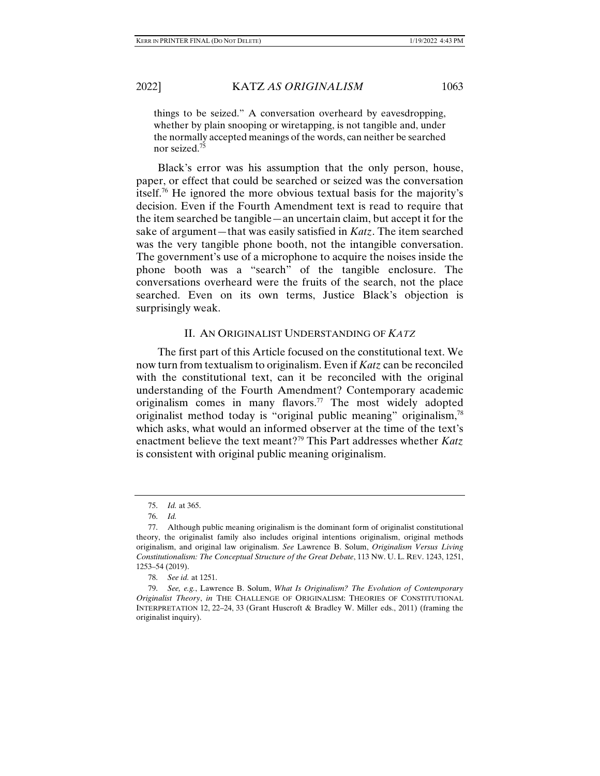things to be seized." A conversation overheard by eavesdropping, whether by plain snooping or wiretapping, is not tangible and, under the normally accepted meanings of the words, can neither be searched nor seized.75

Black's error was his assumption that the only person, house, paper, or effect that could be searched or seized was the conversation itself.76 He ignored the more obvious textual basis for the majority's decision. Even if the Fourth Amendment text is read to require that the item searched be tangible—an uncertain claim, but accept it for the sake of argument—that was easily satisfied in *Katz*. The item searched was the very tangible phone booth, not the intangible conversation. The government's use of a microphone to acquire the noises inside the phone booth was a "search" of the tangible enclosure. The conversations overheard were the fruits of the search, not the place searched. Even on its own terms, Justice Black's objection is surprisingly weak.

# II. AN ORIGINALIST UNDERSTANDING OF *KATZ*

The first part of this Article focused on the constitutional text. We now turn from textualism to originalism. Even if *Katz* can be reconciled with the constitutional text, can it be reconciled with the original understanding of the Fourth Amendment? Contemporary academic originalism comes in many flavors.77 The most widely adopted originalist method today is "original public meaning" originalism,78 which asks, what would an informed observer at the time of the text's enactment believe the text meant?79 This Part addresses whether *Katz* is consistent with original public meaning originalism.

 <sup>75.</sup> *Id.* at 365.

 <sup>76.</sup> *Id.*

 <sup>77.</sup> Although public meaning originalism is the dominant form of originalist constitutional theory, the originalist family also includes original intentions originalism, original methods originalism, and original law originalism. *See* Lawrence B. Solum, *Originalism Versus Living Constitutionalism: The Conceptual Structure of the Great Debate*, 113 NW. U. L. REV. 1243, 1251, 1253–54 (2019).

 <sup>78.</sup> *See id.* at 1251.

 <sup>79.</sup> *See, e.g.*, Lawrence B. Solum, *What Is Originalism? The Evolution of Contemporary Originalist Theory*, *in* THE CHALLENGE OF ORIGINALISM: THEORIES OF CONSTITUTIONAL INTERPRETATION 12, 22–24, 33 (Grant Huscroft & Bradley W. Miller eds., 2011) (framing the originalist inquiry).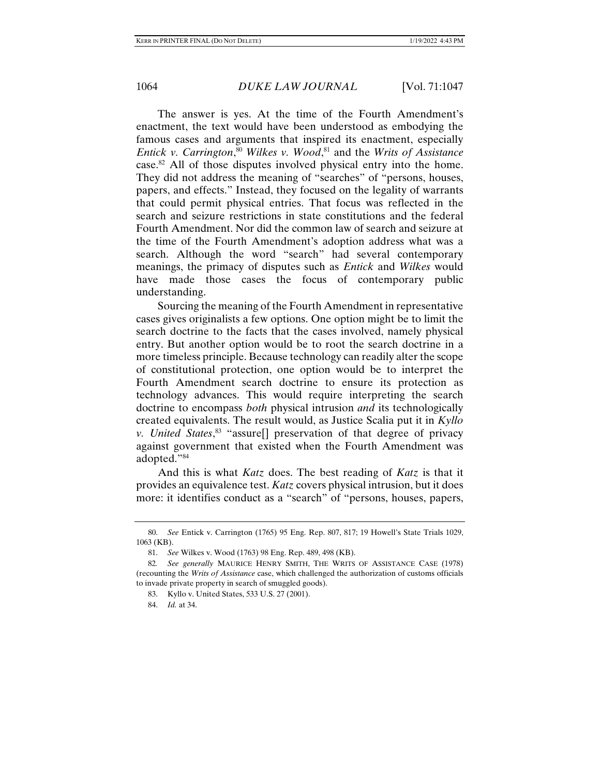The answer is yes. At the time of the Fourth Amendment's enactment, the text would have been understood as embodying the famous cases and arguments that inspired its enactment, especially *Entick v. Carrington*, <sup>80</sup> *Wilkes v. Wood*, 81 and the *Writs of Assistance*  case.<sup>82</sup> All of those disputes involved physical entry into the home. They did not address the meaning of "searches" of "persons, houses, papers, and effects." Instead, they focused on the legality of warrants that could permit physical entries. That focus was reflected in the search and seizure restrictions in state constitutions and the federal Fourth Amendment. Nor did the common law of search and seizure at the time of the Fourth Amendment's adoption address what was a search. Although the word "search" had several contemporary meanings, the primacy of disputes such as *Entick* and *Wilkes* would have made those cases the focus of contemporary public understanding.

Sourcing the meaning of the Fourth Amendment in representative cases gives originalists a few options. One option might be to limit the search doctrine to the facts that the cases involved, namely physical entry. But another option would be to root the search doctrine in a more timeless principle. Because technology can readily alter the scope of constitutional protection, one option would be to interpret the Fourth Amendment search doctrine to ensure its protection as technology advances. This would require interpreting the search doctrine to encompass *both* physical intrusion *and* its technologically created equivalents. The result would, as Justice Scalia put it in *Kyllo v. United States*, 83 "assure[] preservation of that degree of privacy against government that existed when the Fourth Amendment was adopted."84

And this is what *Katz* does. The best reading of *Katz* is that it provides an equivalence test. *Katz* covers physical intrusion, but it does more: it identifies conduct as a "search" of "persons, houses, papers,

 <sup>80.</sup> *See* Entick v. Carrington (1765) 95 Eng. Rep. 807, 817; 19 Howell's State Trials 1029, 1063 (KB).

 <sup>81.</sup> *See* Wilkes v. Wood (1763) 98 Eng. Rep. 489, 498 (KB).

<sup>82</sup>*. See generally* MAURICE HENRY SMITH, THE WRITS OF ASSISTANCE CASE (1978) (recounting the *Writs of Assistance* case, which challenged the authorization of customs officials to invade private property in search of smuggled goods).

 <sup>83.</sup> Kyllo v. United States, 533 U.S. 27 (2001).

 <sup>84.</sup> *Id.* at 34.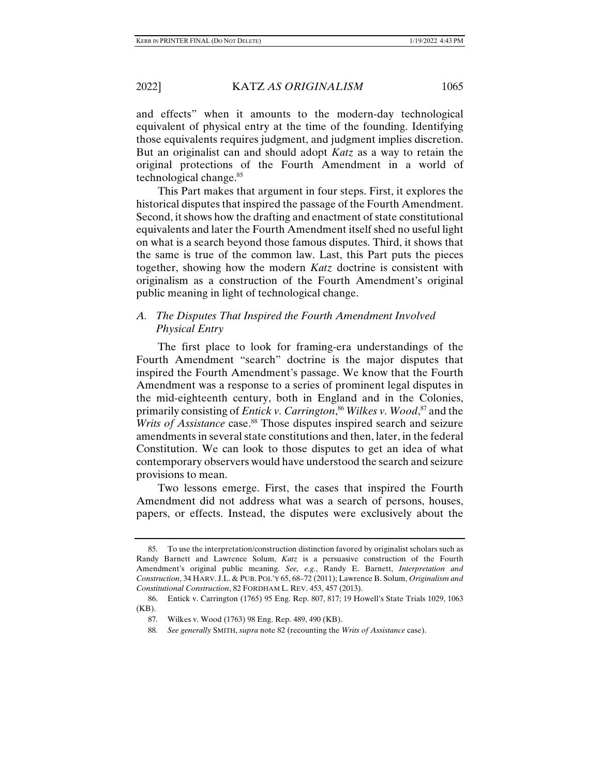and effects" when it amounts to the modern-day technological equivalent of physical entry at the time of the founding. Identifying those equivalents requires judgment, and judgment implies discretion. But an originalist can and should adopt *Katz* as a way to retain the original protections of the Fourth Amendment in a world of technological change.<sup>85</sup>

This Part makes that argument in four steps. First, it explores the historical disputes that inspired the passage of the Fourth Amendment. Second, it shows how the drafting and enactment of state constitutional equivalents and later the Fourth Amendment itself shed no useful light on what is a search beyond those famous disputes. Third, it shows that the same is true of the common law. Last, this Part puts the pieces together, showing how the modern *Katz* doctrine is consistent with originalism as a construction of the Fourth Amendment's original public meaning in light of technological change.

# *A. The Disputes That Inspired the Fourth Amendment Involved Physical Entry*

The first place to look for framing-era understandings of the Fourth Amendment "search" doctrine is the major disputes that inspired the Fourth Amendment's passage. We know that the Fourth Amendment was a response to a series of prominent legal disputes in the mid-eighteenth century, both in England and in the Colonies, primarily consisting of *Entick v. Carrington*, <sup>86</sup> *Wilkes v. Wood*, 87 and the *Writs of Assistance* case.<sup>88</sup> Those disputes inspired search and seizure amendments in several state constitutions and then, later, in the federal Constitution. We can look to those disputes to get an idea of what contemporary observers would have understood the search and seizure provisions to mean.

Two lessons emerge. First, the cases that inspired the Fourth Amendment did not address what was a search of persons, houses, papers, or effects. Instead, the disputes were exclusively about the

 <sup>85.</sup> To use the interpretation/construction distinction favored by originalist scholars such as Randy Barnett and Lawrence Solum, *Katz* is a persuasive construction of the Fourth Amendment's original public meaning. *See, e.g.*, Randy E. Barnett, *Interpretation and Construction*, 34 HARV. J.L. & PUB. POL'Y 65, 68–72 (2011); Lawrence B. Solum, *Originalism and Constitutional Construction*, 82 FORDHAM L. REV. 453, 457 (2013).

 <sup>86.</sup> Entick v. Carrington (1765) 95 Eng. Rep. 807, 817; 19 Howell's State Trials 1029, 1063 (KB).

 <sup>87.</sup> Wilkes v. Wood (1763) 98 Eng. Rep. 489, 490 (KB).

<sup>88</sup>*. See generally* SMITH, *supra* note 82 (recounting the *Writs of Assistance* case).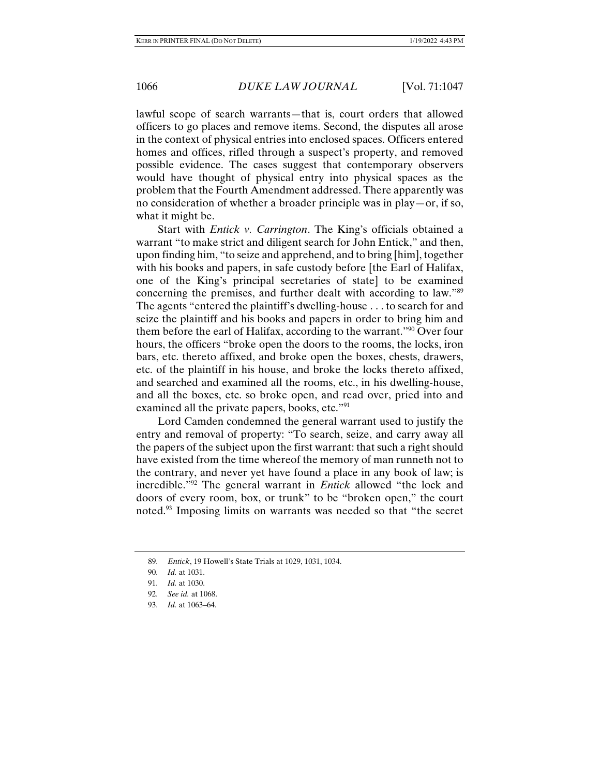lawful scope of search warrants—that is, court orders that allowed officers to go places and remove items. Second, the disputes all arose in the context of physical entries into enclosed spaces. Officers entered homes and offices, rifled through a suspect's property, and removed possible evidence. The cases suggest that contemporary observers would have thought of physical entry into physical spaces as the problem that the Fourth Amendment addressed. There apparently was no consideration of whether a broader principle was in play—or, if so, what it might be.

Start with *Entick v. Carrington*. The King's officials obtained a warrant "to make strict and diligent search for John Entick," and then, upon finding him, "to seize and apprehend, and to bring [him], together with his books and papers, in safe custody before [the Earl of Halifax, one of the King's principal secretaries of state] to be examined concerning the premises, and further dealt with according to law."89 The agents "entered the plaintiff's dwelling-house . . . to search for and seize the plaintiff and his books and papers in order to bring him and them before the earl of Halifax, according to the warrant."90 Over four hours, the officers "broke open the doors to the rooms, the locks, iron bars, etc. thereto affixed, and broke open the boxes, chests, drawers, etc. of the plaintiff in his house, and broke the locks thereto affixed, and searched and examined all the rooms, etc., in his dwelling-house, and all the boxes, etc. so broke open, and read over, pried into and examined all the private papers, books, etc."<sup>91</sup>

Lord Camden condemned the general warrant used to justify the entry and removal of property: "To search, seize, and carry away all the papers of the subject upon the first warrant: that such a right should have existed from the time whereof the memory of man runneth not to the contrary, and never yet have found a place in any book of law; is incredible."92 The general warrant in *Entick* allowed "the lock and doors of every room, box, or trunk" to be "broken open," the court noted.93 Imposing limits on warrants was needed so that "the secret

 <sup>89.</sup> *Entick*, 19 Howell's State Trials at 1029, 1031, 1034.

 <sup>90.</sup> *Id.* at 1031.

 <sup>91.</sup> *Id.* at 1030.

 <sup>92.</sup> *See id.* at 1068.

 <sup>93.</sup> *Id.* at 1063–64.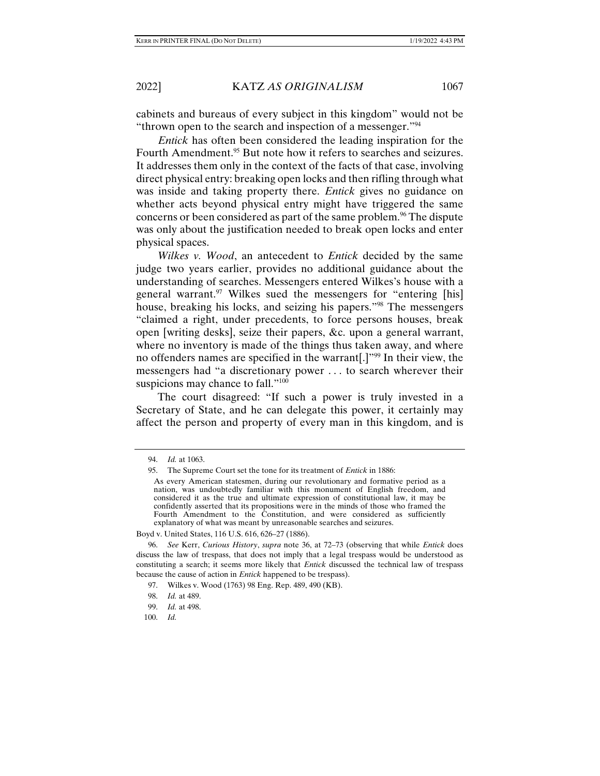cabinets and bureaus of every subject in this kingdom" would not be "thrown open to the search and inspection of a messenger."<sup>94</sup>

*Entick* has often been considered the leading inspiration for the Fourth Amendment.<sup>95</sup> But note how it refers to searches and seizures. It addresses them only in the context of the facts of that case, involving direct physical entry: breaking open locks and then rifling through what was inside and taking property there. *Entick* gives no guidance on whether acts beyond physical entry might have triggered the same concerns or been considered as part of the same problem.<sup>96</sup> The dispute was only about the justification needed to break open locks and enter physical spaces.

*Wilkes v. Wood*, an antecedent to *Entick* decided by the same judge two years earlier, provides no additional guidance about the understanding of searches. Messengers entered Wilkes's house with a general warrant.<sup>97</sup> Wilkes sued the messengers for "entering [his] house, breaking his locks, and seizing his papers."98 The messengers "claimed a right, under precedents, to force persons houses, break open [writing desks], seize their papers, &c. upon a general warrant, where no inventory is made of the things thus taken away, and where no offenders names are specified in the warrant.  $\mathbb{R}^{99}$  In their view, the messengers had "a discretionary power . . . to search wherever their suspicions may chance to fall."<sup>100</sup>

The court disagreed: "If such a power is truly invested in a Secretary of State, and he can delegate this power, it certainly may affect the person and property of every man in this kingdom, and is

 <sup>94.</sup> *Id.* at 1063.

 <sup>95.</sup> The Supreme Court set the tone for its treatment of *Entick* in 1886:

As every American statesmen, during our revolutionary and formative period as a nation, was undoubtedly familiar with this monument of English freedom, and considered it as the true and ultimate expression of constitutional law, it may be confidently asserted that its propositions were in the minds of those who framed the Fourth Amendment to the Constitution, and were considered as sufficiently explanatory of what was meant by unreasonable searches and seizures.

Boyd v. United States, 116 U.S. 616, 626–27 (1886).

 <sup>96.</sup> *See* Kerr, *Curious History*, *supra* note 36, at 72–73 (observing that while *Entick* does discuss the law of trespass, that does not imply that a legal trespass would be understood as constituting a search; it seems more likely that *Entick* discussed the technical law of trespass because the cause of action in *Entick* happened to be trespass).

 <sup>97.</sup> Wilkes v. Wood (1763) 98 Eng. Rep. 489, 490 (KB).

 <sup>98.</sup> *Id.* at 489.

 <sup>99.</sup> *Id.* at 498.

 <sup>100.</sup> *Id.*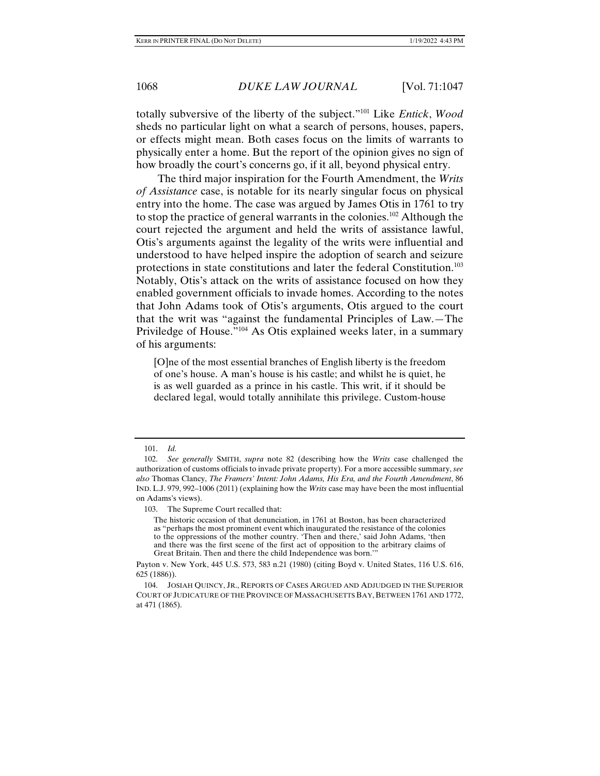totally subversive of the liberty of the subject."101 Like *Entick*, *Wood* sheds no particular light on what a search of persons, houses, papers, or effects might mean. Both cases focus on the limits of warrants to physically enter a home. But the report of the opinion gives no sign of how broadly the court's concerns go, if it all, beyond physical entry.

The third major inspiration for the Fourth Amendment, the *Writs of Assistance* case, is notable for its nearly singular focus on physical entry into the home. The case was argued by James Otis in 1761 to try to stop the practice of general warrants in the colonies.102 Although the court rejected the argument and held the writs of assistance lawful, Otis's arguments against the legality of the writs were influential and understood to have helped inspire the adoption of search and seizure protections in state constitutions and later the federal Constitution.103 Notably, Otis's attack on the writs of assistance focused on how they enabled government officials to invade homes. According to the notes that John Adams took of Otis's arguments, Otis argued to the court that the writ was "against the fundamental Principles of Law.—The Priviledge of House."104 As Otis explained weeks later, in a summary of his arguments:

[O]ne of the most essential branches of English liberty is the freedom of one's house. A man's house is his castle; and whilst he is quiet, he is as well guarded as a prince in his castle. This writ, if it should be declared legal, would totally annihilate this privilege. Custom-house

 <sup>101.</sup> *Id.* 

 <sup>102.</sup> *See generally* SMITH, *supra* note 82 (describing how the *Writs* case challenged the authorization of customs officials to invade private property). For a more accessible summary, *see also* Thomas Clancy, *The Framers' Intent: John Adams, His Era, and the Fourth Amendment*, 86 IND. L.J. 979, 992–1006 (2011) (explaining how the *Writs* case may have been the most influential on Adams's views).

 <sup>103.</sup> The Supreme Court recalled that:

The historic occasion of that denunciation, in 1761 at Boston, has been characterized as "perhaps the most prominent event which inaugurated the resistance of the colonies to the oppressions of the mother country. 'Then and there,' said John Adams, 'then and there was the first scene of the first act of opposition to the arbitrary claims of Great Britain. Then and there the child Independence was born.'

Payton v. New York, 445 U.S. 573, 583 n.21 (1980) (citing Boyd v. United States, 116 U.S. 616, 625 (1886)).

 <sup>104.</sup> JOSIAH QUINCY, JR., REPORTS OF CASES ARGUED AND ADJUDGED IN THE SUPERIOR COURT OF JUDICATURE OF THE PROVINCE OF MASSACHUSETTS BAY, BETWEEN 1761 AND 1772, at 471 (1865).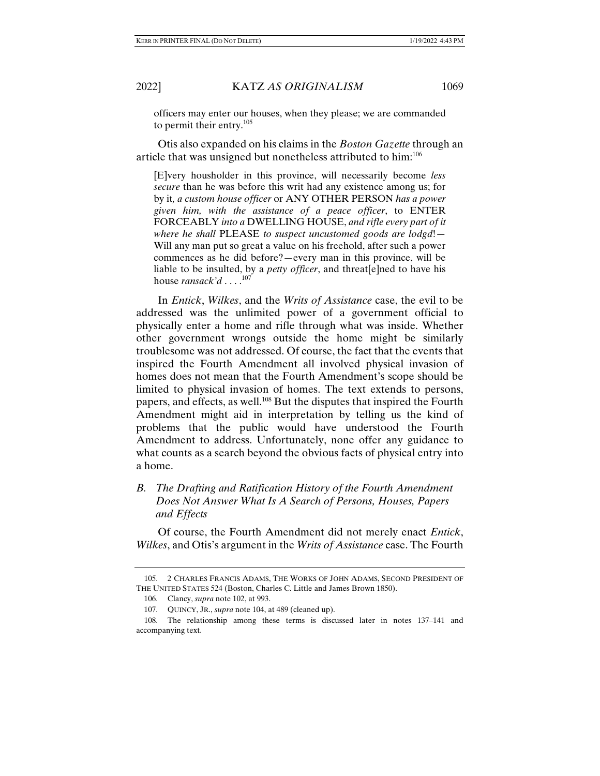officers may enter our houses, when they please; we are commanded to permit their entry. $105$ 

Otis also expanded on his claims in the *Boston Gazette* through an article that was unsigned but nonetheless attributed to him:106

[E]very housholder in this province, will necessarily become *less secure* than he was before this writ had any existence among us; for by it*, a custom house officer* or ANY OTHER PERSON *has a power given him, with the assistance of a peace officer*, to ENTER FORCEABLY *into a* DWELLING HOUSE, *and rifle every part of it where he shall* PLEASE *to suspect uncustomed goods are lodgd*!— Will any man put so great a value on his freehold, after such a power commences as he did before?—every man in this province, will be liable to be insulted, by a *petty officer*, and threat[e]ned to have his house *ransack'd* . . . .107

In *Entick*, *Wilkes*, and the *Writs of Assistance* case, the evil to be addressed was the unlimited power of a government official to physically enter a home and rifle through what was inside. Whether other government wrongs outside the home might be similarly troublesome was not addressed. Of course, the fact that the events that inspired the Fourth Amendment all involved physical invasion of homes does not mean that the Fourth Amendment's scope should be limited to physical invasion of homes. The text extends to persons, papers, and effects, as well.108 But the disputes that inspired the Fourth Amendment might aid in interpretation by telling us the kind of problems that the public would have understood the Fourth Amendment to address. Unfortunately, none offer any guidance to what counts as a search beyond the obvious facts of physical entry into a home.

*B. The Drafting and Ratification History of the Fourth Amendment Does Not Answer What Is A Search of Persons, Houses, Papers and Effects* 

Of course, the Fourth Amendment did not merely enact *Entick*, *Wilkes*, and Otis's argument in the *Writs of Assistance* case. The Fourth

 <sup>105. 2</sup> CHARLES FRANCIS ADAMS, THE WORKS OF JOHN ADAMS, SECOND PRESIDENT OF THE UNITED STATES 524 (Boston, Charles C. Little and James Brown 1850).

 <sup>106.</sup> Clancy, *supra* note 102, at 993.

 <sup>107.</sup> QUINCY, JR., *supra* note 104, at 489 (cleaned up).

 <sup>108.</sup> The relationship among these terms is discussed later in notes 137–141 and accompanying text.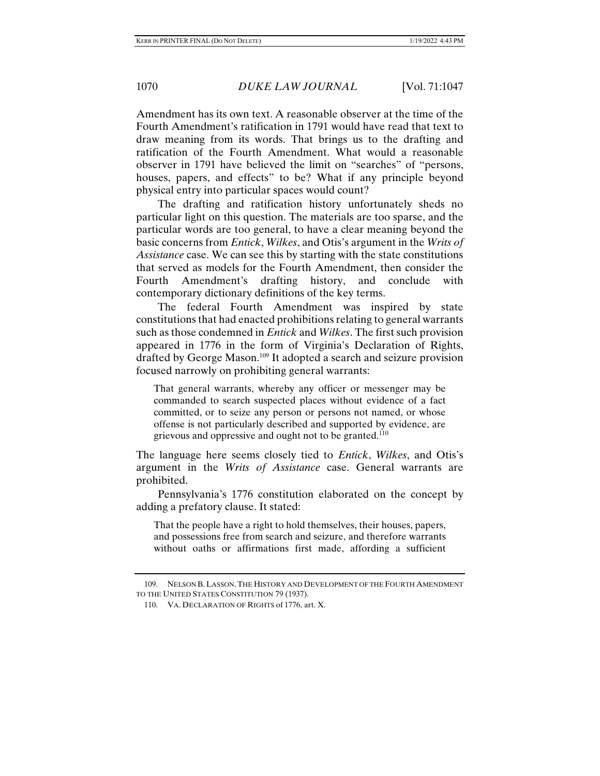Amendment has its own text. A reasonable observer at the time of the Fourth Amendment's ratification in 1791 would have read that text to draw meaning from its words. That brings us to the drafting and ratification of the Fourth Amendment. What would a reasonable observer in 1791 have believed the limit on "searches" of "persons, houses, papers, and effects" to be? What if any principle beyond physical entry into particular spaces would count?

The drafting and ratification history unfortunately sheds no particular light on this question. The materials are too sparse, and the particular words are too general, to have a clear meaning beyond the basic concerns from *Entick*, *Wilkes*, and Otis's argument in the *Writs of Assistance* case. We can see this by starting with the state constitutions that served as models for the Fourth Amendment, then consider the Fourth Amendment's drafting history, and conclude with contemporary dictionary definitions of the key terms.

The federal Fourth Amendment was inspired by state constitutions that had enacted prohibitions relating to general warrants such as those condemned in *Entick* and *Wilkes*. The first such provision appeared in 1776 in the form of Virginia's Declaration of Rights, drafted by George Mason.109 It adopted a search and seizure provision focused narrowly on prohibiting general warrants:

That general warrants, whereby any officer or messenger may be commanded to search suspected places without evidence of a fact committed, or to seize any person or persons not named, or whose offense is not particularly described and supported by evidence, are grievous and oppressive and ought not to be granted. $110$ 

The language here seems closely tied to *Entick*, *Wilkes*, and Otis's argument in the *Writs of Assistance* case. General warrants are prohibited.

Pennsylvania's 1776 constitution elaborated on the concept by adding a prefatory clause. It stated:

That the people have a right to hold themselves, their houses, papers, and possessions free from search and seizure, and therefore warrants without oaths or affirmations first made, affording a sufficient

 <sup>109.</sup> NELSON B.LASSON,THE HISTORY AND DEVELOPMENT OF THE FOURTH AMENDMENT TO THE UNITED STATES CONSTITUTION 79 (1937).

 <sup>110.</sup> VA. DECLARATION OF RIGHTS of 1776, art. X.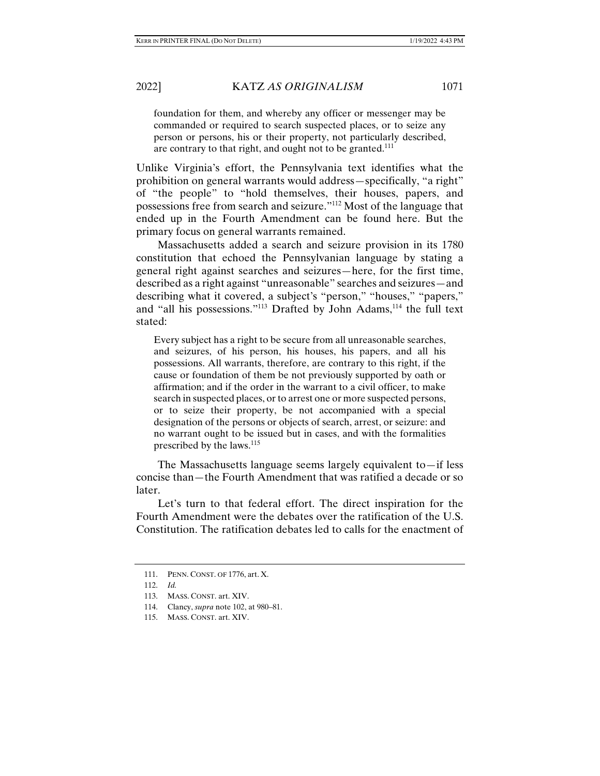foundation for them, and whereby any officer or messenger may be commanded or required to search suspected places, or to seize any person or persons, his or their property, not particularly described, are contrary to that right, and ought not to be granted.<sup>111</sup>

Unlike Virginia's effort, the Pennsylvania text identifies what the prohibition on general warrants would address—specifically, "a right" of "the people" to "hold themselves, their houses, papers, and possessions free from search and seizure."112 Most of the language that ended up in the Fourth Amendment can be found here. But the primary focus on general warrants remained.

Massachusetts added a search and seizure provision in its 1780 constitution that echoed the Pennsylvanian language by stating a general right against searches and seizures—here, for the first time, described as a right against "unreasonable" searches and seizures—and describing what it covered, a subject's "person," "houses," "papers," and "all his possessions."<sup>113</sup> Drafted by John Adams, $114$  the full text stated:

Every subject has a right to be secure from all unreasonable searches, and seizures, of his person, his houses, his papers, and all his possessions. All warrants, therefore, are contrary to this right, if the cause or foundation of them be not previously supported by oath or affirmation; and if the order in the warrant to a civil officer, to make search in suspected places, or to arrest one or more suspected persons, or to seize their property, be not accompanied with a special designation of the persons or objects of search, arrest, or seizure: and no warrant ought to be issued but in cases, and with the formalities prescribed by the laws.<sup>115</sup>

The Massachusetts language seems largely equivalent to—if less concise than—the Fourth Amendment that was ratified a decade or so later.

Let's turn to that federal effort. The direct inspiration for the Fourth Amendment were the debates over the ratification of the U.S. Constitution. The ratification debates led to calls for the enactment of

 <sup>111.</sup> PENN. CONST. OF 1776, art. X.

 <sup>112.</sup> *Id.* 

 <sup>113.</sup> MASS. CONST. art. XIV.

 <sup>114.</sup> Clancy, *supra* note 102, at 980–81.

 <sup>115.</sup> MASS. CONST. art. XIV.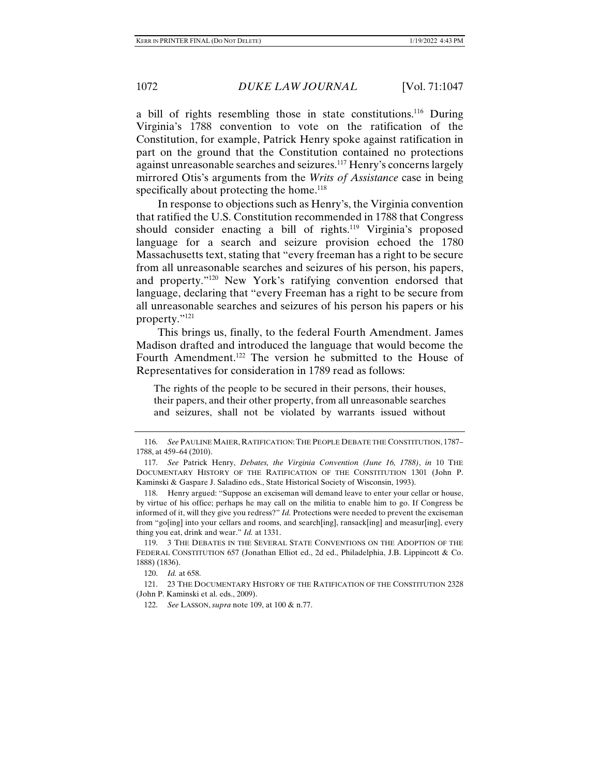a bill of rights resembling those in state constitutions.116 During Virginia's 1788 convention to vote on the ratification of the Constitution, for example, Patrick Henry spoke against ratification in part on the ground that the Constitution contained no protections against unreasonable searches and seizures.117 Henry's concerns largely mirrored Otis's arguments from the *Writs of Assistance* case in being specifically about protecting the home.<sup>118</sup>

In response to objections such as Henry's, the Virginia convention that ratified the U.S. Constitution recommended in 1788 that Congress should consider enacting a bill of rights.<sup>119</sup> Virginia's proposed language for a search and seizure provision echoed the 1780 Massachusetts text, stating that "every freeman has a right to be secure from all unreasonable searches and seizures of his person, his papers, and property."120 New York's ratifying convention endorsed that language, declaring that "every Freeman has a right to be secure from all unreasonable searches and seizures of his person his papers or his property."121

This brings us, finally, to the federal Fourth Amendment. James Madison drafted and introduced the language that would become the Fourth Amendment.<sup>122</sup> The version he submitted to the House of Representatives for consideration in 1789 read as follows:

The rights of the people to be secured in their persons, their houses, their papers, and their other property, from all unreasonable searches and seizures, shall not be violated by warrants issued without

 <sup>116.</sup> *See* PAULINE MAIER, RATIFICATION:THE PEOPLE DEBATE THE CONSTITUTION, 1787– 1788, at 459–64 (2010).

 <sup>117.</sup> *See* Patrick Henry, *Debates, the Virginia Convention (June 16, 1788)*, *in* 10 THE DOCUMENTARY HISTORY OF THE RATIFICATION OF THE CONSTITUTION 1301 (John P. Kaminski & Gaspare J. Saladino eds., State Historical Society of Wisconsin, 1993).

 <sup>118.</sup> Henry argued: "Suppose an exciseman will demand leave to enter your cellar or house, by virtue of his office; perhaps he may call on the militia to enable him to go. If Congress be informed of it, will they give you redress?" *Id.* Protections were needed to prevent the exciseman from "go[ing] into your cellars and rooms, and search[ing], ransack[ing] and measur[ing], every thing you eat, drink and wear." *Id.* at 1331.

 <sup>119. 3</sup> THE DEBATES IN THE SEVERAL STATE CONVENTIONS ON THE ADOPTION OF THE FEDERAL CONSTITUTION 657 (Jonathan Elliot ed., 2d ed., Philadelphia, J.B. Lippincott & Co. 1888) (1836).

 <sup>120.</sup> *Id.* at 658.

 <sup>121. 23</sup> THE DOCUMENTARY HISTORY OF THE RATIFICATION OF THE CONSTITUTION 2328 (John P. Kaminski et al. eds., 2009).

 <sup>122.</sup> *See* LASSON, *supra* note 109, at 100 & n.77.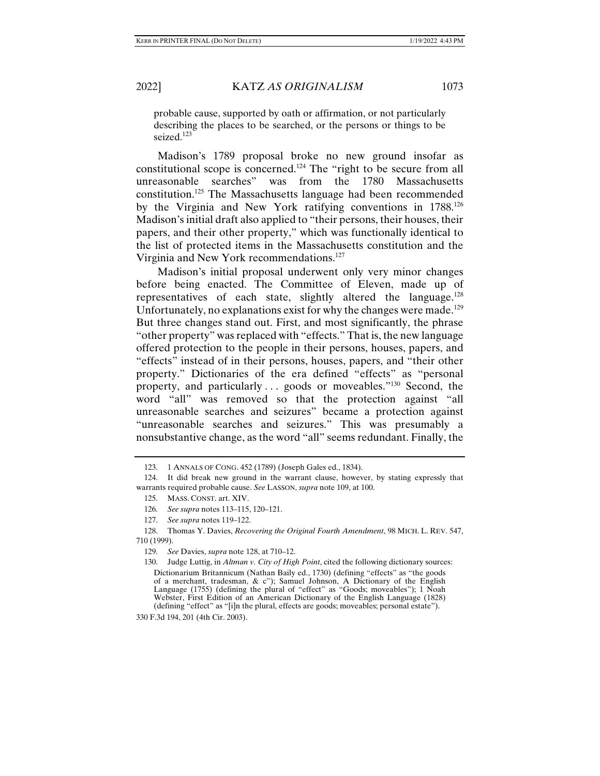probable cause, supported by oath or affirmation, or not particularly describing the places to be searched, or the persons or things to be seized.<sup>123</sup>

Madison's 1789 proposal broke no new ground insofar as constitutional scope is concerned.124 The "right to be secure from all unreasonable searches" was from the 1780 Massachusetts constitution.125 The Massachusetts language had been recommended by the Virginia and New York ratifying conventions in 1788.126 Madison's initial draft also applied to "their persons, their houses, their papers, and their other property," which was functionally identical to the list of protected items in the Massachusetts constitution and the Virginia and New York recommendations.<sup>127</sup>

Madison's initial proposal underwent only very minor changes before being enacted. The Committee of Eleven, made up of representatives of each state, slightly altered the language.<sup>128</sup> Unfortunately, no explanations exist for why the changes were made.<sup>129</sup> But three changes stand out. First, and most significantly, the phrase "other property" was replaced with "effects." That is, the new language offered protection to the people in their persons, houses, papers, and "effects" instead of in their persons, houses, papers, and "their other property." Dictionaries of the era defined "effects" as "personal property, and particularly . . . goods or moveables."130 Second, the word "all" was removed so that the protection against "all unreasonable searches and seizures" became a protection against "unreasonable searches and seizures." This was presumably a nonsubstantive change, as the word "all" seems redundant. Finally, the

330 F.3d 194, 201 (4th Cir. 2003).

 <sup>123. 1</sup> ANNALS OF CONG. 452 (1789) (Joseph Gales ed., 1834).

 <sup>124.</sup> It did break new ground in the warrant clause, however, by stating expressly that warrants required probable cause. *See* LASSON, *supra* note 109, at 100.

 <sup>125.</sup> MASS. CONST. art. XIV.

 <sup>126.</sup> *See supra* notes 113–115, 120–121.

 <sup>127.</sup> *See supra* notes 119–122.

 <sup>128.</sup> Thomas Y. Davies, *Recovering the Original Fourth Amendment*, 98 MICH. L. REV. 547, 710 (1999).

 <sup>129.</sup> *See* Davies, *supra* note 128, at 710–12.

 <sup>130.</sup> Judge Luttig, in *Altman v. City of High Point*, cited the following dictionary sources: Dictionarium Britannicum (Nathan Baily ed., 1730) (defining "effects" as "the goods of a merchant, tradesman, & c"); Samuel Johnson, A Dictionary of the English Language (1755) (defining the plural of "effect" as "Goods; moveables"); 1 Noah Webster, First Edition of an American Dictionary of the English Language (1828) (defining "effect" as "[i]n the plural, effects are goods; moveables; personal estate").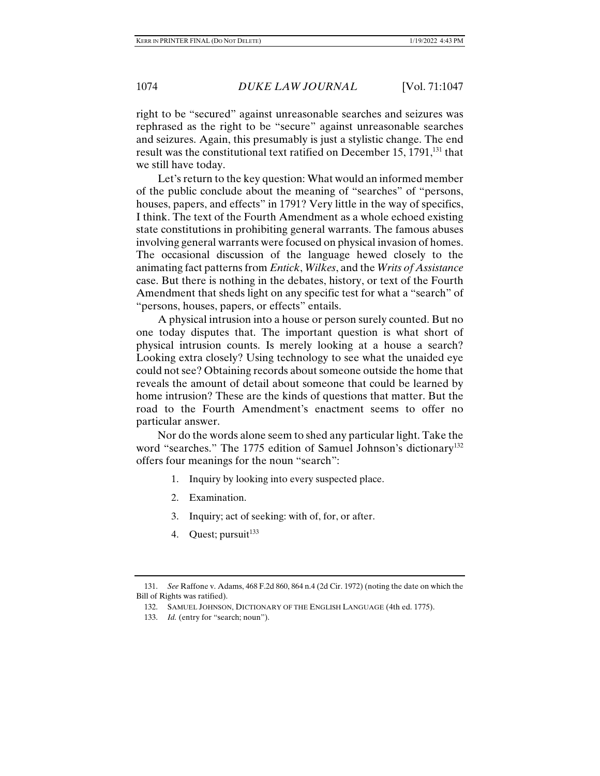right to be "secured" against unreasonable searches and seizures was rephrased as the right to be "secure" against unreasonable searches and seizures. Again, this presumably is just a stylistic change. The end result was the constitutional text ratified on December  $15, 1791$ ,<sup>131</sup> that we still have today.

Let's return to the key question: What would an informed member of the public conclude about the meaning of "searches" of "persons, houses, papers, and effects" in 1791? Very little in the way of specifics, I think. The text of the Fourth Amendment as a whole echoed existing state constitutions in prohibiting general warrants. The famous abuses involving general warrants were focused on physical invasion of homes. The occasional discussion of the language hewed closely to the animating fact patterns from *Entick*, *Wilkes*, and the *Writs of Assistance*  case. But there is nothing in the debates, history, or text of the Fourth Amendment that sheds light on any specific test for what a "search" of "persons, houses, papers, or effects" entails.

A physical intrusion into a house or person surely counted. But no one today disputes that. The important question is what short of physical intrusion counts. Is merely looking at a house a search? Looking extra closely? Using technology to see what the unaided eye could not see? Obtaining records about someone outside the home that reveals the amount of detail about someone that could be learned by home intrusion? These are the kinds of questions that matter. But the road to the Fourth Amendment's enactment seems to offer no particular answer.

Nor do the words alone seem to shed any particular light. Take the word "searches." The 1775 edition of Samuel Johnson's dictionary<sup>132</sup> offers four meanings for the noun "search":

- 1. Inquiry by looking into every suspected place.
- 2. Examination.
- 3. Inquiry; act of seeking: with of, for, or after.
- 4. Quest; pursuit $133$

 <sup>131.</sup> *See* Raffone v. Adams, 468 F.2d 860, 864 n.4 (2d Cir. 1972) (noting the date on which the Bill of Rights was ratified).

 <sup>132.</sup> SAMUEL JOHNSON, DICTIONARY OF THE ENGLISH LANGUAGE (4th ed. 1775).

 <sup>133.</sup> *Id.* (entry for "search; noun").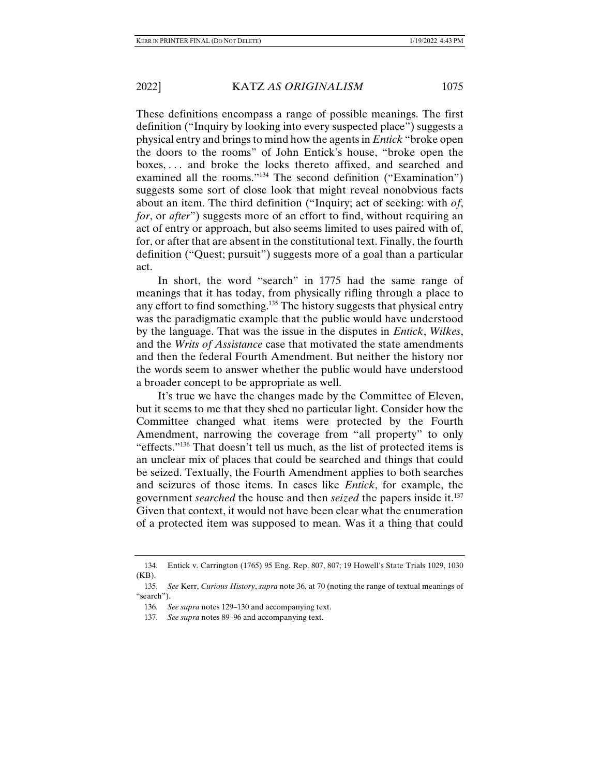These definitions encompass a range of possible meanings. The first definition ("Inquiry by looking into every suspected place") suggests a physical entry and brings to mind how the agents in *Entick* "broke open the doors to the rooms" of John Entick's house, "broke open the boxes, . . . and broke the locks thereto affixed, and searched and examined all the rooms."134 The second definition ("Examination") suggests some sort of close look that might reveal nonobvious facts about an item. The third definition ("Inquiry; act of seeking: with *of*, *for*, or *after*") suggests more of an effort to find, without requiring an act of entry or approach, but also seems limited to uses paired with of, for, or after that are absent in the constitutional text. Finally, the fourth definition ("Quest; pursuit") suggests more of a goal than a particular act.

In short, the word "search" in 1775 had the same range of meanings that it has today, from physically rifling through a place to any effort to find something.<sup>135</sup> The history suggests that physical entry was the paradigmatic example that the public would have understood by the language. That was the issue in the disputes in *Entick*, *Wilkes*, and the *Writs of Assistance* case that motivated the state amendments and then the federal Fourth Amendment. But neither the history nor the words seem to answer whether the public would have understood a broader concept to be appropriate as well.

It's true we have the changes made by the Committee of Eleven, but it seems to me that they shed no particular light. Consider how the Committee changed what items were protected by the Fourth Amendment, narrowing the coverage from "all property" to only "effects."136 That doesn't tell us much, as the list of protected items is an unclear mix of places that could be searched and things that could be seized. Textually, the Fourth Amendment applies to both searches and seizures of those items. In cases like *Entick*, for example, the government *searched* the house and then *seized* the papers inside it.137 Given that context, it would not have been clear what the enumeration of a protected item was supposed to mean. Was it a thing that could

 <sup>134.</sup> Entick v. Carrington (1765) 95 Eng. Rep. 807, 807; 19 Howell's State Trials 1029, 1030 (KB).

 <sup>135.</sup> *See* Kerr, *Curious History*, *supra* note 36, at 70 (noting the range of textual meanings of "search").

 <sup>136.</sup> *See supra* notes 129–130 and accompanying text.

 <sup>137.</sup> *See supra* notes 89–96 and accompanying text.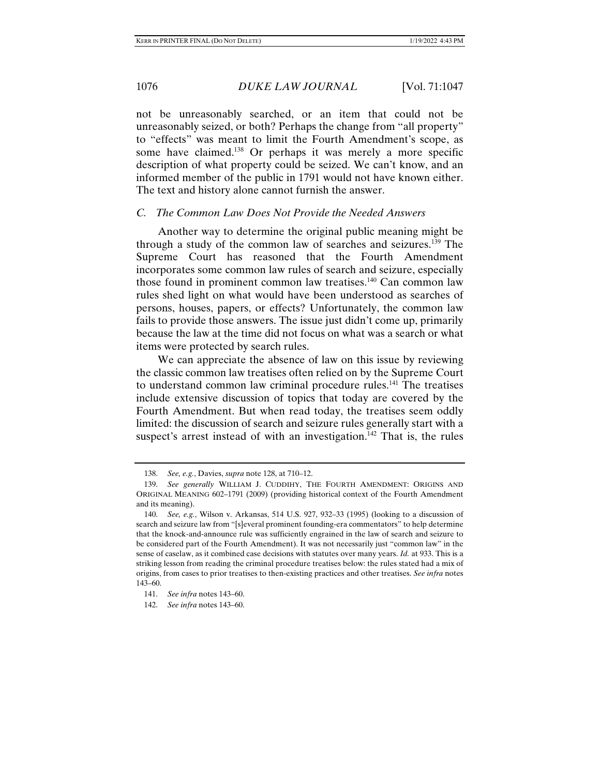not be unreasonably searched, or an item that could not be unreasonably seized, or both? Perhaps the change from "all property" to "effects" was meant to limit the Fourth Amendment's scope, as some have claimed.<sup>138</sup> Or perhaps it was merely a more specific description of what property could be seized. We can't know, and an informed member of the public in 1791 would not have known either. The text and history alone cannot furnish the answer.

## *C. The Common Law Does Not Provide the Needed Answers*

Another way to determine the original public meaning might be through a study of the common law of searches and seizures.139 The Supreme Court has reasoned that the Fourth Amendment incorporates some common law rules of search and seizure, especially those found in prominent common law treatises.140 Can common law rules shed light on what would have been understood as searches of persons, houses, papers, or effects? Unfortunately, the common law fails to provide those answers. The issue just didn't come up, primarily because the law at the time did not focus on what was a search or what items were protected by search rules.

We can appreciate the absence of law on this issue by reviewing the classic common law treatises often relied on by the Supreme Court to understand common law criminal procedure rules.<sup>141</sup> The treatises include extensive discussion of topics that today are covered by the Fourth Amendment. But when read today, the treatises seem oddly limited: the discussion of search and seizure rules generally start with a suspect's arrest instead of with an investigation.<sup>142</sup> That is, the rules

 <sup>138.</sup> *See, e.g.*, Davies, *supra* note 128, at 710–12.

 <sup>139.</sup> *See generally* WILLIAM J. CUDDIHY, THE FOURTH AMENDMENT: ORIGINS AND ORIGINAL MEANING 602–1791 (2009) (providing historical context of the Fourth Amendment and its meaning).

 <sup>140.</sup> *See, e.g.*, Wilson v. Arkansas, 514 U.S. 927, 932–33 (1995) (looking to a discussion of search and seizure law from "[s]everal prominent founding-era commentators" to help determine that the knock-and-announce rule was sufficiently engrained in the law of search and seizure to be considered part of the Fourth Amendment). It was not necessarily just "common law" in the sense of caselaw, as it combined case decisions with statutes over many years. *Id.* at 933. This is a striking lesson from reading the criminal procedure treatises below: the rules stated had a mix of origins, from cases to prior treatises to then-existing practices and other treatises. *See infra* notes 143–60.

 <sup>141.</sup> *See infra* notes 143–60.

 <sup>142.</sup> *See infra* notes 143–60.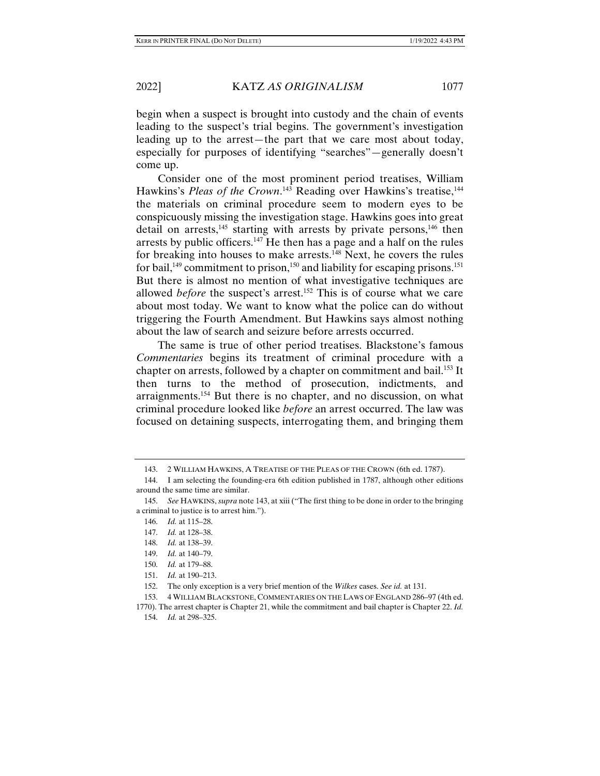begin when a suspect is brought into custody and the chain of events leading to the suspect's trial begins. The government's investigation leading up to the arrest—the part that we care most about today, especially for purposes of identifying "searches"—generally doesn't come up.

Consider one of the most prominent period treatises, William Hawkins's *Pleas of the Crown*.<sup>143</sup> Reading over Hawkins's treatise,<sup>144</sup> the materials on criminal procedure seem to modern eyes to be conspicuously missing the investigation stage. Hawkins goes into great detail on arrests, $145$  starting with arrests by private persons, $146$  then arrests by public officers.147 He then has a page and a half on the rules for breaking into houses to make arrests.<sup>148</sup> Next, he covers the rules for bail,<sup>149</sup> commitment to prison,<sup>150</sup> and liability for escaping prisons.<sup>151</sup> But there is almost no mention of what investigative techniques are allowed *before* the suspect's arrest.<sup>152</sup> This is of course what we care about most today. We want to know what the police can do without triggering the Fourth Amendment. But Hawkins says almost nothing about the law of search and seizure before arrests occurred.

The same is true of other period treatises. Blackstone's famous *Commentaries* begins its treatment of criminal procedure with a chapter on arrests, followed by a chapter on commitment and bail.<sup>153</sup> It then turns to the method of prosecution, indictments, and arraignments.<sup>154</sup> But there is no chapter, and no discussion, on what criminal procedure looked like *before* an arrest occurred. The law was focused on detaining suspects, interrogating them, and bringing them

151. *Id.* at 190–213.

 <sup>143. 2</sup> WILLIAM HAWKINS, A TREATISE OF THE PLEAS OF THE CROWN (6th ed. 1787).

 <sup>144.</sup> I am selecting the founding-era 6th edition published in 1787, although other editions around the same time are similar.

 <sup>145.</sup> *See* HAWKINS, *supra* note 143, at xiii ("The first thing to be done in order to the bringing a criminal to justice is to arrest him.").

 <sup>146.</sup> *Id.* at 115–28.

 <sup>147.</sup> *Id.* at 128–38.

 <sup>148.</sup> *Id.* at 138–39.

 <sup>149.</sup> *Id.* at 140–79.

 <sup>150.</sup> *Id.* at 179–88.

 <sup>152.</sup> The only exception is a very brief mention of the *Wilkes* cases. *See id.* at 131.

 <sup>153. 4</sup> WILLIAM BLACKSTONE, COMMENTARIES ON THE LAWS OF ENGLAND 286–97 (4th ed.

<sup>1770).</sup> The arrest chapter is Chapter 21, while the commitment and bail chapter is Chapter 22. *Id.* 154. *Id.* at 298–325.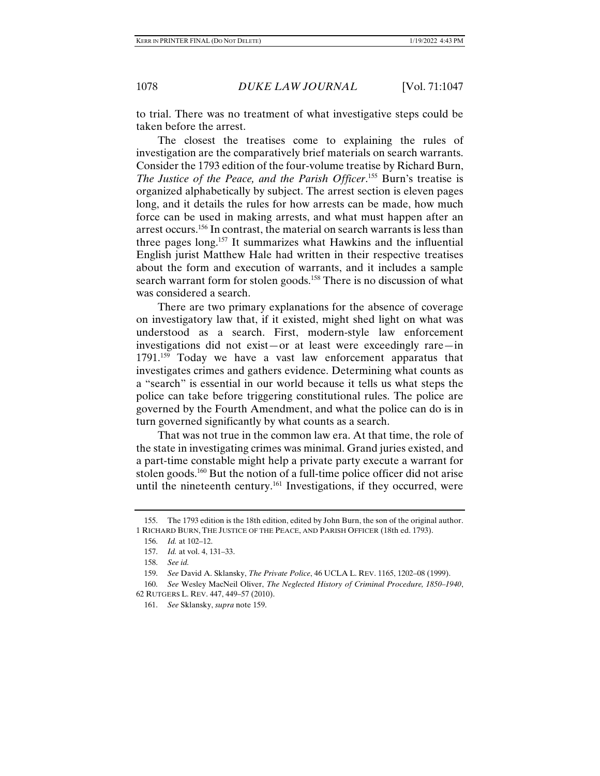to trial. There was no treatment of what investigative steps could be taken before the arrest.

The closest the treatises come to explaining the rules of investigation are the comparatively brief materials on search warrants. Consider the 1793 edition of the four-volume treatise by Richard Burn, *The Justice of the Peace, and the Parish Officer*. 155 Burn's treatise is organized alphabetically by subject. The arrest section is eleven pages long, and it details the rules for how arrests can be made, how much force can be used in making arrests, and what must happen after an arrest occurs.156 In contrast, the material on search warrants is less than three pages long.157 It summarizes what Hawkins and the influential English jurist Matthew Hale had written in their respective treatises about the form and execution of warrants, and it includes a sample search warrant form for stolen goods.<sup>158</sup> There is no discussion of what was considered a search.

There are two primary explanations for the absence of coverage on investigatory law that, if it existed, might shed light on what was understood as a search. First, modern-style law enforcement investigations did not exist—or at least were exceedingly rare—in 1791.<sup>159</sup> Today we have a vast law enforcement apparatus that investigates crimes and gathers evidence. Determining what counts as a "search" is essential in our world because it tells us what steps the police can take before triggering constitutional rules. The police are governed by the Fourth Amendment, and what the police can do is in turn governed significantly by what counts as a search.

That was not true in the common law era. At that time, the role of the state in investigating crimes was minimal. Grand juries existed, and a part-time constable might help a private party execute a warrant for stolen goods.<sup>160</sup> But the notion of a full-time police officer did not arise until the nineteenth century.<sup>161</sup> Investigations, if they occurred, were

 <sup>155.</sup> The 1793 edition is the 18th edition, edited by John Burn, the son of the original author. 1 RICHARD BURN, THE JUSTICE OF THE PEACE, AND PARISH OFFICER (18th ed. 1793).

 <sup>156.</sup> *Id.* at 102–12.

 <sup>157.</sup> *Id.* at vol. 4, 131–33.

 <sup>158.</sup> *See id.*

 <sup>159.</sup> *See* David A. Sklansky, *The Private Police*, 46 UCLA L. REV. 1165, 1202–08 (1999).

<sup>160.</sup> *See* Wesley MacNeil Oliver, *The Neglected History of Criminal Procedure, 1850–1940*, 62 RUTGERS L. REV. 447, 449–57 (2010).

 <sup>161.</sup> *See* Sklansky, *supra* note 159.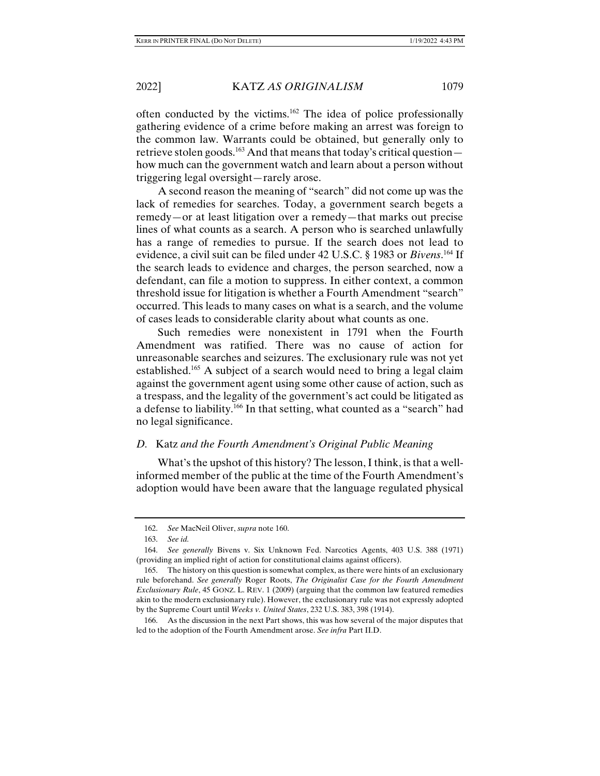often conducted by the victims.162 The idea of police professionally gathering evidence of a crime before making an arrest was foreign to the common law. Warrants could be obtained, but generally only to retrieve stolen goods.<sup>163</sup> And that means that today's critical question how much can the government watch and learn about a person without triggering legal oversight—rarely arose.

A second reason the meaning of "search" did not come up was the lack of remedies for searches. Today, a government search begets a remedy—or at least litigation over a remedy—that marks out precise lines of what counts as a search. A person who is searched unlawfully has a range of remedies to pursue. If the search does not lead to evidence, a civil suit can be filed under 42 U.S.C. § 1983 or *Bivens*. 164 If the search leads to evidence and charges, the person searched, now a defendant, can file a motion to suppress. In either context, a common threshold issue for litigation is whether a Fourth Amendment "search" occurred. This leads to many cases on what is a search, and the volume of cases leads to considerable clarity about what counts as one.

Such remedies were nonexistent in 1791 when the Fourth Amendment was ratified. There was no cause of action for unreasonable searches and seizures. The exclusionary rule was not yet established.<sup>165</sup> A subject of a search would need to bring a legal claim against the government agent using some other cause of action, such as a trespass, and the legality of the government's act could be litigated as a defense to liability.166 In that setting, what counted as a "search" had no legal significance.

# *D.* Katz *and the Fourth Amendment's Original Public Meaning*

What's the upshot of this history? The lesson, I think, is that a wellinformed member of the public at the time of the Fourth Amendment's adoption would have been aware that the language regulated physical

 <sup>162.</sup> *See* MacNeil Oliver, *supra* note 160.

 <sup>163.</sup> *See id.*

 <sup>164.</sup> *See generally* Bivens v. Six Unknown Fed. Narcotics Agents, 403 U.S. 388 (1971) (providing an implied right of action for constitutional claims against officers).

 <sup>165.</sup> The history on this question is somewhat complex, as there were hints of an exclusionary rule beforehand. *See generally* Roger Roots, *The Originalist Case for the Fourth Amendment Exclusionary Rule*, 45 GONZ. L. REV. 1 (2009) (arguing that the common law featured remedies akin to the modern exclusionary rule). However, the exclusionary rule was not expressly adopted by the Supreme Court until *Weeks v. United States*, 232 U.S. 383, 398 (1914).

 <sup>166.</sup> As the discussion in the next Part shows, this was how several of the major disputes that led to the adoption of the Fourth Amendment arose. *See infra* Part II.D.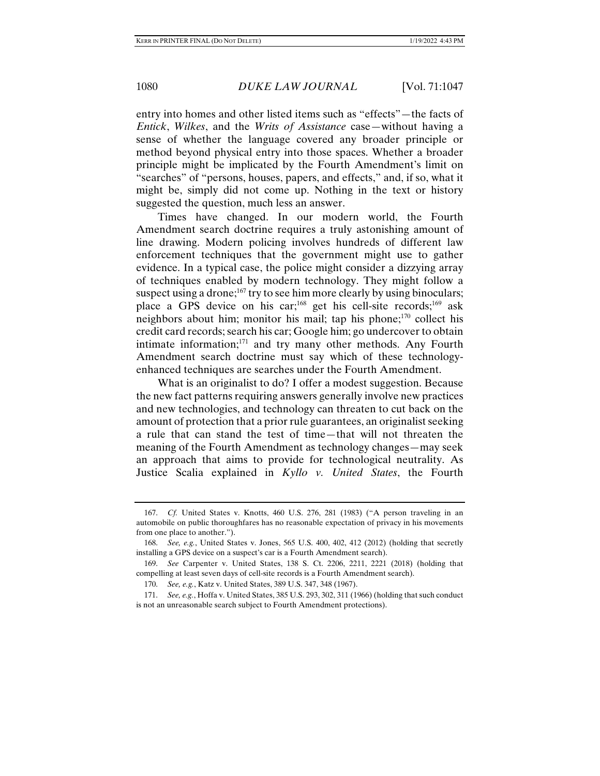entry into homes and other listed items such as "effects"—the facts of *Entick*, *Wilkes*, and the *Writs of Assistance* case—without having a sense of whether the language covered any broader principle or method beyond physical entry into those spaces. Whether a broader principle might be implicated by the Fourth Amendment's limit on "searches" of "persons, houses, papers, and effects," and, if so, what it might be, simply did not come up. Nothing in the text or history suggested the question, much less an answer.

Times have changed. In our modern world, the Fourth Amendment search doctrine requires a truly astonishing amount of line drawing. Modern policing involves hundreds of different law enforcement techniques that the government might use to gather evidence. In a typical case, the police might consider a dizzying array of techniques enabled by modern technology. They might follow a suspect using a drone;<sup>167</sup> try to see him more clearly by using binoculars; place a GPS device on his car;<sup>168</sup> get his cell-site records;<sup>169</sup> ask neighbors about him; monitor his mail; tap his phone; $170$  collect his credit card records; search his car; Google him; go undercover to obtain intimate information; $171$  and try many other methods. Any Fourth Amendment search doctrine must say which of these technologyenhanced techniques are searches under the Fourth Amendment.

What is an originalist to do? I offer a modest suggestion. Because the new fact patterns requiring answers generally involve new practices and new technologies, and technology can threaten to cut back on the amount of protection that a prior rule guarantees, an originalist seeking a rule that can stand the test of time—that will not threaten the meaning of the Fourth Amendment as technology changes—may seek an approach that aims to provide for technological neutrality. As Justice Scalia explained in *Kyllo v. United States*, the Fourth

 <sup>167.</sup> *Cf.* United States v. Knotts, 460 U.S. 276, 281 (1983) ("A person traveling in an automobile on public thoroughfares has no reasonable expectation of privacy in his movements from one place to another.").

 <sup>168.</sup> *See, e.g.*, United States v. Jones, 565 U.S. 400, 402, 412 (2012) (holding that secretly installing a GPS device on a suspect's car is a Fourth Amendment search).

 <sup>169.</sup> *See* Carpenter v. United States, 138 S. Ct. 2206, 2211, 2221 (2018) (holding that compelling at least seven days of cell-site records is a Fourth Amendment search).

 <sup>170.</sup> *See, e.g.*, Katz v. United States, 389 U.S. 347, 348 (1967).

 <sup>171.</sup> *See, e.g.*, Hoffa v. United States, 385 U.S. 293, 302, 311 (1966) (holding that such conduct is not an unreasonable search subject to Fourth Amendment protections).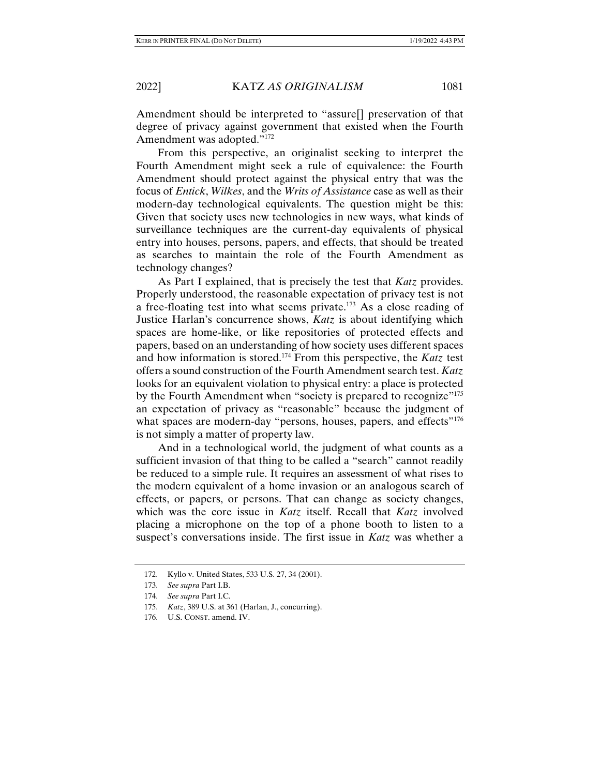Amendment should be interpreted to "assure[] preservation of that degree of privacy against government that existed when the Fourth Amendment was adopted."172

From this perspective, an originalist seeking to interpret the Fourth Amendment might seek a rule of equivalence: the Fourth Amendment should protect against the physical entry that was the focus of *Entick*, *Wilkes*, and the *Writs of Assistance* case as well as their modern-day technological equivalents. The question might be this: Given that society uses new technologies in new ways, what kinds of surveillance techniques are the current-day equivalents of physical entry into houses, persons, papers, and effects, that should be treated as searches to maintain the role of the Fourth Amendment as technology changes?

As Part I explained, that is precisely the test that *Katz* provides. Properly understood, the reasonable expectation of privacy test is not a free-floating test into what seems private.173 As a close reading of Justice Harlan's concurrence shows, *Katz* is about identifying which spaces are home-like, or like repositories of protected effects and papers, based on an understanding of how society uses different spaces and how information is stored.174 From this perspective, the *Katz* test offers a sound construction of the Fourth Amendment search test. *Katz* looks for an equivalent violation to physical entry: a place is protected by the Fourth Amendment when "society is prepared to recognize"<sup>175</sup> an expectation of privacy as "reasonable" because the judgment of what spaces are modern-day "persons, houses, papers, and effects"<sup>176</sup> is not simply a matter of property law.

And in a technological world, the judgment of what counts as a sufficient invasion of that thing to be called a "search" cannot readily be reduced to a simple rule. It requires an assessment of what rises to the modern equivalent of a home invasion or an analogous search of effects, or papers, or persons. That can change as society changes, which was the core issue in *Katz* itself. Recall that *Katz* involved placing a microphone on the top of a phone booth to listen to a suspect's conversations inside. The first issue in *Katz* was whether a

 <sup>172.</sup> Kyllo v. United States, 533 U.S. 27, 34 (2001).

 <sup>173.</sup> *See supra* Part I.B.

 <sup>174.</sup> *See supra* Part I.C.

 <sup>175.</sup> *Katz*, 389 U.S. at 361 (Harlan, J., concurring).

 <sup>176.</sup> U.S. CONST. amend. IV.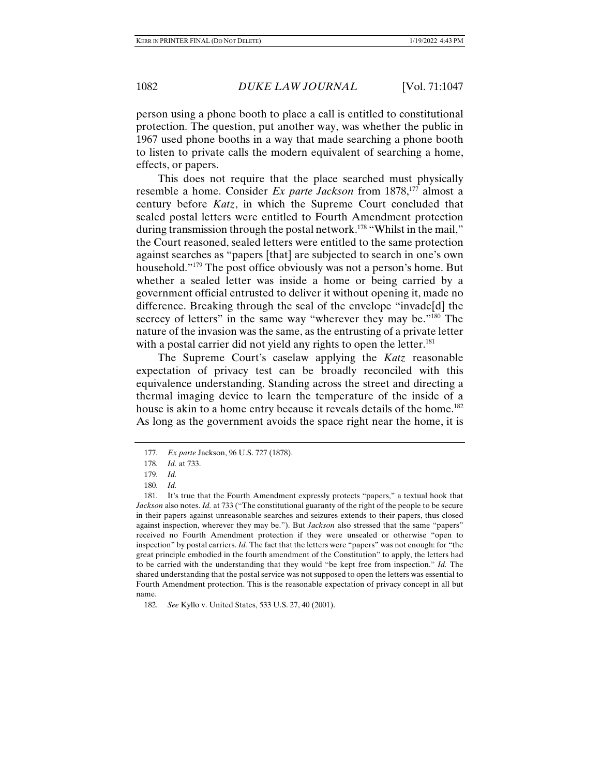person using a phone booth to place a call is entitled to constitutional protection. The question, put another way, was whether the public in 1967 used phone booths in a way that made searching a phone booth to listen to private calls the modern equivalent of searching a home, effects, or papers.

This does not require that the place searched must physically resemble a home. Consider *Ex parte Jackson* from 1878,<sup>177</sup> almost a century before *Katz*, in which the Supreme Court concluded that sealed postal letters were entitled to Fourth Amendment protection during transmission through the postal network.<sup>178</sup> "Whilst in the mail," the Court reasoned, sealed letters were entitled to the same protection against searches as "papers [that] are subjected to search in one's own household."179 The post office obviously was not a person's home. But whether a sealed letter was inside a home or being carried by a government official entrusted to deliver it without opening it, made no difference. Breaking through the seal of the envelope "invade[d] the secrecy of letters" in the same way "wherever they may be."<sup>180</sup> The nature of the invasion was the same, as the entrusting of a private letter with a postal carrier did not yield any rights to open the letter.<sup>181</sup>

The Supreme Court's caselaw applying the *Katz* reasonable expectation of privacy test can be broadly reconciled with this equivalence understanding. Standing across the street and directing a thermal imaging device to learn the temperature of the inside of a house is akin to a home entry because it reveals details of the home.<sup>182</sup> As long as the government avoids the space right near the home, it is

 <sup>177.</sup> *Ex parte* Jackson, 96 U.S. 727 (1878).

 <sup>178.</sup> *Id.* at 733.

 <sup>179.</sup> *Id.*

 <sup>180.</sup> *Id.*

 <sup>181.</sup> It's true that the Fourth Amendment expressly protects "papers," a textual hook that *Jackson* also notes. *Id.* at 733 ("The constitutional guaranty of the right of the people to be secure in their papers against unreasonable searches and seizures extends to their papers, thus closed against inspection, wherever they may be."). But *Jackson* also stressed that the same "papers" received no Fourth Amendment protection if they were unsealed or otherwise "open to inspection" by postal carriers. *Id.* The fact that the letters were "papers" was not enough: for "the great principle embodied in the fourth amendment of the Constitution" to apply, the letters had to be carried with the understanding that they would "be kept free from inspection." *Id.* The shared understanding that the postal service was not supposed to open the letters was essential to Fourth Amendment protection. This is the reasonable expectation of privacy concept in all but name.

 <sup>182.</sup> *See* Kyllo v. United States, 533 U.S. 27, 40 (2001).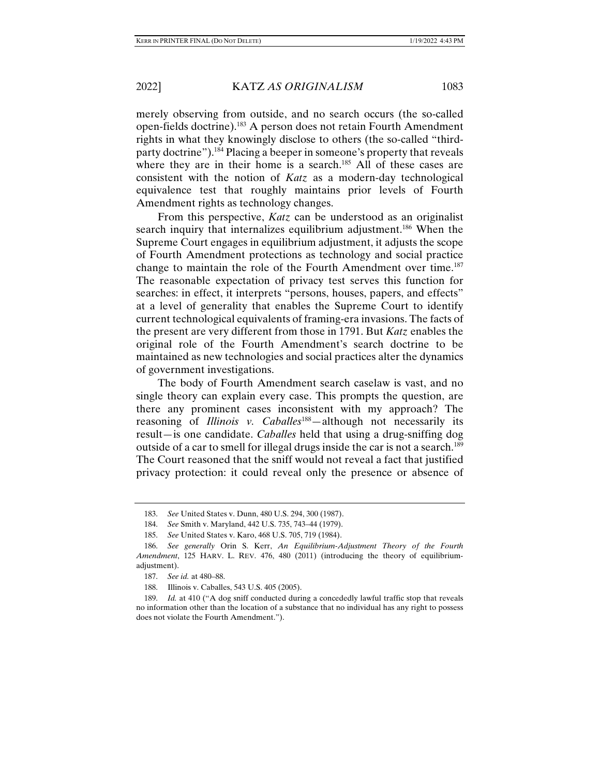merely observing from outside, and no search occurs (the so-called open-fields doctrine).183 A person does not retain Fourth Amendment rights in what they knowingly disclose to others (the so-called "thirdparty doctrine").184 Placing a beeper in someone's property that reveals where they are in their home is a search.<sup>185</sup> All of these cases are consistent with the notion of *Katz* as a modern-day technological equivalence test that roughly maintains prior levels of Fourth Amendment rights as technology changes.

From this perspective, *Katz* can be understood as an originalist search inquiry that internalizes equilibrium adjustment.<sup>186</sup> When the Supreme Court engages in equilibrium adjustment, it adjusts the scope of Fourth Amendment protections as technology and social practice change to maintain the role of the Fourth Amendment over time.<sup>187</sup> The reasonable expectation of privacy test serves this function for searches: in effect, it interprets "persons, houses, papers, and effects" at a level of generality that enables the Supreme Court to identify current technological equivalents of framing-era invasions. The facts of the present are very different from those in 1791. But *Katz* enables the original role of the Fourth Amendment's search doctrine to be maintained as new technologies and social practices alter the dynamics of government investigations.

The body of Fourth Amendment search caselaw is vast, and no single theory can explain every case. This prompts the question, are there any prominent cases inconsistent with my approach? The reasoning of *Illinois v. Caballes*<sup>188</sup>—although not necessarily its result*—*is one candidate. *Caballes* held that using a drug-sniffing dog outside of a car to smell for illegal drugs inside the car is not a search.<sup>189</sup> The Court reasoned that the sniff would not reveal a fact that justified privacy protection: it could reveal only the presence or absence of

 <sup>183.</sup> *See* United States v. Dunn, 480 U.S. 294, 300 (1987).

 <sup>184.</sup> *See* Smith v. Maryland, 442 U.S. 735, 743–44 (1979).

 <sup>185.</sup> *See* United States v. Karo, 468 U.S. 705, 719 (1984).

 <sup>186.</sup> *See generally* Orin S. Kerr, *An Equilibrium-Adjustment Theory of the Fourth Amendment*, 125 HARV. L. REV. 476, 480 (2011) (introducing the theory of equilibriumadjustment).

 <sup>187.</sup> *See id.* at 480–88.

 <sup>188.</sup> Illinois v. Caballes, 543 U.S. 405 (2005).

 <sup>189.</sup> *Id.* at 410 ("A dog sniff conducted during a concededly lawful traffic stop that reveals no information other than the location of a substance that no individual has any right to possess does not violate the Fourth Amendment.").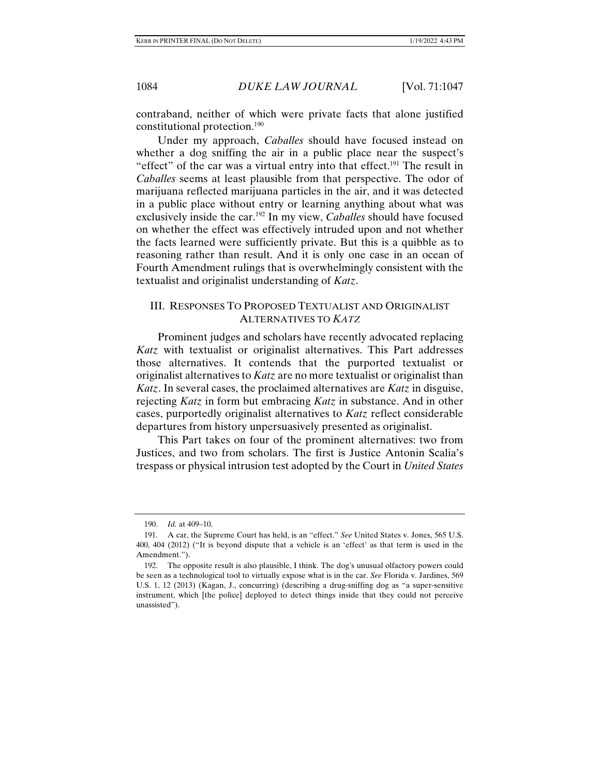contraband, neither of which were private facts that alone justified constitutional protection.190

Under my approach, *Caballes* should have focused instead on whether a dog sniffing the air in a public place near the suspect's "effect" of the car was a virtual entry into that effect.<sup>191</sup> The result in *Caballes* seems at least plausible from that perspective. The odor of marijuana reflected marijuana particles in the air, and it was detected in a public place without entry or learning anything about what was exclusively inside the car.192 In my view, *Caballes* should have focused on whether the effect was effectively intruded upon and not whether the facts learned were sufficiently private. But this is a quibble as to reasoning rather than result. And it is only one case in an ocean of Fourth Amendment rulings that is overwhelmingly consistent with the textualist and originalist understanding of *Katz*.

# III. RESPONSES TO PROPOSED TEXTUALIST AND ORIGINALIST ALTERNATIVES TO *KATZ*

Prominent judges and scholars have recently advocated replacing *Katz* with textualist or originalist alternatives. This Part addresses those alternatives. It contends that the purported textualist or originalist alternatives to *Katz* are no more textualist or originalist than *Katz*. In several cases, the proclaimed alternatives are *Katz* in disguise, rejecting *Katz* in form but embracing *Katz* in substance. And in other cases, purportedly originalist alternatives to *Katz* reflect considerable departures from history unpersuasively presented as originalist.

This Part takes on four of the prominent alternatives: two from Justices, and two from scholars. The first is Justice Antonin Scalia's trespass or physical intrusion test adopted by the Court in *United States* 

 <sup>190.</sup> *Id.* at 409–10.

 <sup>191.</sup> A car, the Supreme Court has held, is an "effect." *See* United States v. Jones, 565 U.S. 400, 404 (2012) ("It is beyond dispute that a vehicle is an 'effect' as that term is used in the Amendment.").

 <sup>192.</sup> The opposite result is also plausible, I think. The dog's unusual olfactory powers could be seen as a technological tool to virtually expose what is in the car. *See* Florida v. Jardines, 569 U.S. 1, 12 (2013) (Kagan, J., concurring) (describing a drug-sniffing dog as "a super-sensitive instrument, which [the police] deployed to detect things inside that they could not perceive unassisted").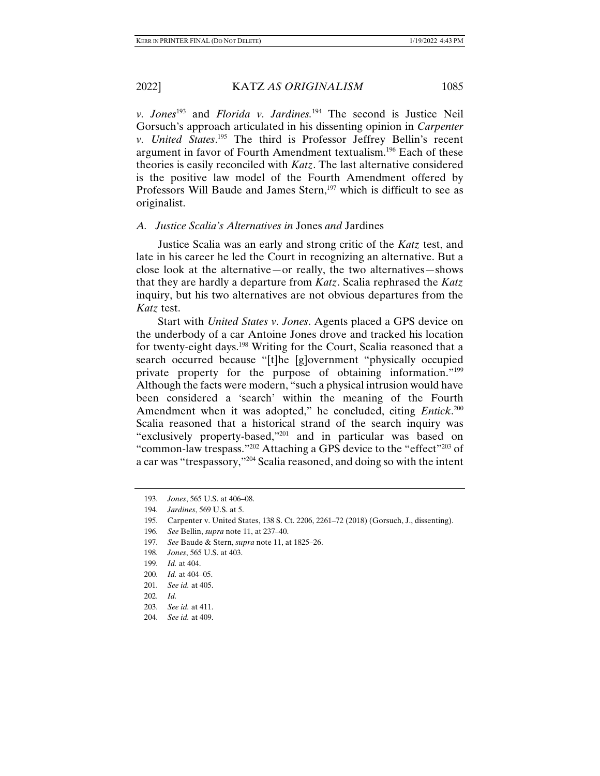*v. Jones*193 and *Florida v. Jardines.*194 The second is Justice Neil Gorsuch's approach articulated in his dissenting opinion in *Carpenter v. United States*. 195 The third is Professor Jeffrey Bellin's recent argument in favor of Fourth Amendment textualism.196 Each of these theories is easily reconciled with *Katz*. The last alternative considered is the positive law model of the Fourth Amendment offered by Professors Will Baude and James Stern,<sup>197</sup> which is difficult to see as originalist.

# *A. Justice Scalia's Alternatives in* Jones *and* Jardines

Justice Scalia was an early and strong critic of the *Katz* test, and late in his career he led the Court in recognizing an alternative. But a close look at the alternative—or really, the two alternatives—shows that they are hardly a departure from *Katz*. Scalia rephrased the *Katz* inquiry, but his two alternatives are not obvious departures from the *Katz* test.

Start with *United States v. Jones*. Agents placed a GPS device on the underbody of a car Antoine Jones drove and tracked his location for twenty-eight days.<sup>198</sup> Writing for the Court, Scalia reasoned that a search occurred because "[t]he [g]overnment "physically occupied private property for the purpose of obtaining information."<sup>199</sup> Although the facts were modern, "such a physical intrusion would have been considered a 'search' within the meaning of the Fourth Amendment when it was adopted," he concluded, citing *Entick*. 200 Scalia reasoned that a historical strand of the search inquiry was "exclusively property-based,"201 and in particular was based on "common-law trespass."202 Attaching a GPS device to the "effect"203 of a car was "trespassory,"204 Scalia reasoned, and doing so with the intent

- 197. *See* Baude & Stern, *supra* note 11, at 1825–26.
- 198. *Jones*, 565 U.S. at 403.
- 199. *Id.* at 404.
- 200. *Id.* at 404–05.
- 201. *See id.* at 405.
- 202. *Id.*
- 203. *See id.* at 411.

 <sup>193.</sup> *Jones*, 565 U.S. at 406–08.

 <sup>194.</sup> *Jardines*, 569 U.S. at 5.

 <sup>195.</sup> Carpenter v. United States, 138 S. Ct. 2206, 2261–72 (2018) (Gorsuch, J., dissenting).

 <sup>196.</sup> *See* Bellin, *supra* note 11, at 237–40.

 <sup>204.</sup> *See id.* at 409.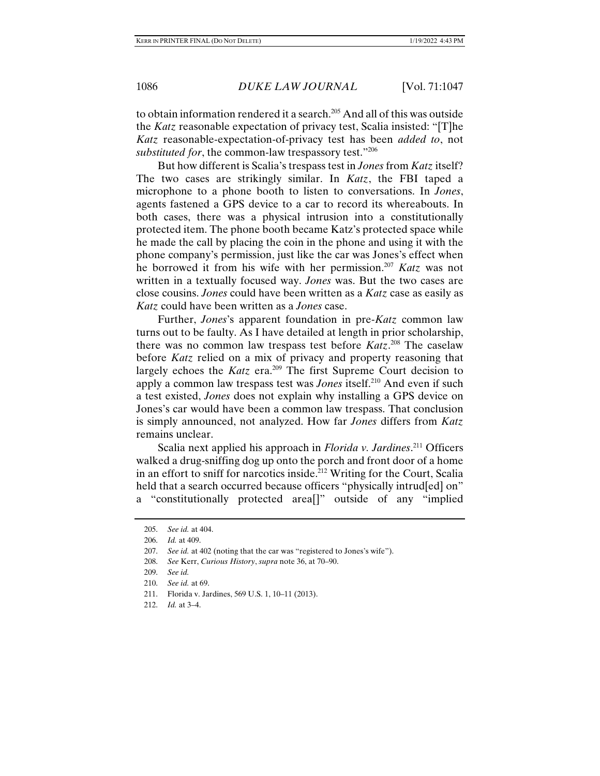to obtain information rendered it a search.<sup>205</sup> And all of this was outside the *Katz* reasonable expectation of privacy test, Scalia insisted: "[T]he *Katz* reasonable-expectation-of-privacy test has been *added to*, not *substituted for*, the common-law trespassory test."206

But how different is Scalia's trespass test in *Jones* from *Katz* itself? The two cases are strikingly similar. In *Katz*, the FBI taped a microphone to a phone booth to listen to conversations. In *Jones*, agents fastened a GPS device to a car to record its whereabouts. In both cases, there was a physical intrusion into a constitutionally protected item. The phone booth became Katz's protected space while he made the call by placing the coin in the phone and using it with the phone company's permission, just like the car was Jones's effect when he borrowed it from his wife with her permission.207 *Katz* was not written in a textually focused way. *Jones* was. But the two cases are close cousins. *Jones* could have been written as a *Katz* case as easily as *Katz* could have been written as a *Jones* case.

Further, *Jones*'s apparent foundation in pre-*Katz* common law turns out to be faulty. As I have detailed at length in prior scholarship, there was no common law trespass test before *Katz*. 208 The caselaw before *Katz* relied on a mix of privacy and property reasoning that largely echoes the *Katz* era.<sup>209</sup> The first Supreme Court decision to apply a common law trespass test was *Jones* itself.<sup>210</sup> And even if such a test existed, *Jones* does not explain why installing a GPS device on Jones's car would have been a common law trespass. That conclusion is simply announced, not analyzed. How far *Jones* differs from *Katz* remains unclear.

Scalia next applied his approach in *Florida v. Jardines*. 211 Officers walked a drug-sniffing dog up onto the porch and front door of a home in an effort to sniff for narcotics inside.212 Writing for the Court, Scalia held that a search occurred because officers "physically intruded on" a "constitutionally protected area[]" outside of any "implied

 <sup>205.</sup> *See id.* at 404.

 <sup>206.</sup> *Id.* at 409.

 <sup>207.</sup> *See id.* at 402 (noting that the car was "registered to Jones's wife").

 <sup>208.</sup> *See* Kerr, *Curious History*, *supra* note 36, at 70–90.

 <sup>209.</sup> *See id.*

 <sup>210.</sup> *See id.* at 69.

 <sup>211.</sup> Florida v. Jardines, 569 U.S. 1, 10–11 (2013).

 <sup>212.</sup> *Id.* at 3–4.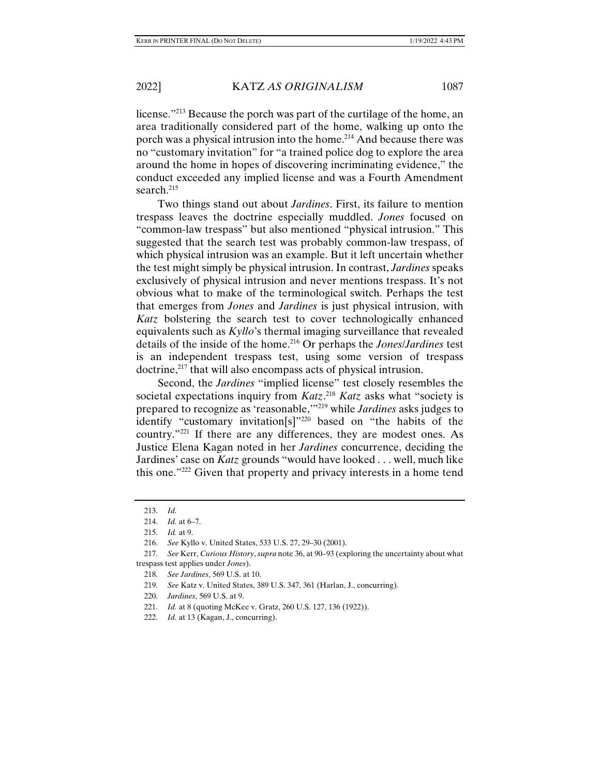license."213 Because the porch was part of the curtilage of the home, an area traditionally considered part of the home, walking up onto the porch was a physical intrusion into the home.214 And because there was no "customary invitation" for "a trained police dog to explore the area around the home in hopes of discovering incriminating evidence," the conduct exceeded any implied license and was a Fourth Amendment search.<sup>215</sup>

Two things stand out about *Jardines*. First, its failure to mention trespass leaves the doctrine especially muddled. *Jones* focused on "common-law trespass" but also mentioned "physical intrusion." This suggested that the search test was probably common-law trespass, of which physical intrusion was an example. But it left uncertain whether the test might simply be physical intrusion. In contrast, *Jardines* speaks exclusively of physical intrusion and never mentions trespass. It's not obvious what to make of the terminological switch. Perhaps the test that emerges from *Jones* and *Jardines* is just physical intrusion, with *Katz* bolstering the search test to cover technologically enhanced equivalents such as *Kyllo*'s thermal imaging surveillance that revealed details of the inside of the home.216 Or perhaps the *Jones*/*Jardines* test is an independent trespass test, using some version of trespass doctrine,<sup>217</sup> that will also encompass acts of physical intrusion.

Second, the *Jardines* "implied license" test closely resembles the societal expectations inquiry from *Katz*. <sup>218</sup> *Katz* asks what "society is prepared to recognize as 'reasonable,'"219 while *Jardines* asks judges to identify "customary invitation[s]"220 based on "the habits of the country."221 If there are any differences, they are modest ones. As Justice Elena Kagan noted in her *Jardines* concurrence, deciding the Jardines' case on *Katz* grounds "would have looked . . . well, much like this one."222 Given that property and privacy interests in a home tend

- 218. *See Jardines*, 569 U.S. at 10.
- 219. *See* Katz v. United States, 389 U.S. 347, 361 (Harlan, J., concurring).
- 220. *Jardines*, 569 U.S. at 9.

 <sup>213.</sup> *Id.*

 <sup>214.</sup> *Id.* at 6–7.

 <sup>215.</sup> *Id.* at 9.

 <sup>216.</sup> *See* Kyllo v. United States, 533 U.S. 27, 29–30 (2001).

 <sup>217.</sup> *See* Kerr, *Curious History*, *supra* note 36, at 90–93 (exploring the uncertainty about what trespass test applies under *Jones*).

 <sup>221.</sup> *Id.* at 8 (quoting McKee v. Gratz, 260 U.S. 127, 136 (1922)).

 <sup>222.</sup> *Id.* at 13 (Kagan, J., concurring).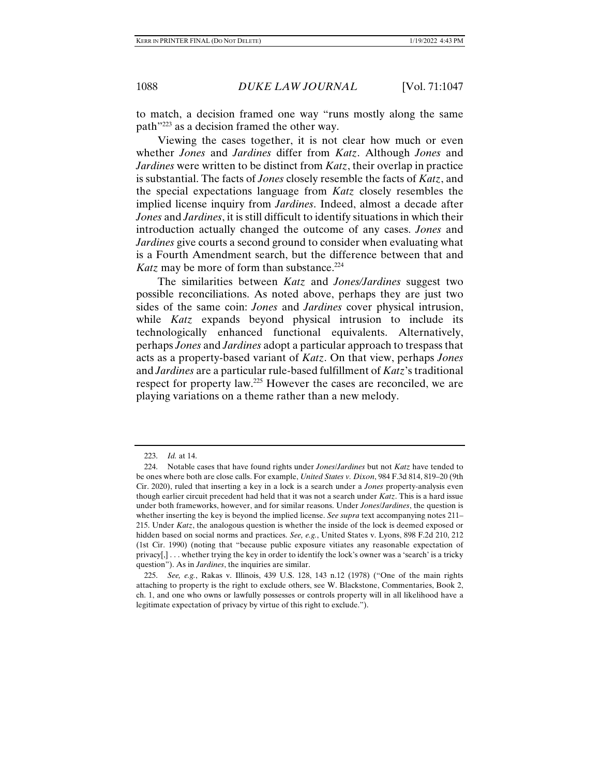to match, a decision framed one way "runs mostly along the same path"223 as a decision framed the other way.

Viewing the cases together, it is not clear how much or even whether *Jones* and *Jardines* differ from *Katz*. Although *Jones* and *Jardines* were written to be distinct from *Katz*, their overlap in practice is substantial. The facts of *Jones* closely resemble the facts of *Katz*, and the special expectations language from *Katz* closely resembles the implied license inquiry from *Jardines*. Indeed, almost a decade after *Jones* and *Jardines*, it is still difficult to identify situations in which their introduction actually changed the outcome of any cases. *Jones* and *Jardines* give courts a second ground to consider when evaluating what is a Fourth Amendment search, but the difference between that and *Katz* may be more of form than substance.<sup>224</sup>

The similarities between *Katz* and *Jones/Jardines* suggest two possible reconciliations. As noted above, perhaps they are just two sides of the same coin: *Jones* and *Jardines* cover physical intrusion, while *Katz* expands beyond physical intrusion to include its technologically enhanced functional equivalents. Alternatively, perhaps *Jones* and *Jardines* adopt a particular approach to trespass that acts as a property-based variant of *Katz*. On that view, perhaps *Jones* and *Jardines* are a particular rule-based fulfillment of *Katz*'s traditional respect for property law.225 However the cases are reconciled, we are playing variations on a theme rather than a new melody.

 <sup>223.</sup> *Id.* at 14.

 <sup>224.</sup> Notable cases that have found rights under *Jones*/*Jardines* but not *Katz* have tended to be ones where both are close calls. For example, *United States v. Dixon*, 984 F.3d 814, 819–20 (9th Cir. 2020), ruled that inserting a key in a lock is a search under a *Jones* property-analysis even though earlier circuit precedent had held that it was not a search under *Katz*. This is a hard issue under both frameworks, however, and for similar reasons. Under *Jones*/*Jardines*, the question is whether inserting the key is beyond the implied license. *See supra* text accompanying notes 211– 215. Under *Katz*, the analogous question is whether the inside of the lock is deemed exposed or hidden based on social norms and practices. *See, e.g.*, United States v. Lyons, 898 F.2d 210, 212 (1st Cir. 1990) (noting that "because public exposure vitiates any reasonable expectation of  $\text{privacy}$ ,  $\ldots$  whether trying the key in order to identify the lock's owner was a 'search' is a tricky question"). As in *Jardines*, the inquiries are similar.

 <sup>225.</sup> *See, e.g.*, Rakas v. Illinois, 439 U.S. 128, 143 n.12 (1978) ("One of the main rights attaching to property is the right to exclude others, see W. Blackstone, Commentaries, Book 2, ch. 1, and one who owns or lawfully possesses or controls property will in all likelihood have a legitimate expectation of privacy by virtue of this right to exclude.").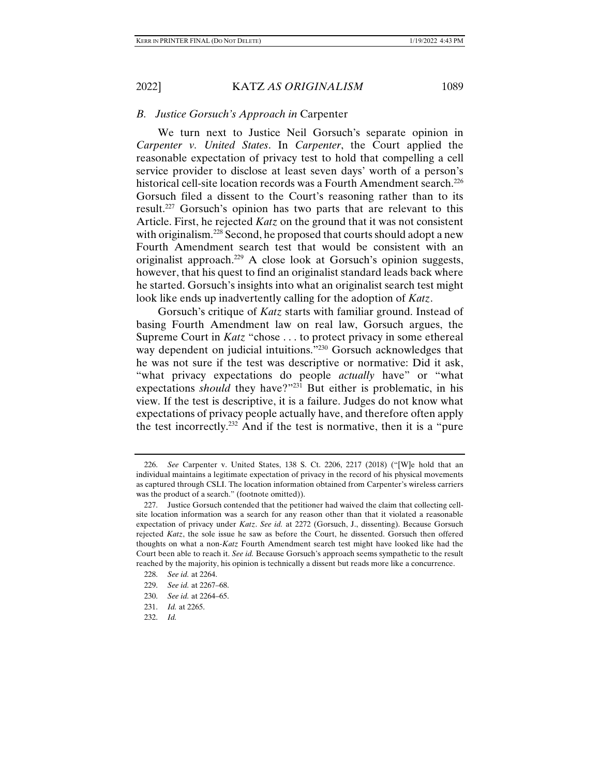# *B. Justice Gorsuch's Approach in* Carpenter

We turn next to Justice Neil Gorsuch's separate opinion in *Carpenter v. United States*. In *Carpenter*, the Court applied the reasonable expectation of privacy test to hold that compelling a cell service provider to disclose at least seven days' worth of a person's historical cell-site location records was a Fourth Amendment search.<sup>226</sup> Gorsuch filed a dissent to the Court's reasoning rather than to its result.227 Gorsuch's opinion has two parts that are relevant to this Article. First, he rejected *Katz* on the ground that it was not consistent with originalism.<sup>228</sup> Second, he proposed that courts should adopt a new Fourth Amendment search test that would be consistent with an originalist approach.229 A close look at Gorsuch's opinion suggests, however, that his quest to find an originalist standard leads back where he started. Gorsuch's insights into what an originalist search test might look like ends up inadvertently calling for the adoption of *Katz*.

Gorsuch's critique of *Katz* starts with familiar ground. Instead of basing Fourth Amendment law on real law, Gorsuch argues, the Supreme Court in *Katz* "chose . . . to protect privacy in some ethereal way dependent on judicial intuitions."<sup>230</sup> Gorsuch acknowledges that he was not sure if the test was descriptive or normative: Did it ask, "what privacy expectations do people *actually* have" or "what expectations *should* they have?"<sup>231</sup> But either is problematic, in his view. If the test is descriptive, it is a failure. Judges do not know what expectations of privacy people actually have, and therefore often apply the test incorrectly.232 And if the test is normative, then it is a "pure

 <sup>226.</sup> *See* Carpenter v. United States, 138 S. Ct. 2206, 2217 (2018) ("[W]e hold that an individual maintains a legitimate expectation of privacy in the record of his physical movements as captured through CSLI. The location information obtained from Carpenter's wireless carriers was the product of a search." (footnote omitted)).

 <sup>227.</sup> Justice Gorsuch contended that the petitioner had waived the claim that collecting cellsite location information was a search for any reason other than that it violated a reasonable expectation of privacy under *Katz*. *See id.* at 2272 (Gorsuch, J., dissenting). Because Gorsuch rejected *Katz*, the sole issue he saw as before the Court, he dissented. Gorsuch then offered thoughts on what a non-*Katz* Fourth Amendment search test might have looked like had the Court been able to reach it. *See id.* Because Gorsuch's approach seems sympathetic to the result reached by the majority, his opinion is technically a dissent but reads more like a concurrence.

 <sup>228.</sup> *See id.* at 2264.

 <sup>229.</sup> *See id.* at 2267–68.

 <sup>230.</sup> *See id.* at 2264–65.

 <sup>231.</sup> *Id.* at 2265.

 <sup>232.</sup> *Id.*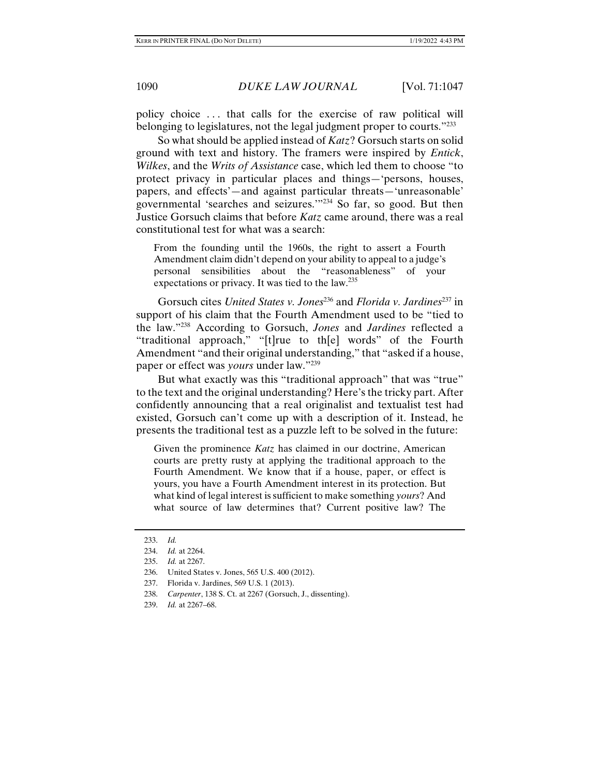policy choice . . . that calls for the exercise of raw political will belonging to legislatures, not the legal judgment proper to courts."<sup>233</sup>

So what should be applied instead of *Katz*? Gorsuch starts on solid ground with text and history. The framers were inspired by *Entick*, *Wilkes*, and the *Writs of Assistance* case, which led them to choose "to protect privacy in particular places and things—'persons, houses, papers, and effects'—and against particular threats—'unreasonable' governmental 'searches and seizures.'"234 So far, so good. But then Justice Gorsuch claims that before *Katz* came around, there was a real constitutional test for what was a search:

From the founding until the 1960s, the right to assert a Fourth Amendment claim didn't depend on your ability to appeal to a judge's personal sensibilities about the "reasonableness" of your expectations or privacy. It was tied to the law.<sup>235</sup>

Gorsuch cites *United States v. Jones*<sup>236</sup> and *Florida v. Jardines*<sup>237</sup> in support of his claim that the Fourth Amendment used to be "tied to the law."238 According to Gorsuch, *Jones* and *Jardines* reflected a "traditional approach," "[t]rue to th[e] words" of the Fourth Amendment "and their original understanding," that "asked if a house, paper or effect was *yours* under law."239

But what exactly was this "traditional approach" that was "true" to the text and the original understanding? Here's the tricky part. After confidently announcing that a real originalist and textualist test had existed, Gorsuch can't come up with a description of it. Instead, he presents the traditional test as a puzzle left to be solved in the future:

Given the prominence *Katz* has claimed in our doctrine, American courts are pretty rusty at applying the traditional approach to the Fourth Amendment. We know that if a house, paper, or effect is yours, you have a Fourth Amendment interest in its protection. But what kind of legal interest is sufficient to make something *yours*? And what source of law determines that? Current positive law? The

 <sup>233.</sup> *Id.*

 <sup>234.</sup> *Id.* at 2264.

 <sup>235.</sup> *Id.* at 2267.

 <sup>236.</sup> United States v. Jones, 565 U.S. 400 (2012).

 <sup>237.</sup> Florida v. Jardines, 569 U.S. 1 (2013).

 <sup>238.</sup> *Carpenter*, 138 S. Ct. at 2267 (Gorsuch, J., dissenting).

 <sup>239.</sup> *Id.* at 2267–68.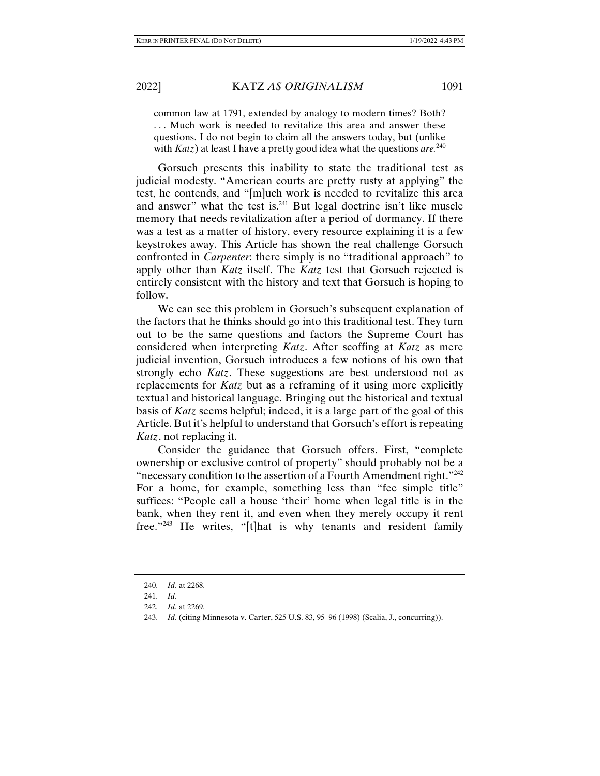common law at 1791, extended by analogy to modern times? Both? . . . Much work is needed to revitalize this area and answer these questions. I do not begin to claim all the answers today, but (unlike with *Katz*) at least I have a pretty good idea what the questions *are.*240

Gorsuch presents this inability to state the traditional test as judicial modesty. "American courts are pretty rusty at applying" the test, he contends, and "[m]uch work is needed to revitalize this area and answer" what the test is. $241$  But legal doctrine isn't like muscle memory that needs revitalization after a period of dormancy. If there was a test as a matter of history, every resource explaining it is a few keystrokes away. This Article has shown the real challenge Gorsuch confronted in *Carpenter*: there simply is no "traditional approach" to apply other than *Katz* itself. The *Katz* test that Gorsuch rejected is entirely consistent with the history and text that Gorsuch is hoping to follow.

We can see this problem in Gorsuch's subsequent explanation of the factors that he thinks should go into this traditional test. They turn out to be the same questions and factors the Supreme Court has considered when interpreting *Katz*. After scoffing at *Katz* as mere judicial invention, Gorsuch introduces a few notions of his own that strongly echo *Katz*. These suggestions are best understood not as replacements for *Katz* but as a reframing of it using more explicitly textual and historical language. Bringing out the historical and textual basis of *Katz* seems helpful; indeed, it is a large part of the goal of this Article. But it's helpful to understand that Gorsuch's effort is repeating *Katz*, not replacing it.

Consider the guidance that Gorsuch offers. First, "complete ownership or exclusive control of property" should probably not be a "necessary condition to the assertion of a Fourth Amendment right."<sup>242</sup> For a home, for example, something less than "fee simple title" suffices: "People call a house 'their' home when legal title is in the bank, when they rent it, and even when they merely occupy it rent free."243 He writes, "[t]hat is why tenants and resident family

 <sup>240.</sup> *Id.* at 2268.

 <sup>241.</sup> *Id.*

 <sup>242.</sup> *Id.* at 2269.

 <sup>243.</sup> *Id.* (citing Minnesota v. Carter, 525 U.S. 83, 95–96 (1998) (Scalia, J., concurring)).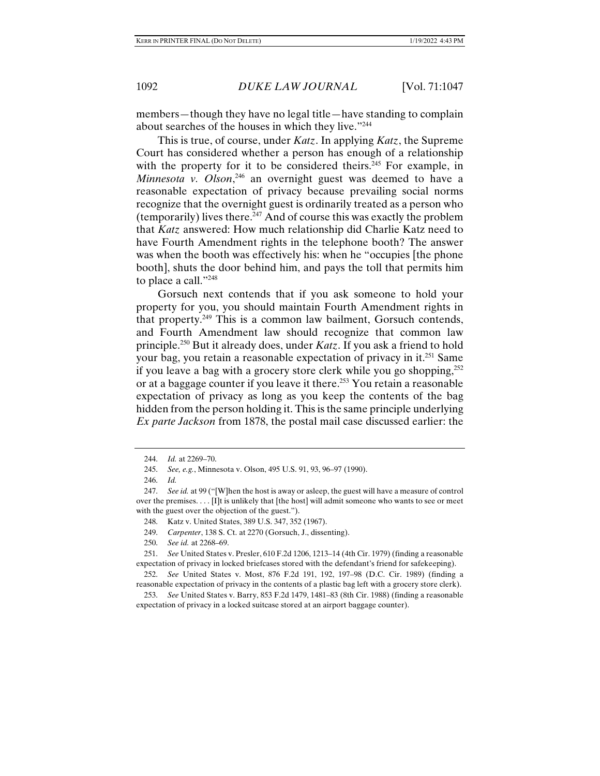members—though they have no legal title—have standing to complain about searches of the houses in which they live."244

This is true, of course, under *Katz*. In applying *Katz*, the Supreme Court has considered whether a person has enough of a relationship with the property for it to be considered theirs.<sup>245</sup> For example, in *Minnesota v. Olson*, 246 an overnight guest was deemed to have a reasonable expectation of privacy because prevailing social norms recognize that the overnight guest is ordinarily treated as a person who (temporarily) lives there.<sup>247</sup> And of course this was exactly the problem that *Katz* answered: How much relationship did Charlie Katz need to have Fourth Amendment rights in the telephone booth? The answer was when the booth was effectively his: when he "occupies [the phone booth], shuts the door behind him, and pays the toll that permits him to place a call."248

Gorsuch next contends that if you ask someone to hold your property for you, you should maintain Fourth Amendment rights in that property.249 This is a common law bailment, Gorsuch contends, and Fourth Amendment law should recognize that common law principle.250 But it already does, under *Katz*. If you ask a friend to hold your bag, you retain a reasonable expectation of privacy in it.251 Same if you leave a bag with a grocery store clerk while you go shopping, $^{252}$ or at a baggage counter if you leave it there.253 You retain a reasonable expectation of privacy as long as you keep the contents of the bag hidden from the person holding it. This is the same principle underlying *Ex parte Jackson* from 1878, the postal mail case discussed earlier: the

250. *See id.* at 2268–69.

 251. *See* United States v. Presler, 610 F.2d 1206, 1213–14 (4th Cir. 1979) (finding a reasonable expectation of privacy in locked briefcases stored with the defendant's friend for safekeeping).

 252. *See* United States v. Most, 876 F.2d 191, 192, 197–98 (D.C. Cir. 1989) (finding a reasonable expectation of privacy in the contents of a plastic bag left with a grocery store clerk).

 253. *See* United States v. Barry, 853 F.2d 1479, 1481–83 (8th Cir. 1988) (finding a reasonable expectation of privacy in a locked suitcase stored at an airport baggage counter).

 <sup>244.</sup> *Id.* at 2269–70.

 <sup>245.</sup> *See, e.g.*, Minnesota v. Olson, 495 U.S. 91, 93, 96–97 (1990).

 <sup>246.</sup> *Id.*

 <sup>247.</sup> *See id.* at 99 ("[W]hen the host is away or asleep, the guest will have a measure of control over the premises. . . . [I]t is unlikely that [the host] will admit someone who wants to see or meet with the guest over the objection of the guest.").

 <sup>248.</sup> Katz v. United States, 389 U.S. 347, 352 (1967).

 <sup>249.</sup> *Carpenter*, 138 S. Ct. at 2270 (Gorsuch, J., dissenting).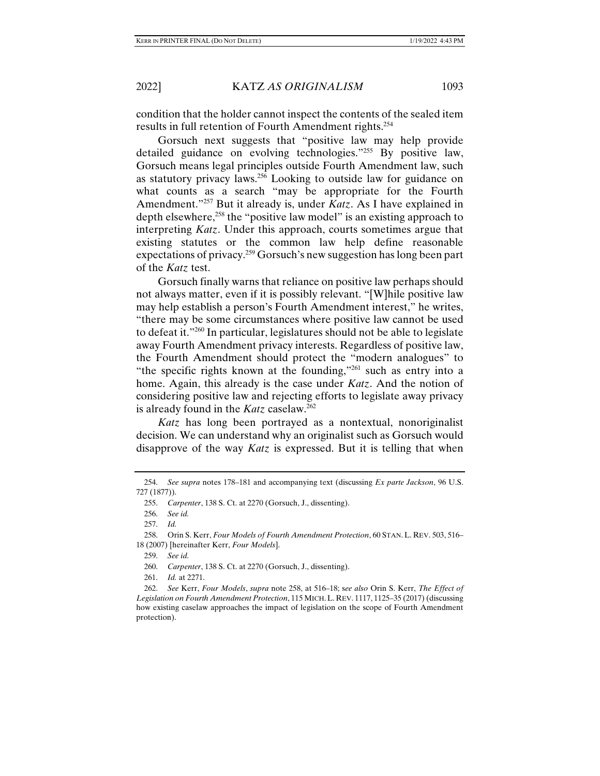condition that the holder cannot inspect the contents of the sealed item results in full retention of Fourth Amendment rights.254

Gorsuch next suggests that "positive law may help provide detailed guidance on evolving technologies."255 By positive law, Gorsuch means legal principles outside Fourth Amendment law, such as statutory privacy laws.256 Looking to outside law for guidance on what counts as a search "may be appropriate for the Fourth Amendment."257 But it already is, under *Katz*. As I have explained in depth elsewhere,<sup>258</sup> the "positive law model" is an existing approach to interpreting *Katz*. Under this approach, courts sometimes argue that existing statutes or the common law help define reasonable expectations of privacy.<sup>259</sup> Gorsuch's new suggestion has long been part of the *Katz* test.

Gorsuch finally warns that reliance on positive law perhaps should not always matter, even if it is possibly relevant. "[W]hile positive law may help establish a person's Fourth Amendment interest," he writes, "there may be some circumstances where positive law cannot be used to defeat it."260 In particular, legislatures should not be able to legislate away Fourth Amendment privacy interests. Regardless of positive law, the Fourth Amendment should protect the "modern analogues" to "the specific rights known at the founding,"261 such as entry into a home. Again, this already is the case under *Katz*. And the notion of considering positive law and rejecting efforts to legislate away privacy is already found in the *Katz* caselaw.<sup>262</sup>

*Katz* has long been portrayed as a nontextual, nonoriginalist decision. We can understand why an originalist such as Gorsuch would disapprove of the way *Katz* is expressed. But it is telling that when

 <sup>254.</sup> *See supra* notes 178–181 and accompanying text (discussing *Ex parte Jackson*, 96 U.S. 727 (1877)).

 <sup>255.</sup> *Carpenter*, 138 S. Ct. at 2270 (Gorsuch, J., dissenting).

 <sup>256.</sup> *See id.*

 <sup>257.</sup> *Id.*

 <sup>258.</sup> Orin S. Kerr, *Four Models of Fourth Amendment Protection*, 60 STAN. L. REV. 503, 516– 18 (2007) [hereinafter Kerr, *Four Models*].

 <sup>259.</sup> *See id.*

 <sup>260.</sup> *Carpenter*, 138 S. Ct. at 2270 (Gorsuch, J., dissenting).

 <sup>261.</sup> *Id.* at 2271.

 <sup>262.</sup> *See* Kerr, *Four Models*, *supra* note 258, at 516–18; s*ee also* Orin S. Kerr, *The Effect of Legislation on Fourth Amendment Protection*, 115 MICH.L. REV. 1117, 1125–35 (2017) (discussing how existing caselaw approaches the impact of legislation on the scope of Fourth Amendment protection).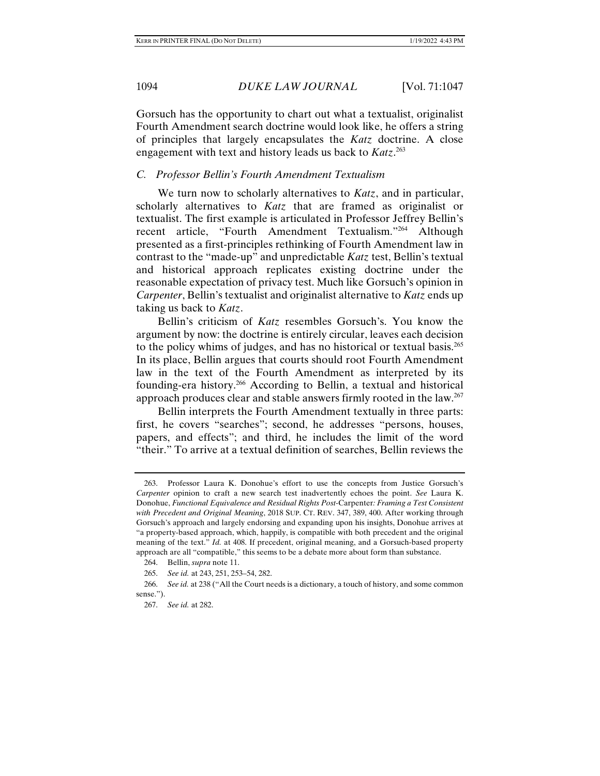Gorsuch has the opportunity to chart out what a textualist, originalist Fourth Amendment search doctrine would look like, he offers a string of principles that largely encapsulates the *Katz* doctrine. A close engagement with text and history leads us back to *Katz*. 263

## *C. Professor Bellin's Fourth Amendment Textualism*

We turn now to scholarly alternatives to *Katz*, and in particular, scholarly alternatives to *Katz* that are framed as originalist or textualist. The first example is articulated in Professor Jeffrey Bellin's recent article, "Fourth Amendment Textualism."264 Although presented as a first-principles rethinking of Fourth Amendment law in contrast to the "made-up" and unpredictable *Katz* test, Bellin's textual and historical approach replicates existing doctrine under the reasonable expectation of privacy test. Much like Gorsuch's opinion in *Carpenter*, Bellin's textualist and originalist alternative to *Katz* ends up taking us back to *Katz*.

Bellin's criticism of *Katz* resembles Gorsuch's. You know the argument by now: the doctrine is entirely circular, leaves each decision to the policy whims of judges, and has no historical or textual basis.265 In its place, Bellin argues that courts should root Fourth Amendment law in the text of the Fourth Amendment as interpreted by its founding-era history.266 According to Bellin, a textual and historical approach produces clear and stable answers firmly rooted in the law.267

Bellin interprets the Fourth Amendment textually in three parts: first, he covers "searches"; second, he addresses "persons, houses, papers, and effects"; and third, he includes the limit of the word "their." To arrive at a textual definition of searches, Bellin reviews the

 <sup>263.</sup> Professor Laura K. Donohue's effort to use the concepts from Justice Gorsuch's *Carpenter* opinion to craft a new search test inadvertently echoes the point. *See* Laura K. Donohue, *Functional Equivalence and Residual Rights Post-*Carpenter*: Framing a Test Consistent with Precedent and Original Meaning*, 2018 SUP. CT. REV. 347, 389, 400. After working through Gorsuch's approach and largely endorsing and expanding upon his insights, Donohue arrives at "a property-based approach, which, happily, is compatible with both precedent and the original meaning of the text." *Id.* at 408. If precedent, original meaning, and a Gorsuch-based property approach are all "compatible," this seems to be a debate more about form than substance.

 <sup>264.</sup> Bellin, *supra* note 11.

 <sup>265.</sup> *See id.* at 243, 251, 253–54, 282.

 <sup>266.</sup> *See id.* at 238 ("All the Court needs is a dictionary, a touch of history, and some common sense.").

 <sup>267.</sup> *See id.* at 282.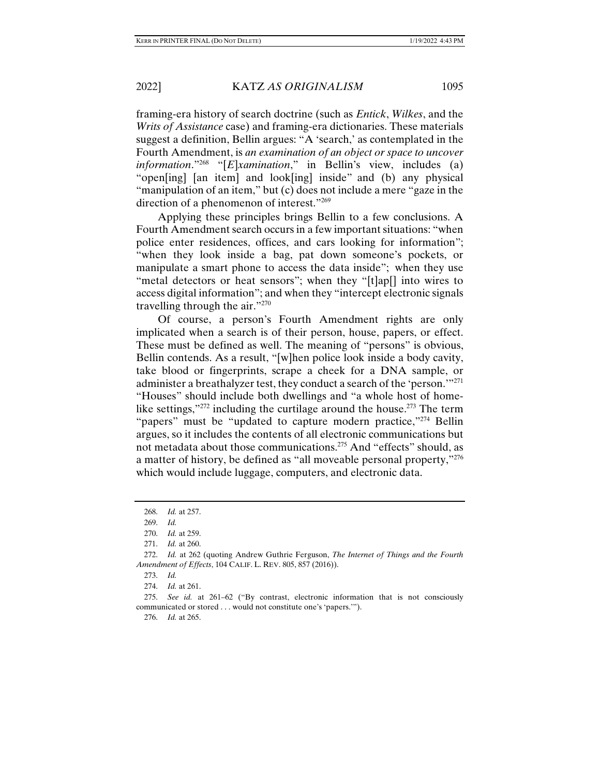framing-era history of search doctrine (such as *Entick*, *Wilkes*, and the *Writs of Assistance* case) and framing-era dictionaries. These materials suggest a definition, Bellin argues: "A 'search,' as contemplated in the Fourth Amendment, is *an examination of an object or space to uncover information*."<sup>268</sup> "[*E*]*xamination*," in Bellin's view, includes (a) "open[ing] [an item] and look[ing] inside" and (b) any physical "manipulation of an item," but (c) does not include a mere "gaze in the direction of a phenomenon of interest."269

Applying these principles brings Bellin to a few conclusions. A Fourth Amendment search occurs in a few important situations: "when police enter residences, offices, and cars looking for information"; "when they look inside a bag, pat down someone's pockets, or manipulate a smart phone to access the data inside"; when they use "metal detectors or heat sensors"; when they "[t]ap[] into wires to access digital information"; and when they "intercept electronic signals travelling through the air."270

Of course, a person's Fourth Amendment rights are only implicated when a search is of their person, house, papers, or effect. These must be defined as well. The meaning of "persons" is obvious, Bellin contends. As a result, "[w]hen police look inside a body cavity, take blood or fingerprints, scrape a cheek for a DNA sample, or administer a breathalyzer test, they conduct a search of the 'person.'"271 "Houses" should include both dwellings and "a whole host of homelike settings," $272$  including the curtilage around the house. $273$  The term "papers" must be "updated to capture modern practice,"<sup>274</sup> Bellin argues, so it includes the contents of all electronic communications but not metadata about those communications.<sup>275</sup> And "effects" should, as a matter of history, be defined as "all moveable personal property,"276 which would include luggage, computers, and electronic data.

274. *Id.* at 261.

 275. *See id.* at 261–62 ("By contrast, electronic information that is not consciously communicated or stored . . . would not constitute one's 'papers.'").

276. *Id.* at 265.

 <sup>268.</sup> *Id.* at 257.

 <sup>269.</sup> *Id.*

 <sup>270.</sup> *Id.* at 259.

 <sup>271.</sup> *Id.* at 260.

 <sup>272.</sup> *Id.* at 262 (quoting Andrew Guthrie Ferguson, *The Internet of Things and the Fourth Amendment of Effects*, 104 CALIF. L. REV. 805, 857 (2016)).

 <sup>273.</sup> *Id.*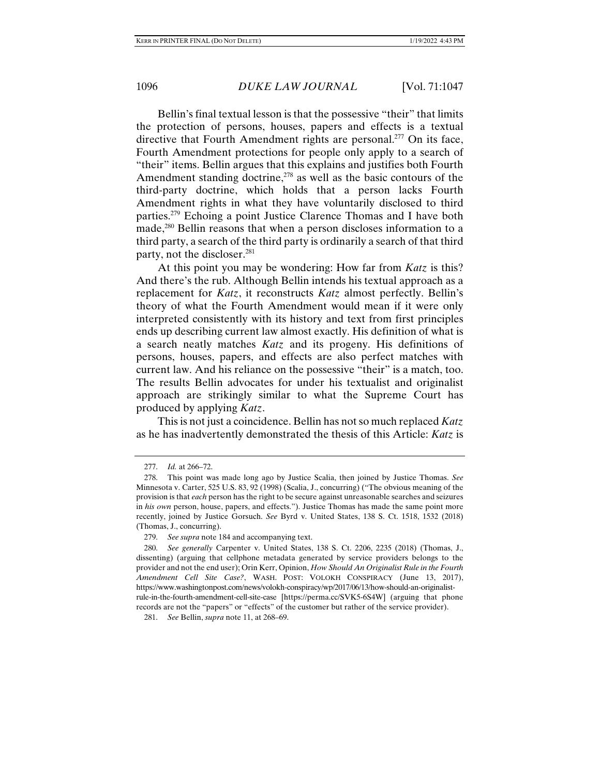Bellin's final textual lesson is that the possessive "their" that limits the protection of persons, houses, papers and effects is a textual directive that Fourth Amendment rights are personal.<sup>277</sup> On its face, Fourth Amendment protections for people only apply to a search of "their" items. Bellin argues that this explains and justifies both Fourth Amendment standing doctrine,<sup>278</sup> as well as the basic contours of the third-party doctrine, which holds that a person lacks Fourth Amendment rights in what they have voluntarily disclosed to third parties.279 Echoing a point Justice Clarence Thomas and I have both made,<sup>280</sup> Bellin reasons that when a person discloses information to a third party, a search of the third party is ordinarily a search of that third party, not the discloser.281

At this point you may be wondering: How far from *Katz* is this? And there's the rub. Although Bellin intends his textual approach as a replacement for *Katz*, it reconstructs *Katz* almost perfectly. Bellin's theory of what the Fourth Amendment would mean if it were only interpreted consistently with its history and text from first principles ends up describing current law almost exactly. His definition of what is a search neatly matches *Katz* and its progeny. His definitions of persons, houses, papers, and effects are also perfect matches with current law. And his reliance on the possessive "their" is a match, too. The results Bellin advocates for under his textualist and originalist approach are strikingly similar to what the Supreme Court has produced by applying *Katz*.

This is not just a coincidence. Bellin has not so much replaced *Katz* as he has inadvertently demonstrated the thesis of this Article: *Katz* is

281. *See* Bellin, *supra* note 11, at 268–69.

 <sup>277.</sup> *Id.* at 266–72.

 <sup>278.</sup> This point was made long ago by Justice Scalia, then joined by Justice Thomas. *See* Minnesota v. Carter, 525 U.S. 83, 92 (1998) (Scalia, J., concurring) ("The obvious meaning of the provision is that *each* person has the right to be secure against unreasonable searches and seizures in *his own* person, house, papers, and effects."). Justice Thomas has made the same point more recently, joined by Justice Gorsuch. *See* Byrd v. United States, 138 S. Ct. 1518, 1532 (2018) (Thomas, J., concurring).

 <sup>279.</sup> *See supra* note 184 and accompanying text.

 <sup>280.</sup> *See generally* Carpenter v. United States, 138 S. Ct. 2206, 2235 (2018) (Thomas, J., dissenting) (arguing that cellphone metadata generated by service providers belongs to the provider and not the end user); Orin Kerr, Opinion, *How Should An Originalist Rule in the Fourth Amendment Cell Site Case?*, WASH. POST: VOLOKH CONSPIRACY (June 13, 2017), https://www.washingtonpost.com/news/volokh-conspiracy/wp/2017/06/13/how-should-an-originalistrule-in-the-fourth-amendment-cell-site-case [https://perma.cc/SVK5-6S4W] (arguing that phone records are not the "papers" or "effects" of the customer but rather of the service provider).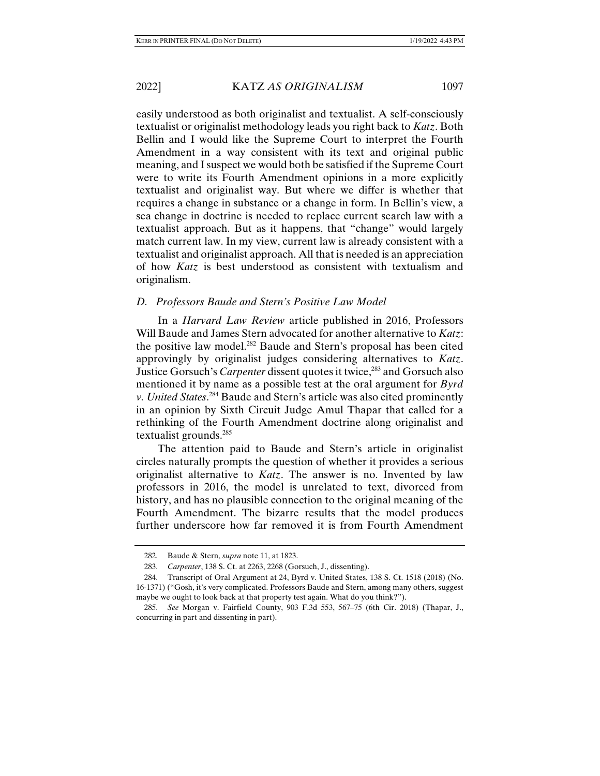easily understood as both originalist and textualist. A self-consciously textualist or originalist methodology leads you right back to *Katz*. Both Bellin and I would like the Supreme Court to interpret the Fourth Amendment in a way consistent with its text and original public meaning, and I suspect we would both be satisfied if the Supreme Court were to write its Fourth Amendment opinions in a more explicitly textualist and originalist way. But where we differ is whether that requires a change in substance or a change in form. In Bellin's view, a sea change in doctrine is needed to replace current search law with a textualist approach. But as it happens, that "change" would largely match current law. In my view, current law is already consistent with a textualist and originalist approach. All that is needed is an appreciation of how *Katz* is best understood as consistent with textualism and originalism.

# *D. Professors Baude and Stern's Positive Law Model*

In a *Harvard Law Review* article published in 2016, Professors Will Baude and James Stern advocated for another alternative to *Katz*: the positive law model.282 Baude and Stern's proposal has been cited approvingly by originalist judges considering alternatives to *Katz*. Justice Gorsuch's *Carpenter* dissent quotes it twice,<sup>283</sup> and Gorsuch also mentioned it by name as a possible test at the oral argument for *Byrd v. United States*. 284 Baude and Stern's article was also cited prominently in an opinion by Sixth Circuit Judge Amul Thapar that called for a rethinking of the Fourth Amendment doctrine along originalist and textualist grounds.285

The attention paid to Baude and Stern's article in originalist circles naturally prompts the question of whether it provides a serious originalist alternative to *Katz*. The answer is no. Invented by law professors in 2016, the model is unrelated to text, divorced from history, and has no plausible connection to the original meaning of the Fourth Amendment. The bizarre results that the model produces further underscore how far removed it is from Fourth Amendment

 <sup>282.</sup> Baude & Stern, *supra* note 11, at 1823.

 <sup>283.</sup> *Carpenter*, 138 S. Ct. at 2263, 2268 (Gorsuch, J., dissenting).

 <sup>284.</sup> Transcript of Oral Argument at 24, Byrd v. United States, 138 S. Ct. 1518 (2018) (No. 16-1371) ("Gosh, it's very complicated. Professors Baude and Stern, among many others, suggest maybe we ought to look back at that property test again. What do you think?").

 <sup>285.</sup> *See* Morgan v. Fairfield County, 903 F.3d 553, 567–75 (6th Cir. 2018) (Thapar, J., concurring in part and dissenting in part).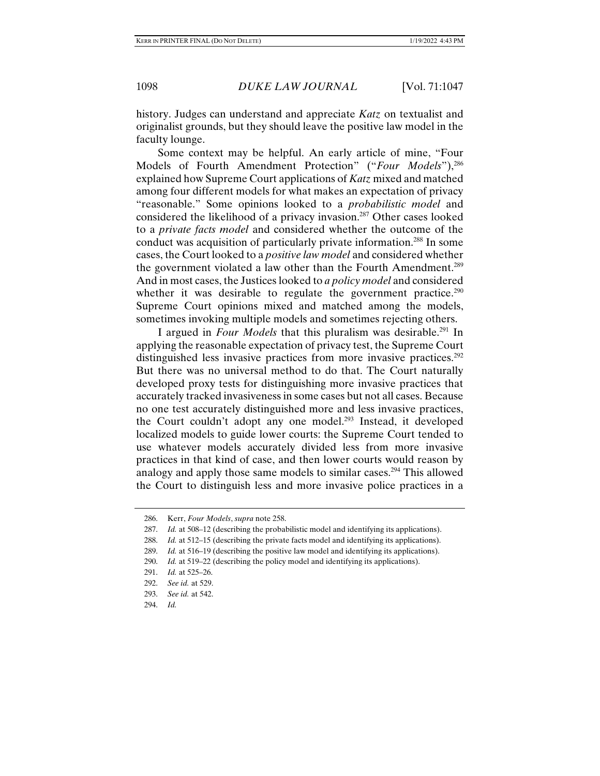history. Judges can understand and appreciate *Katz* on textualist and originalist grounds, but they should leave the positive law model in the faculty lounge.

Some context may be helpful. An early article of mine, "Four Models of Fourth Amendment Protection" ("*Four Models*"),<sup>286</sup> explained how Supreme Court applications of *Katz* mixed and matched among four different models for what makes an expectation of privacy "reasonable." Some opinions looked to a *probabilistic model* and considered the likelihood of a privacy invasion.287 Other cases looked to a *private facts model* and considered whether the outcome of the conduct was acquisition of particularly private information.288 In some cases, the Court looked to a *positive law model* and considered whether the government violated a law other than the Fourth Amendment.289 And in most cases, the Justices looked to *a policy model* and considered whether it was desirable to regulate the government practice.<sup>290</sup> Supreme Court opinions mixed and matched among the models, sometimes invoking multiple models and sometimes rejecting others.

I argued in *Four Models* that this pluralism was desirable.<sup>291</sup> In applying the reasonable expectation of privacy test, the Supreme Court distinguished less invasive practices from more invasive practices.<sup>292</sup> But there was no universal method to do that. The Court naturally developed proxy tests for distinguishing more invasive practices that accurately tracked invasiveness in some cases but not all cases. Because no one test accurately distinguished more and less invasive practices, the Court couldn't adopt any one model.293 Instead, it developed localized models to guide lower courts: the Supreme Court tended to use whatever models accurately divided less from more invasive practices in that kind of case, and then lower courts would reason by analogy and apply those same models to similar cases.<sup>294</sup> This allowed the Court to distinguish less and more invasive police practices in a

293. *See id.* at 542.

 <sup>286.</sup> Kerr, *Four Models*, *supra* note 258.

 <sup>287.</sup> *Id.* at 508–12 (describing the probabilistic model and identifying its applications).

 <sup>288.</sup> *Id.* at 512–15 (describing the private facts model and identifying its applications).

 <sup>289.</sup> *Id.* at 516–19 (describing the positive law model and identifying its applications).

 <sup>290.</sup> *Id.* at 519–22 (describing the policy model and identifying its applications).

 <sup>291.</sup> *Id.* at 525–26.

 <sup>292.</sup> *See id.* at 529.

 <sup>294.</sup> *Id.*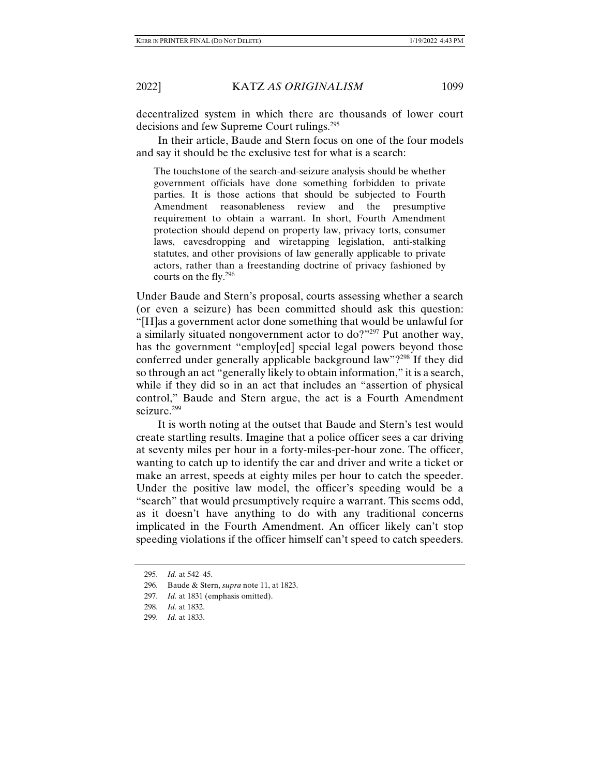decentralized system in which there are thousands of lower court decisions and few Supreme Court rulings.<sup>295</sup>

In their article, Baude and Stern focus on one of the four models and say it should be the exclusive test for what is a search:

The touchstone of the search-and-seizure analysis should be whether government officials have done something forbidden to private parties. It is those actions that should be subjected to Fourth Amendment reasonableness review and the presumptive requirement to obtain a warrant. In short, Fourth Amendment protection should depend on property law, privacy torts, consumer laws, eavesdropping and wiretapping legislation, anti-stalking statutes, and other provisions of law generally applicable to private actors, rather than a freestanding doctrine of privacy fashioned by courts on the fly.296

Under Baude and Stern's proposal, courts assessing whether a search (or even a seizure) has been committed should ask this question: "[H]as a government actor done something that would be unlawful for a similarly situated nongovernment actor to do?"297 Put another way, has the government "employ[ed] special legal powers beyond those conferred under generally applicable background law"?298 If they did so through an act "generally likely to obtain information," it is a search, while if they did so in an act that includes an "assertion of physical control," Baude and Stern argue, the act is a Fourth Amendment seizure.<sup>299</sup>

It is worth noting at the outset that Baude and Stern's test would create startling results. Imagine that a police officer sees a car driving at seventy miles per hour in a forty-miles-per-hour zone. The officer, wanting to catch up to identify the car and driver and write a ticket or make an arrest, speeds at eighty miles per hour to catch the speeder. Under the positive law model, the officer's speeding would be a "search" that would presumptively require a warrant. This seems odd, as it doesn't have anything to do with any traditional concerns implicated in the Fourth Amendment. An officer likely can't stop speeding violations if the officer himself can't speed to catch speeders.

 <sup>295.</sup> *Id.* at 542–45.

 <sup>296.</sup> Baude & Stern, *supra* note 11, at 1823.

 <sup>297.</sup> *Id.* at 1831 (emphasis omitted).

 <sup>298.</sup> *Id.* at 1832.

 <sup>299.</sup> *Id.* at 1833.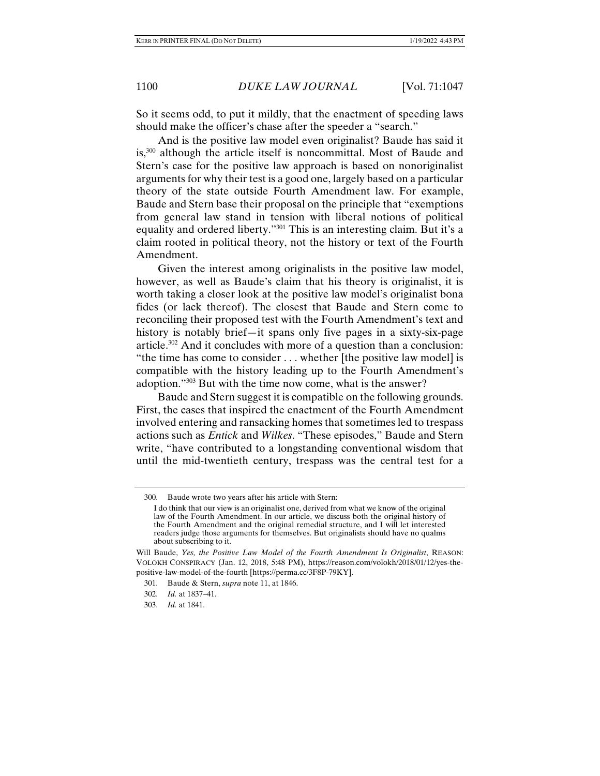So it seems odd, to put it mildly, that the enactment of speeding laws should make the officer's chase after the speeder a "search."

And is the positive law model even originalist? Baude has said it is,<sup>300</sup> although the article itself is noncommittal. Most of Baude and Stern's case for the positive law approach is based on nonoriginalist arguments for why their test is a good one, largely based on a particular theory of the state outside Fourth Amendment law. For example, Baude and Stern base their proposal on the principle that "exemptions from general law stand in tension with liberal notions of political equality and ordered liberty."301 This is an interesting claim. But it's a claim rooted in political theory, not the history or text of the Fourth Amendment.

Given the interest among originalists in the positive law model, however, as well as Baude's claim that his theory is originalist, it is worth taking a closer look at the positive law model's originalist bona fides (or lack thereof). The closest that Baude and Stern come to reconciling their proposed test with the Fourth Amendment's text and history is notably brief—it spans only five pages in a sixty-six-page article.302 And it concludes with more of a question than a conclusion: "the time has come to consider . . . whether [the positive law model] is compatible with the history leading up to the Fourth Amendment's adoption."303 But with the time now come, what is the answer?

Baude and Stern suggest it is compatible on the following grounds. First, the cases that inspired the enactment of the Fourth Amendment involved entering and ransacking homes that sometimes led to trespass actions such as *Entick* and *Wilkes*. "These episodes," Baude and Stern write, "have contributed to a longstanding conventional wisdom that until the mid-twentieth century, trespass was the central test for a

 <sup>300.</sup> Baude wrote two years after his article with Stern:

I do think that our view is an originalist one, derived from what we know of the original law of the Fourth Amendment. In our article, we discuss both the original history of the Fourth Amendment and the original remedial structure, and I will let interested readers judge those arguments for themselves. But originalists should have no qualms about subscribing to it.

Will Baude, *Yes, the Positive Law Model of the Fourth Amendment Is Originalist*, REASON: VOLOKH CONSPIRACY (Jan. 12, 2018, 5:48 PM), https://reason.com/volokh/2018/01/12/yes-thepositive-law-model-of-the-fourth [https://perma.cc/3F8P-79KY].

 <sup>301.</sup> Baude & Stern, *supra* note 11, at 1846.

 <sup>302.</sup> *Id.* at 1837–41.

 <sup>303.</sup> *Id.* at 1841.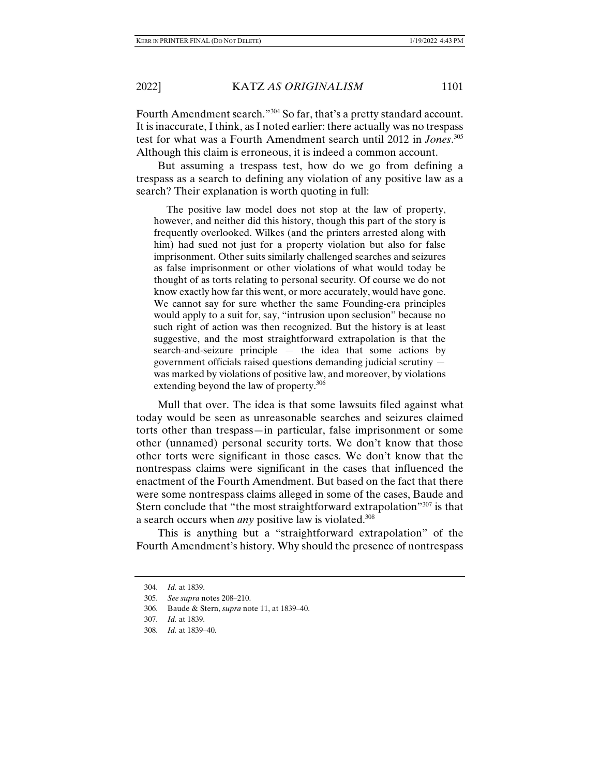Fourth Amendment search."304 So far, that's a pretty standard account. It is inaccurate, I think, as I noted earlier: there actually was no trespass test for what was a Fourth Amendment search until 2012 in *Jones*. 305 Although this claim is erroneous, it is indeed a common account.

But assuming a trespass test, how do we go from defining a trespass as a search to defining any violation of any positive law as a search? Their explanation is worth quoting in full:

 The positive law model does not stop at the law of property, however, and neither did this history, though this part of the story is frequently overlooked. Wilkes (and the printers arrested along with him) had sued not just for a property violation but also for false imprisonment. Other suits similarly challenged searches and seizures as false imprisonment or other violations of what would today be thought of as torts relating to personal security. Of course we do not know exactly how far this went, or more accurately, would have gone. We cannot say for sure whether the same Founding-era principles would apply to a suit for, say, "intrusion upon seclusion" because no such right of action was then recognized. But the history is at least suggestive, and the most straightforward extrapolation is that the search-and-seizure principle — the idea that some actions by government officials raised questions demanding judicial scrutiny was marked by violations of positive law, and moreover, by violations extending beyond the law of property.<sup>306</sup>

Mull that over. The idea is that some lawsuits filed against what today would be seen as unreasonable searches and seizures claimed torts other than trespass—in particular, false imprisonment or some other (unnamed) personal security torts. We don't know that those other torts were significant in those cases. We don't know that the nontrespass claims were significant in the cases that influenced the enactment of the Fourth Amendment. But based on the fact that there were some nontrespass claims alleged in some of the cases, Baude and Stern conclude that "the most straightforward extrapolation"<sup>307</sup> is that a search occurs when *any* positive law is violated.<sup>308</sup>

This is anything but a "straightforward extrapolation" of the Fourth Amendment's history. Why should the presence of nontrespass

 <sup>304.</sup> *Id.* at 1839.

 <sup>305.</sup> *See supra* notes 208–210.

 <sup>306.</sup> Baude & Stern, *supra* note 11, at 1839–40.

 <sup>307.</sup> *Id.* at 1839.

 <sup>308.</sup> *Id.* at 1839–40.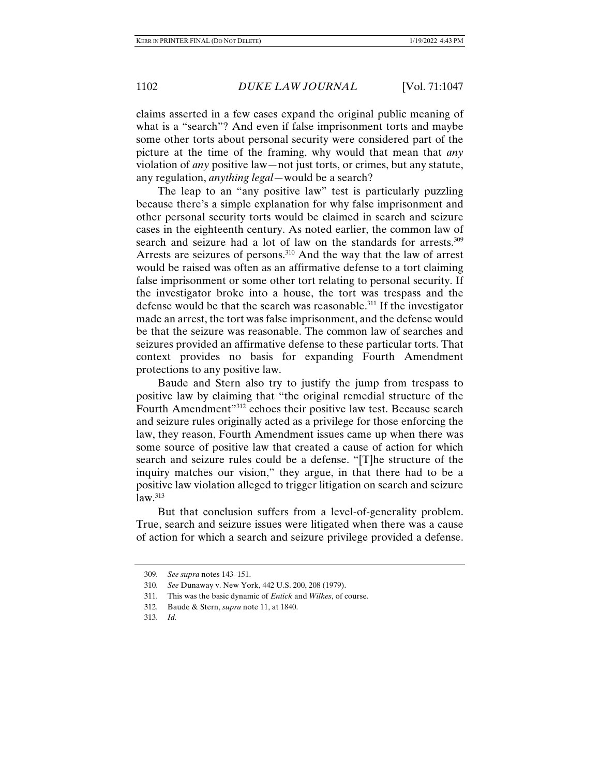claims asserted in a few cases expand the original public meaning of what is a "search"? And even if false imprisonment torts and maybe some other torts about personal security were considered part of the picture at the time of the framing, why would that mean that *any* violation of *any* positive law—not just torts, or crimes, but any statute, any regulation, *anything legal*—would be a search?

The leap to an "any positive law" test is particularly puzzling because there's a simple explanation for why false imprisonment and other personal security torts would be claimed in search and seizure cases in the eighteenth century. As noted earlier, the common law of search and seizure had a lot of law on the standards for arrests.<sup>309</sup> Arrests are seizures of persons.<sup>310</sup> And the way that the law of arrest would be raised was often as an affirmative defense to a tort claiming false imprisonment or some other tort relating to personal security. If the investigator broke into a house, the tort was trespass and the defense would be that the search was reasonable.<sup>311</sup> If the investigator made an arrest, the tort was false imprisonment, and the defense would be that the seizure was reasonable. The common law of searches and seizures provided an affirmative defense to these particular torts. That context provides no basis for expanding Fourth Amendment protections to any positive law.

Baude and Stern also try to justify the jump from trespass to positive law by claiming that "the original remedial structure of the Fourth Amendment"312 echoes their positive law test. Because search and seizure rules originally acted as a privilege for those enforcing the law, they reason, Fourth Amendment issues came up when there was some source of positive law that created a cause of action for which search and seizure rules could be a defense. "[T]he structure of the inquiry matches our vision," they argue, in that there had to be a positive law violation alleged to trigger litigation on search and seizure  $law.<sup>313</sup>$ 

But that conclusion suffers from a level-of-generality problem. True, search and seizure issues were litigated when there was a cause of action for which a search and seizure privilege provided a defense.

 <sup>309.</sup> *See supra* notes 143–151.

 <sup>310.</sup> *See* Dunaway v. New York, 442 U.S. 200, 208 (1979).

 <sup>311.</sup> This was the basic dynamic of *Entick* and *Wilkes*, of course.

 <sup>312.</sup> Baude & Stern, *supra* note 11, at 1840.

 <sup>313.</sup> *Id.*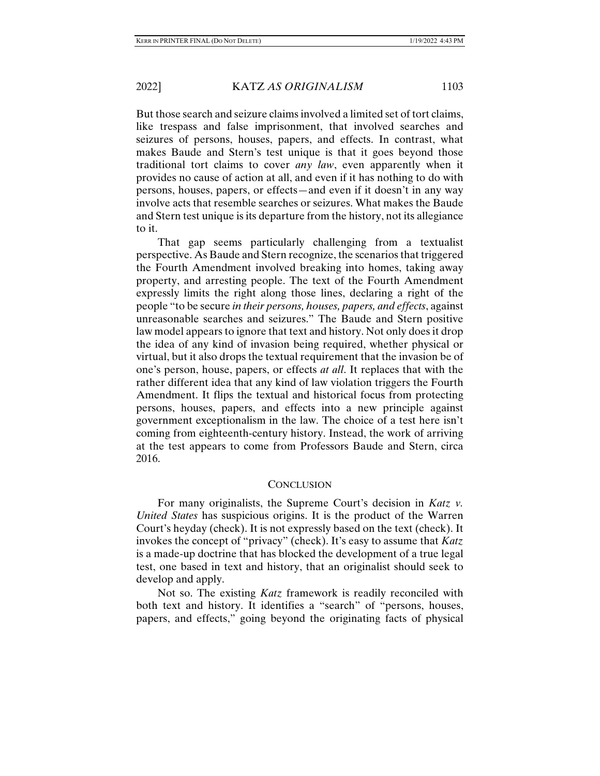But those search and seizure claims involved a limited set of tort claims, like trespass and false imprisonment, that involved searches and seizures of persons, houses, papers, and effects. In contrast, what makes Baude and Stern's test unique is that it goes beyond those traditional tort claims to cover *any law*, even apparently when it provides no cause of action at all, and even if it has nothing to do with persons, houses, papers, or effects—and even if it doesn't in any way involve acts that resemble searches or seizures. What makes the Baude and Stern test unique is its departure from the history, not its allegiance to it.

That gap seems particularly challenging from a textualist perspective. As Baude and Stern recognize, the scenarios that triggered the Fourth Amendment involved breaking into homes, taking away property, and arresting people. The text of the Fourth Amendment expressly limits the right along those lines, declaring a right of the people "to be secure *in their persons, houses, papers, and effects*, against unreasonable searches and seizures." The Baude and Stern positive law model appears to ignore that text and history. Not only does it drop the idea of any kind of invasion being required, whether physical or virtual, but it also drops the textual requirement that the invasion be of one's person, house, papers, or effects *at all*. It replaces that with the rather different idea that any kind of law violation triggers the Fourth Amendment. It flips the textual and historical focus from protecting persons, houses, papers, and effects into a new principle against government exceptionalism in the law. The choice of a test here isn't coming from eighteenth-century history. Instead, the work of arriving at the test appears to come from Professors Baude and Stern, circa 2016.

# **CONCLUSION**

For many originalists, the Supreme Court's decision in *Katz v. United States* has suspicious origins. It is the product of the Warren Court's heyday (check). It is not expressly based on the text (check). It invokes the concept of "privacy" (check). It's easy to assume that *Katz* is a made-up doctrine that has blocked the development of a true legal test, one based in text and history, that an originalist should seek to develop and apply.

Not so. The existing *Katz* framework is readily reconciled with both text and history. It identifies a "search" of "persons, houses, papers, and effects," going beyond the originating facts of physical